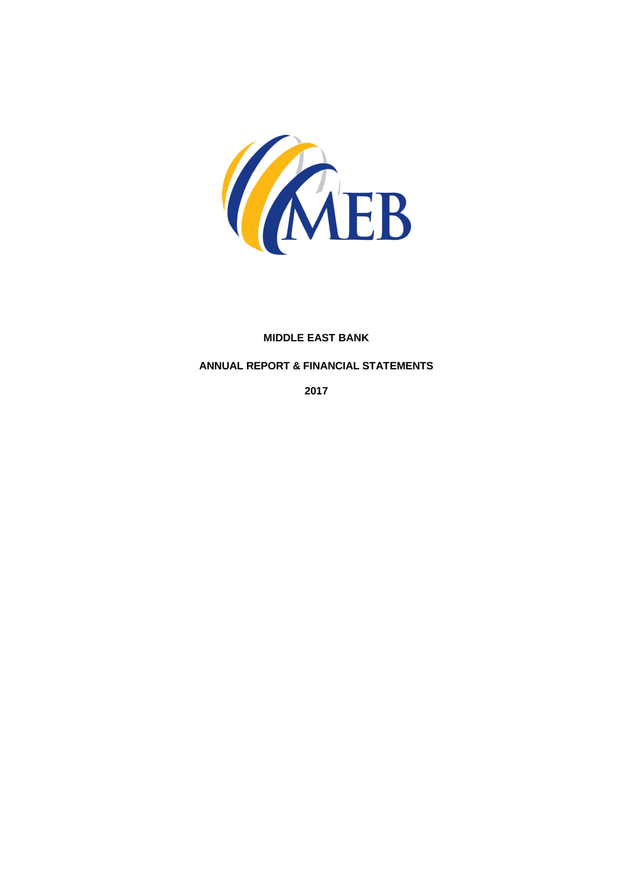

# **MIDDLE EAST BANK**

# **ANNUAL REPORT & FINANCIAL STATEMENTS**

**2017**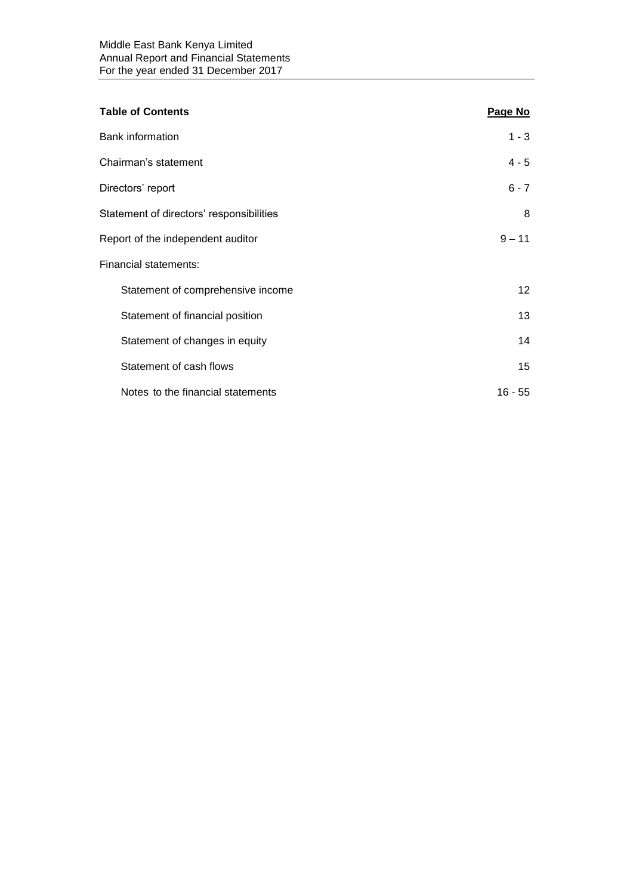| <b>Table of Contents</b>                 | Page No         |
|------------------------------------------|-----------------|
| <b>Bank information</b>                  | $1 - 3$         |
| Chairman's statement                     | $4 - 5$         |
| Directors' report                        | $6 - 7$         |
| Statement of directors' responsibilities | 8               |
| Report of the independent auditor        | $9 - 11$        |
| Financial statements:                    |                 |
| Statement of comprehensive income        | 12 <sup>2</sup> |
| Statement of financial position          | 13              |
| Statement of changes in equity           | 14              |
| Statement of cash flows                  | 15              |
| Notes to the financial statements        | $16 - 55$       |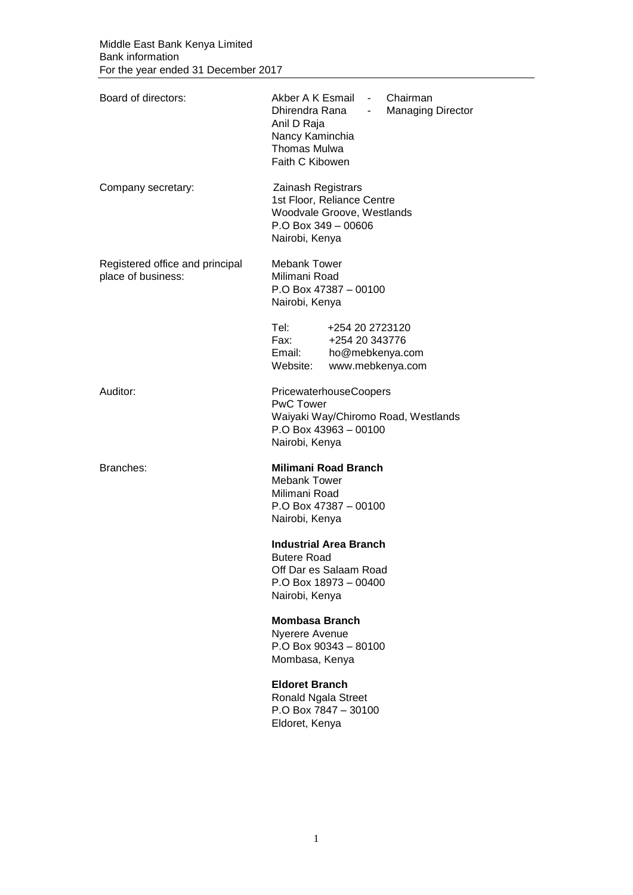| Board of directors:                                   | Akber A K Esmail - Chairman<br>Anil D Raja<br>Nancy Kaminchia<br><b>Thomas Mulwa</b><br>Faith C Kibowen                                                                                                                                                                                                      |                 |  | Dhirendra Rana - Managing Director |
|-------------------------------------------------------|--------------------------------------------------------------------------------------------------------------------------------------------------------------------------------------------------------------------------------------------------------------------------------------------------------------|-----------------|--|------------------------------------|
| Company secretary:                                    | Zainash Registrars<br>1st Floor, Reliance Centre<br>Woodvale Groove, Westlands<br>$P.O$ Box 349 $-$ 00606<br>Nairobi, Kenya                                                                                                                                                                                  |                 |  |                                    |
| Registered office and principal<br>place of business: | <b>Mebank Tower</b><br>Milimani Road<br>P.O Box 47387 - 00100<br>Nairobi, Kenya                                                                                                                                                                                                                              |                 |  |                                    |
|                                                       | Tel: The Contract of the Contract of the Contract of the Contract of the Contract of the Contract of the Contract of the Contract of the Contract of the Contract of the Contract of the Contract of the Contract of the Contr<br>Fax: +254 20 343776<br>Email: ho@mebkenya.com<br>Website: www.mebkenya.com | +254 20 2723120 |  |                                    |
| Auditor:                                              | PricewaterhouseCoopers<br><b>PwC Tower</b><br>Waiyaki Way/Chiromo Road, Westlands<br>$P.O$ Box 43963 - 00100<br>Nairobi, Kenya                                                                                                                                                                               |                 |  |                                    |
| Branches:                                             | <b>Milimani Road Branch</b><br><b>Mebank Tower</b><br>Milimani Road<br>P.O Box 47387 - 00100<br>Nairobi, Kenya                                                                                                                                                                                               |                 |  |                                    |
|                                                       | Industrial Area Branch<br><b>Butere Road</b><br>Off Dar es Salaam Road<br>P.O Box 18973 - 00400<br>Nairobi, Kenya                                                                                                                                                                                            |                 |  |                                    |
|                                                       | Mombasa Branch<br>Nyerere Avenue<br>P.O Box 90343 - 80100<br>Mombasa, Kenya                                                                                                                                                                                                                                  |                 |  |                                    |
|                                                       | <b>Eldoret Branch</b><br>Ronald Ngala Street<br>P.O Box 7847 - 30100<br>Eldoret, Kenya                                                                                                                                                                                                                       |                 |  |                                    |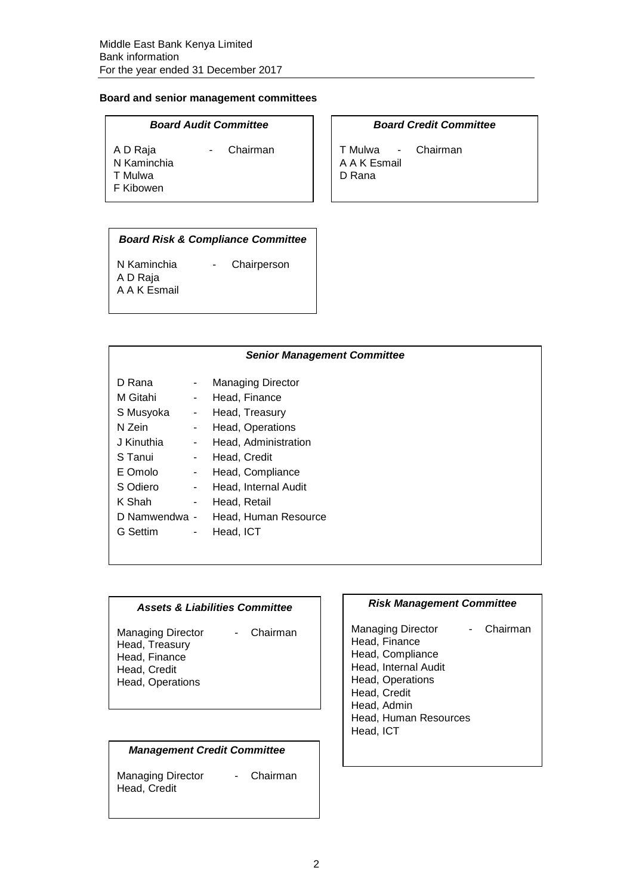# **Board and senior management committees**

# *Board Audit Committee*

- A D Raja **-** Chairman N Kaminchia T Mulwa
- F Kibowen

# *Board Credit Committee*

- T Mulwa Chairman
- A A K Esmail
- D Rana

# *Board Risk & Compliance Committee*

N Kaminchia - Chairperson A D Raja A A K Esmail

| <b>Senior Management Committee</b>        |             |                                                                                 |  |  |  |
|-------------------------------------------|-------------|---------------------------------------------------------------------------------|--|--|--|
| D Rana<br>M Gitahi<br>S Musyoka<br>N Zein | ۰<br>٠<br>۰ | <b>Managing Director</b><br>Head, Finance<br>Head, Treasury<br>Head, Operations |  |  |  |
| J Kinuthia                                | ۰           | Head, Administration                                                            |  |  |  |
| S Tanui                                   | ۰           | Head, Credit                                                                    |  |  |  |
| E Omolo                                   | ٠           | Head, Compliance                                                                |  |  |  |
| S Odiero                                  | ۰           | Head, Internal Audit                                                            |  |  |  |
| K Shah                                    | ۰           | Head, Retail                                                                    |  |  |  |
| D Namwendwa -                             |             | Head, Human Resource                                                            |  |  |  |
| G Settim                                  | ۰.          | Head, ICT                                                                       |  |  |  |

# *Assets & Liabilities Committee*

- Managing Director Chairman Head, Treasury Head, Finance Head, Credit Head, Operations
- 

## *Management Credit Committee*

Managing Director - Chairman Head, Credit

#### *Risk Management Committee*

Managing Director - Chairman Head, Finance Head, Compliance Head, Internal Audit Head, Operations Head, Credit Head, Admin Head, Human Resources Head, ICT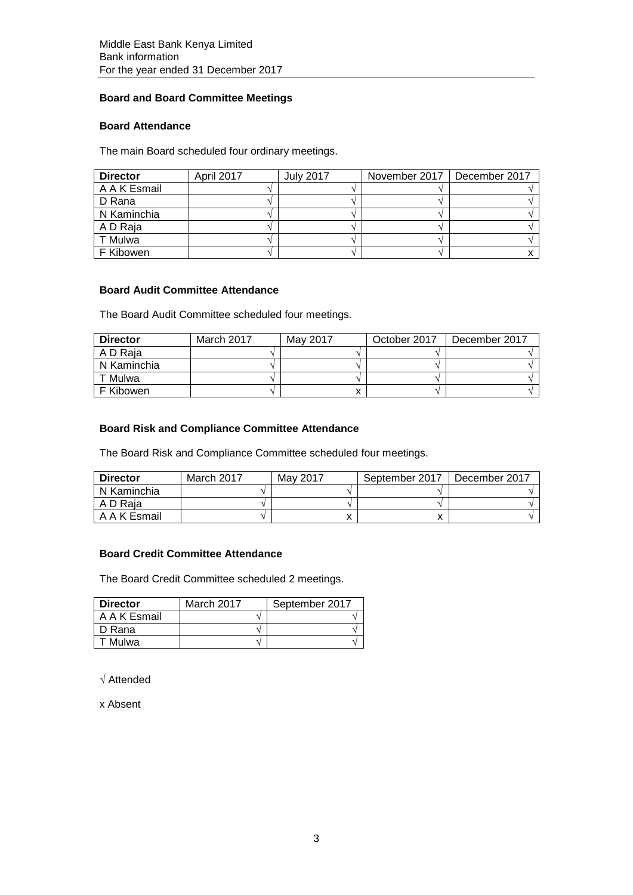# **Board and Board Committee Meetings**

### **Board Attendance**

The main Board scheduled four ordinary meetings.

| <b>Director</b> | April 2017 | <b>July 2017</b> | November 2017   December 2017 |  |
|-----------------|------------|------------------|-------------------------------|--|
| A A K Esmail    |            |                  |                               |  |
| D Rana          |            |                  |                               |  |
| N Kaminchia     |            |                  |                               |  |
| A D Raja        |            |                  |                               |  |
| T Mulwa         |            |                  |                               |  |
| F Kibowen       |            |                  |                               |  |

#### **Board Audit Committee Attendance**

The Board Audit Committee scheduled four meetings.

| <b>Director</b> | March 2017 | May 2017 | October 2017 | December 2017 |
|-----------------|------------|----------|--------------|---------------|
| A D Raia        |            |          |              |               |
| N Kaminchia     |            |          |              |               |
| T Mulwa         |            |          |              |               |
| F Kibowen       |            |          |              |               |

# **Board Risk and Compliance Committee Attendance**

The Board Risk and Compliance Committee scheduled four meetings.

| <b>Director</b> | March 2017 | May 2017 | September 2017 | December 2017 |
|-----------------|------------|----------|----------------|---------------|
| l N Kaminchia.  |            |          |                |               |
| A D Raia        |            |          |                |               |
| A A K Esmail    |            |          |                |               |

# **Board Credit Committee Attendance**

The Board Credit Committee scheduled 2 meetings.

| <b>Director</b> | March 2017 | September 2017 |
|-----------------|------------|----------------|
| A A K Esmail    |            |                |
| D Rana          |            |                |
| Mulwa           |            |                |

√ Attended

x Absent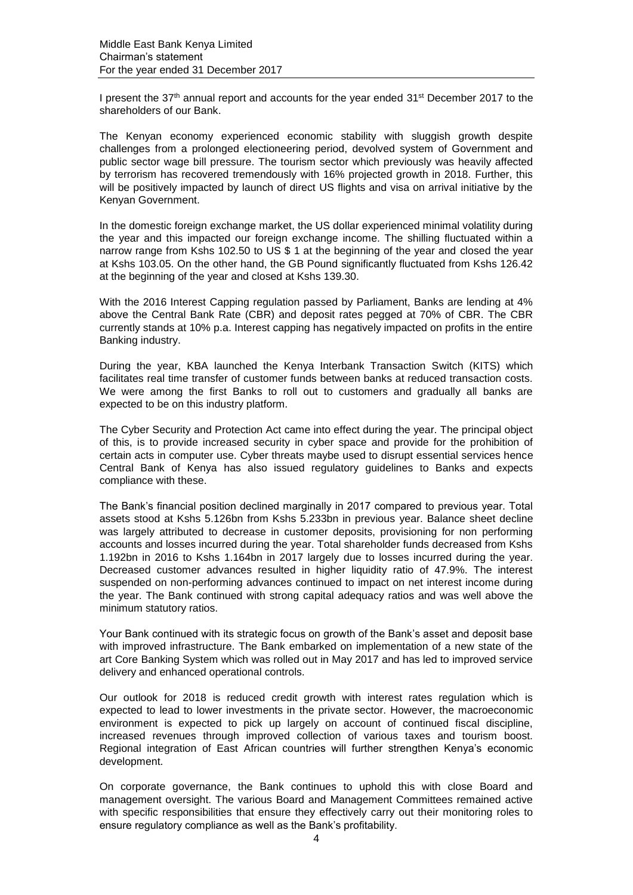I present the 37<sup>th</sup> annual report and accounts for the year ended 31<sup>st</sup> December 2017 to the shareholders of our Bank.

The Kenyan economy experienced economic stability with sluggish growth despite challenges from a prolonged electioneering period, devolved system of Government and public sector wage bill pressure. The tourism sector which previously was heavily affected by terrorism has recovered tremendously with 16% projected growth in 2018. Further, this will be positively impacted by launch of direct US flights and visa on arrival initiative by the Kenyan Government.

In the domestic foreign exchange market, the US dollar experienced minimal volatility during the year and this impacted our foreign exchange income. The shilling fluctuated within a narrow range from Kshs 102.50 to US \$ 1 at the beginning of the year and closed the year at Kshs 103.05. On the other hand, the GB Pound significantly fluctuated from Kshs 126.42 at the beginning of the year and closed at Kshs 139.30.

With the 2016 Interest Capping regulation passed by Parliament, Banks are lending at 4% above the Central Bank Rate (CBR) and deposit rates pegged at 70% of CBR. The CBR currently stands at 10% p.a. Interest capping has negatively impacted on profits in the entire Banking industry.

During the year, KBA launched the Kenya Interbank Transaction Switch (KITS) which facilitates real time transfer of customer funds between banks at reduced transaction costs. We were among the first Banks to roll out to customers and gradually all banks are expected to be on this industry platform.

The Cyber Security and Protection Act came into effect during the year. The principal object of this, is to provide increased security in cyber space and provide for the prohibition of certain acts in computer use. Cyber threats maybe used to disrupt essential services hence Central Bank of Kenya has also issued regulatory guidelines to Banks and expects compliance with these.

The Bank's financial position declined marginally in 2017 compared to previous year. Total assets stood at Kshs 5.126bn from Kshs 5.233bn in previous year. Balance sheet decline was largely attributed to decrease in customer deposits, provisioning for non performing accounts and losses incurred during the year. Total shareholder funds decreased from Kshs 1.192bn in 2016 to Kshs 1.164bn in 2017 largely due to losses incurred during the year. Decreased customer advances resulted in higher liquidity ratio of 47.9%. The interest suspended on non-performing advances continued to impact on net interest income during the year. The Bank continued with strong capital adequacy ratios and was well above the minimum statutory ratios.

Your Bank continued with its strategic focus on growth of the Bank's asset and deposit base with improved infrastructure. The Bank embarked on implementation of a new state of the art Core Banking System which was rolled out in May 2017 and has led to improved service delivery and enhanced operational controls.

Our outlook for 2018 is reduced credit growth with interest rates regulation which is expected to lead to lower investments in the private sector. However, the macroeconomic environment is expected to pick up largely on account of continued fiscal discipline, increased revenues through improved collection of various taxes and tourism boost. Regional integration of East African countries will further strengthen Kenya's economic development.

On corporate governance, the Bank continues to uphold this with close Board and management oversight. The various Board and Management Committees remained active with specific responsibilities that ensure they effectively carry out their monitoring roles to ensure regulatory compliance as well as the Bank's profitability.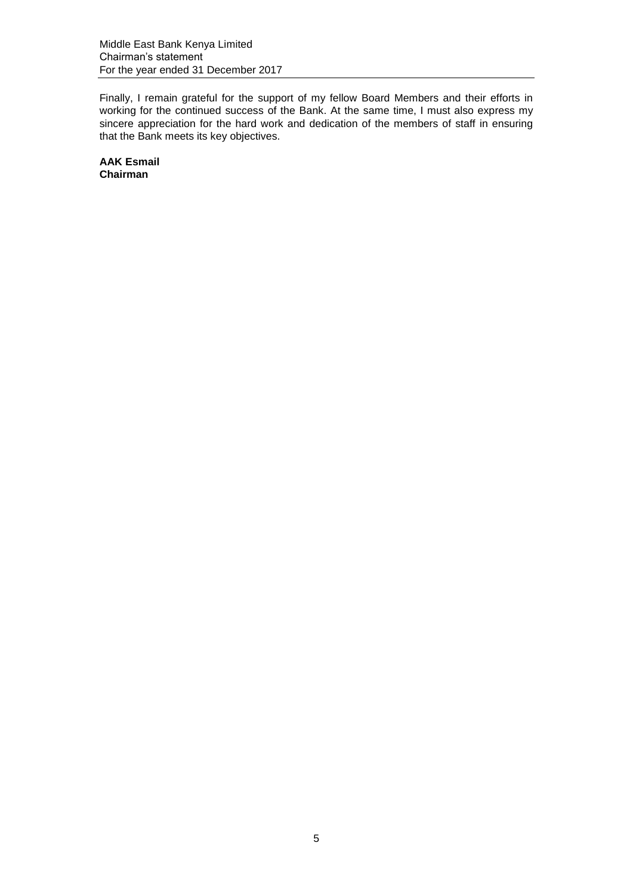Finally, I remain grateful for the support of my fellow Board Members and their efforts in working for the continued success of the Bank. At the same time, I must also express my sincere appreciation for the hard work and dedication of the members of staff in ensuring that the Bank meets its key objectives.

**AAK Esmail Chairman**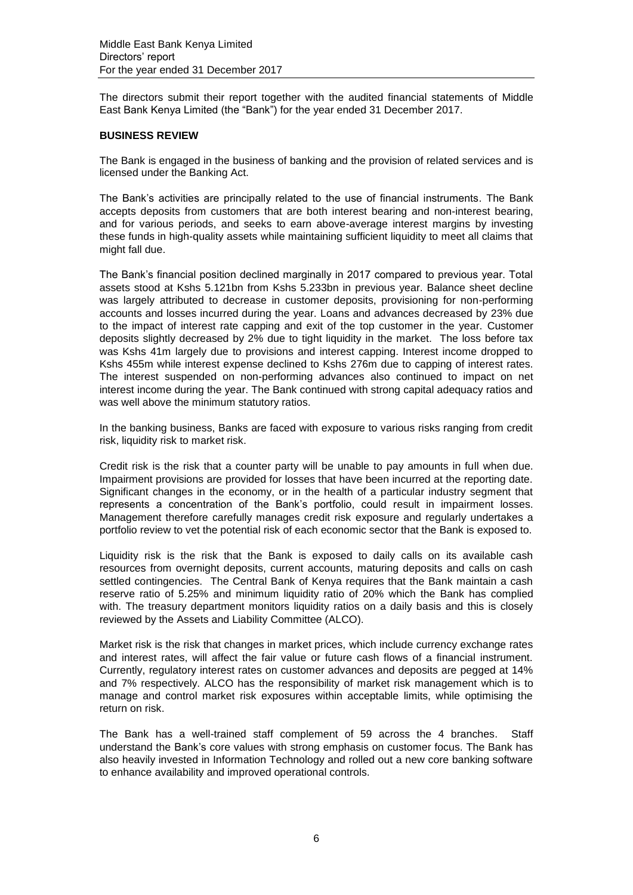The directors submit their report together with the audited financial statements of Middle East Bank Kenya Limited (the "Bank") for the year ended 31 December 2017.

### **BUSINESS REVIEW**

The Bank is engaged in the business of banking and the provision of related services and is licensed under the Banking Act.

The Bank's activities are principally related to the use of financial instruments. The Bank accepts deposits from customers that are both interest bearing and non-interest bearing, and for various periods, and seeks to earn above-average interest margins by investing these funds in high-quality assets while maintaining sufficient liquidity to meet all claims that might fall due.

The Bank's financial position declined marginally in 2017 compared to previous year. Total assets stood at Kshs 5.121bn from Kshs 5.233bn in previous year. Balance sheet decline was largely attributed to decrease in customer deposits, provisioning for non-performing accounts and losses incurred during the year. Loans and advances decreased by 23% due to the impact of interest rate capping and exit of the top customer in the year. Customer deposits slightly decreased by 2% due to tight liquidity in the market. The loss before tax was Kshs 41m largely due to provisions and interest capping. Interest income dropped to Kshs 455m while interest expense declined to Kshs 276m due to capping of interest rates. The interest suspended on non-performing advances also continued to impact on net interest income during the year. The Bank continued with strong capital adequacy ratios and was well above the minimum statutory ratios.

In the banking business, Banks are faced with exposure to various risks ranging from credit risk, liquidity risk to market risk.

Credit risk is the risk that a counter party will be unable to pay amounts in full when due. Impairment provisions are provided for losses that have been incurred at the reporting date. Significant changes in the economy, or in the health of a particular industry segment that represents a concentration of the Bank's portfolio, could result in impairment losses. Management therefore carefully manages credit risk exposure and regularly undertakes a portfolio review to vet the potential risk of each economic sector that the Bank is exposed to.

Liquidity risk is the risk that the Bank is exposed to daily calls on its available cash resources from overnight deposits, current accounts, maturing deposits and calls on cash settled contingencies. The Central Bank of Kenya requires that the Bank maintain a cash reserve ratio of 5.25% and minimum liquidity ratio of 20% which the Bank has complied with. The treasury department monitors liquidity ratios on a daily basis and this is closely reviewed by the Assets and Liability Committee (ALCO).

Market risk is the risk that changes in market prices, which include currency exchange rates and interest rates, will affect the fair value or future cash flows of a financial instrument. Currently, regulatory interest rates on customer advances and deposits are pegged at 14% and 7% respectively. ALCO has the responsibility of market risk management which is to manage and control market risk exposures within acceptable limits, while optimising the return on risk.

The Bank has a well-trained staff complement of 59 across the 4 branches. Staff understand the Bank's core values with strong emphasis on customer focus. The Bank has also heavily invested in Information Technology and rolled out a new core banking software to enhance availability and improved operational controls.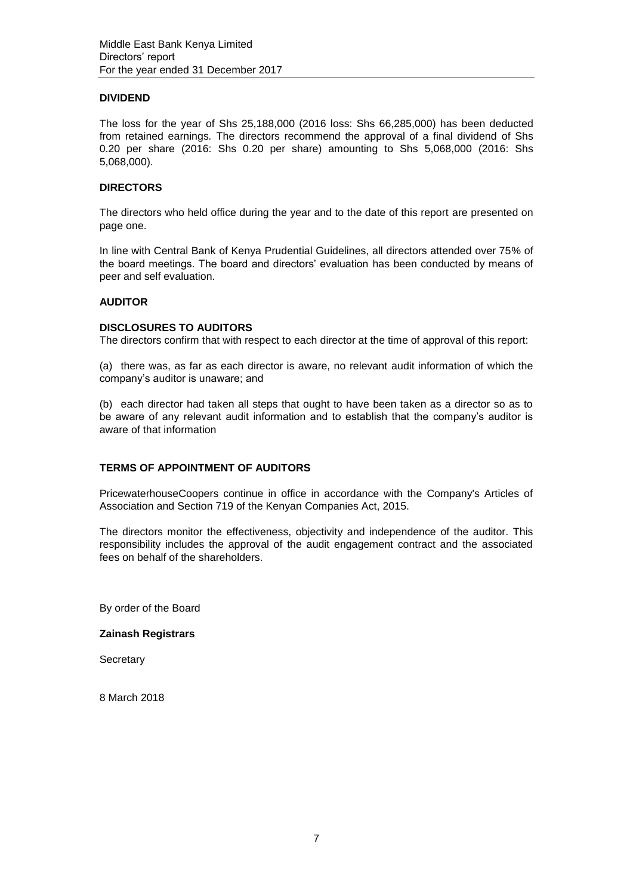### **DIVIDEND**

The loss for the year of Shs 25,188,000 (2016 loss: Shs 66,285,000) has been deducted from retained earnings*.* The directors recommend the approval of a final dividend of Shs 0.20 per share (2016: Shs 0.20 per share) amounting to Shs 5,068,000 (2016: Shs 5,068,000).

## **DIRECTORS**

The directors who held office during the year and to the date of this report are presented on page one.

In line with Central Bank of Kenya Prudential Guidelines, all directors attended over 75% of the board meetings. The board and directors' evaluation has been conducted by means of peer and self evaluation.

#### **AUDITOR**

## **DISCLOSURES TO AUDITORS**

The directors confirm that with respect to each director at the time of approval of this report:

(a) there was, as far as each director is aware, no relevant audit information of which the company's auditor is unaware; and

(b) each director had taken all steps that ought to have been taken as a director so as to be aware of any relevant audit information and to establish that the company's auditor is aware of that information

# **TERMS OF APPOINTMENT OF AUDITORS**

PricewaterhouseCoopers continue in office in accordance with the Company's Articles of Association and Section 719 of the Kenyan Companies Act, 2015.

The directors monitor the effectiveness, objectivity and independence of the auditor. This responsibility includes the approval of the audit engagement contract and the associated fees on behalf of the shareholders.

By order of the Board

#### **Zainash Registrars**

**Secretary** 

8 March 2018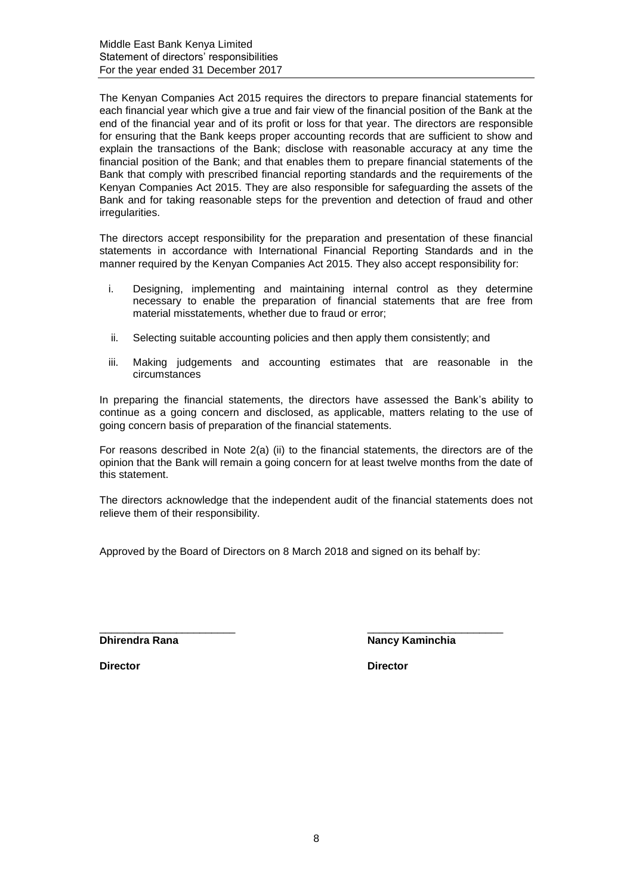The Kenyan Companies Act 2015 requires the directors to prepare financial statements for each financial year which give a true and fair view of the financial position of the Bank at the end of the financial year and of its profit or loss for that year. The directors are responsible for ensuring that the Bank keeps proper accounting records that are sufficient to show and explain the transactions of the Bank; disclose with reasonable accuracy at any time the financial position of the Bank; and that enables them to prepare financial statements of the Bank that comply with prescribed financial reporting standards and the requirements of the Kenyan Companies Act 2015. They are also responsible for safeguarding the assets of the Bank and for taking reasonable steps for the prevention and detection of fraud and other irregularities.

The directors accept responsibility for the preparation and presentation of these financial statements in accordance with International Financial Reporting Standards and in the manner required by the Kenyan Companies Act 2015. They also accept responsibility for:

- i. Designing, implementing and maintaining internal control as they determine necessary to enable the preparation of financial statements that are free from material misstatements, whether due to fraud or error;
- ii. Selecting suitable accounting policies and then apply them consistently; and
- iii. Making judgements and accounting estimates that are reasonable in the circumstances

In preparing the financial statements, the directors have assessed the Bank's ability to continue as a going concern and disclosed, as applicable, matters relating to the use of going concern basis of preparation of the financial statements.

For reasons described in Note 2(a) (ii) to the financial statements, the directors are of the opinion that the Bank will remain a going concern for at least twelve months from the date of this statement.

The directors acknowledge that the independent audit of the financial statements does not relieve them of their responsibility.

Approved by the Board of Directors on 8 March 2018 and signed on its behalf by:

\_\_\_\_\_\_\_\_\_\_\_\_\_\_\_\_\_\_\_\_\_\_\_ \_\_\_\_\_\_\_\_\_\_\_\_\_\_\_\_\_\_\_\_\_\_\_

**Dhirendra Rana Nancy Kaminchia**

**Director Director**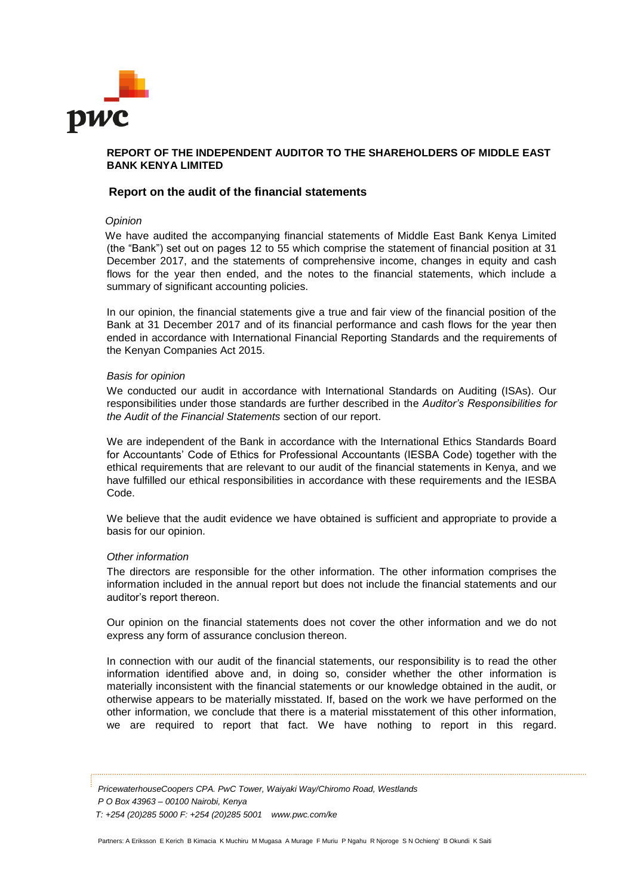

## **REPORT OF THE INDEPENDENT AUDITOR TO THE SHAREHOLDERS OF MIDDLE EAST BANK KENYA LIMITED**

#### **Report on the audit of the financial statements**

#### *Opinion*

We have audited the accompanying financial statements of Middle East Bank Kenya Limited (the "Bank") set out on pages 12 to 55 which comprise the statement of financial position at 31 December 2017, and the statements of comprehensive income, changes in equity and cash flows for the year then ended, and the notes to the financial statements, which include a summary of significant accounting policies.

In our opinion, the financial statements give a true and fair view of the financial position of the Bank at 31 December 2017 and of its financial performance and cash flows for the year then ended in accordance with International Financial Reporting Standards and the requirements of the Kenyan Companies Act 2015.

#### *Basis for opinion*

We conducted our audit in accordance with International Standards on Auditing (ISAs). Our responsibilities under those standards are further described in the *Auditor's Responsibilities for the Audit of the Financial Statements* section of our report.

We are independent of the Bank in accordance with the International Ethics Standards Board for Accountants' Code of Ethics for Professional Accountants (IESBA Code) together with the ethical requirements that are relevant to our audit of the financial statements in Kenya, and we have fulfilled our ethical responsibilities in accordance with these requirements and the IESBA Code.

We believe that the audit evidence we have obtained is sufficient and appropriate to provide a basis for our opinion.

#### *Other information*

The directors are responsible for the other information. The other information comprises the information included in the annual report but does not include the financial statements and our auditor's report thereon.

Our opinion on the financial statements does not cover the other information and we do not express any form of assurance conclusion thereon.

In connection with our audit of the financial statements, our responsibility is to read the other information identified above and, in doing so, consider whether the other information is materially inconsistent with the financial statements or our knowledge obtained in the audit, or otherwise appears to be materially misstated. If, based on the work we have performed on the other information, we conclude that there is a material misstatement of this other information, we are required to report that fact. We have nothing to report in this regard.

 *PricewaterhouseCoopers CPA. PwC Tower, Waiyaki Way/Chiromo Road, Westlands P O Box 43963 – 00100 Nairobi, Kenya T: +254 (20)285 5000 F: +254 (20)285 5001 www.pwc.com/ke*

Partners: A Eriksson E Kerich B Kimacia K Muchiru M Mugasa A Murage F Muriu P Ngahu R Njoroge S N Ochieng' B Okundi K Saiti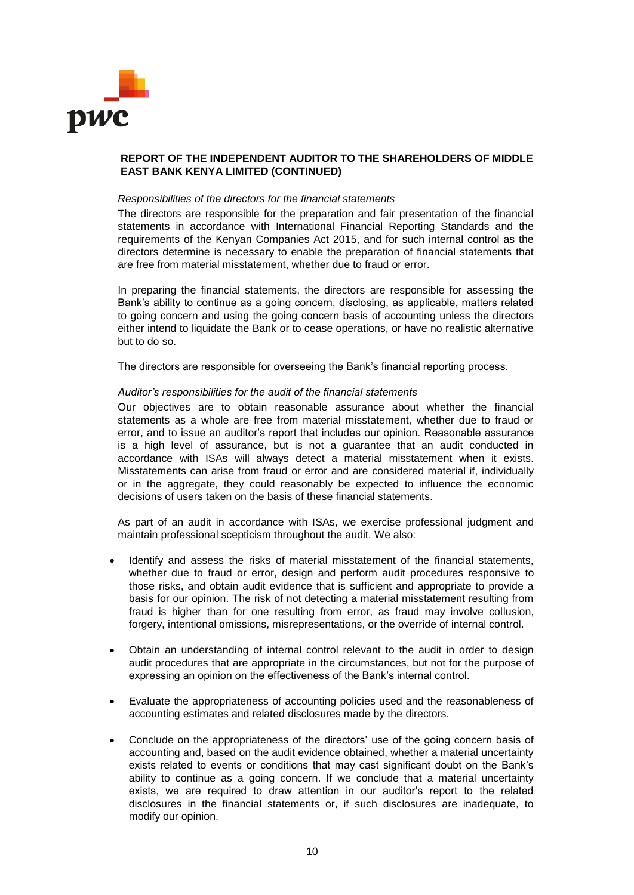

## **REPORT OF THE INDEPENDENT AUDITOR TO THE SHAREHOLDERS OF MIDDLE EAST BANK KENYA LIMITED (CONTINUED)**

#### *Responsibilities of the directors for the financial statements*

The directors are responsible for the preparation and fair presentation of the financial statements in accordance with International Financial Reporting Standards and the requirements of the Kenyan Companies Act 2015, and for such internal control as the directors determine is necessary to enable the preparation of financial statements that are free from material misstatement, whether due to fraud or error.

In preparing the financial statements, the directors are responsible for assessing the Bank's ability to continue as a going concern, disclosing, as applicable, matters related to going concern and using the going concern basis of accounting unless the directors either intend to liquidate the Bank or to cease operations, or have no realistic alternative but to do so.

The directors are responsible for overseeing the Bank's financial reporting process.

#### *Auditor's responsibilities for the audit of the financial statements*

Our objectives are to obtain reasonable assurance about whether the financial statements as a whole are free from material misstatement, whether due to fraud or error, and to issue an auditor's report that includes our opinion. Reasonable assurance is a high level of assurance, but is not a guarantee that an audit conducted in accordance with ISAs will always detect a material misstatement when it exists. Misstatements can arise from fraud or error and are considered material if, individually or in the aggregate, they could reasonably be expected to influence the economic decisions of users taken on the basis of these financial statements.

As part of an audit in accordance with ISAs, we exercise professional judgment and maintain professional scepticism throughout the audit. We also:

- Identify and assess the risks of material misstatement of the financial statements, whether due to fraud or error, design and perform audit procedures responsive to those risks, and obtain audit evidence that is sufficient and appropriate to provide a basis for our opinion. The risk of not detecting a material misstatement resulting from fraud is higher than for one resulting from error, as fraud may involve collusion, forgery, intentional omissions, misrepresentations, or the override of internal control.
- Obtain an understanding of internal control relevant to the audit in order to design audit procedures that are appropriate in the circumstances, but not for the purpose of expressing an opinion on the effectiveness of the Bank's internal control.
- Evaluate the appropriateness of accounting policies used and the reasonableness of accounting estimates and related disclosures made by the directors.
- Conclude on the appropriateness of the directors' use of the going concern basis of accounting and, based on the audit evidence obtained, whether a material uncertainty exists related to events or conditions that may cast significant doubt on the Bank's ability to continue as a going concern. If we conclude that a material uncertainty exists, we are required to draw attention in our auditor's report to the related disclosures in the financial statements or, if such disclosures are inadequate, to modify our opinion.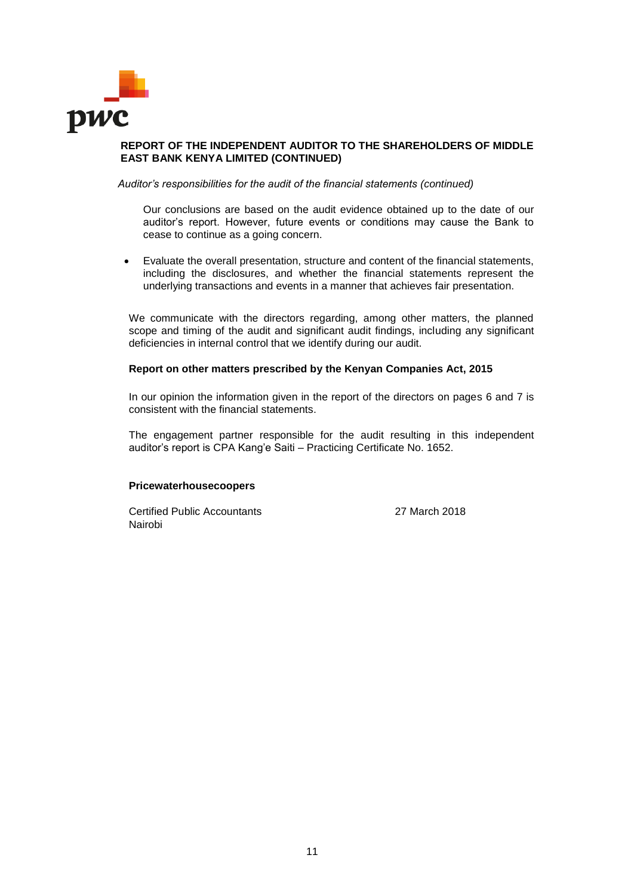

# **REPORT OF THE INDEPENDENT AUDITOR TO THE SHAREHOLDERS OF MIDDLE EAST BANK KENYA LIMITED (CONTINUED)**

*Auditor's responsibilities for the audit of the financial statements (continued)*

Our conclusions are based on the audit evidence obtained up to the date of our auditor's report. However, future events or conditions may cause the Bank to cease to continue as a going concern.

• Evaluate the overall presentation, structure and content of the financial statements, including the disclosures, and whether the financial statements represent the underlying transactions and events in a manner that achieves fair presentation.

We communicate with the directors regarding, among other matters, the planned scope and timing of the audit and significant audit findings, including any significant deficiencies in internal control that we identify during our audit.

## **Report on other matters prescribed by the Kenyan Companies Act, 2015**

In our opinion the information given in the report of the directors on pages 6 and 7 is consistent with the financial statements.

The engagement partner responsible for the audit resulting in this independent auditor's report is CPA Kang'e Saiti – Practicing Certificate No. 1652.

# **Pricewaterhousecoopers**

Certified Public Accountants 27 March 2018 Nairobi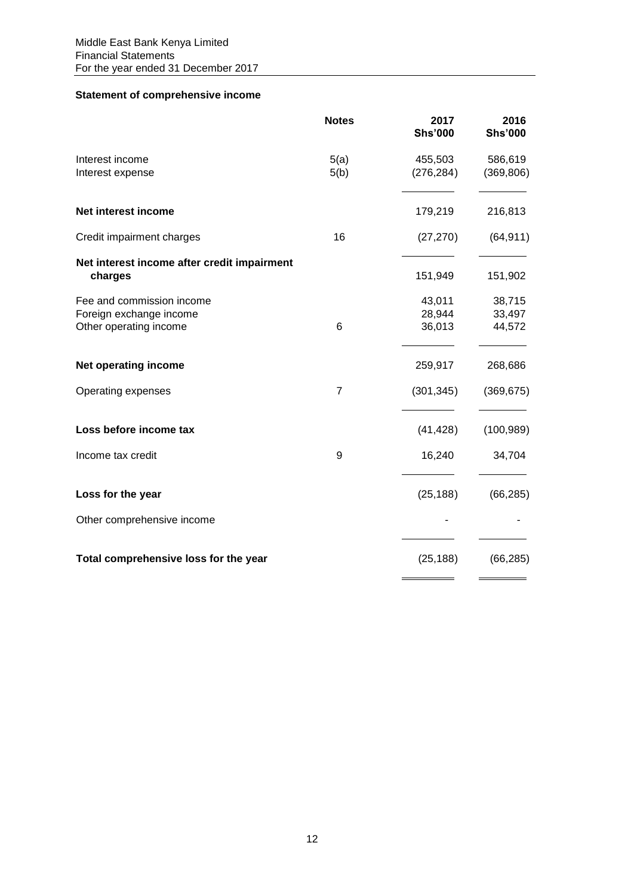# **Statement of comprehensive income**

|                                                                                | <b>Notes</b>   | 2017<br><b>Shs'000</b>     | 2016<br><b>Shs'000</b>     |
|--------------------------------------------------------------------------------|----------------|----------------------------|----------------------------|
| Interest income<br>Interest expense                                            | 5(a)<br>5(b)   | 455,503<br>(276, 284)      | 586,619<br>(369, 806)      |
| Net interest income                                                            |                | 179,219                    | 216,813                    |
| Credit impairment charges                                                      | 16             | (27, 270)                  | (64, 911)                  |
| Net interest income after credit impairment<br>charges                         |                | 151,949                    | 151,902                    |
| Fee and commission income<br>Foreign exchange income<br>Other operating income | 6              | 43,011<br>28,944<br>36,013 | 38,715<br>33,497<br>44,572 |
| Net operating income                                                           |                | 259,917                    | 268,686                    |
| Operating expenses                                                             | $\overline{7}$ | (301, 345)                 | (369, 675)                 |
| Loss before income tax                                                         |                | (41, 428)                  | (100, 989)                 |
| Income tax credit                                                              | 9              | 16,240                     | 34,704                     |
| Loss for the year                                                              |                | (25, 188)                  | (66, 285)                  |
| Other comprehensive income                                                     |                |                            |                            |
| Total comprehensive loss for the year                                          |                | (25, 188)                  | (66, 285)                  |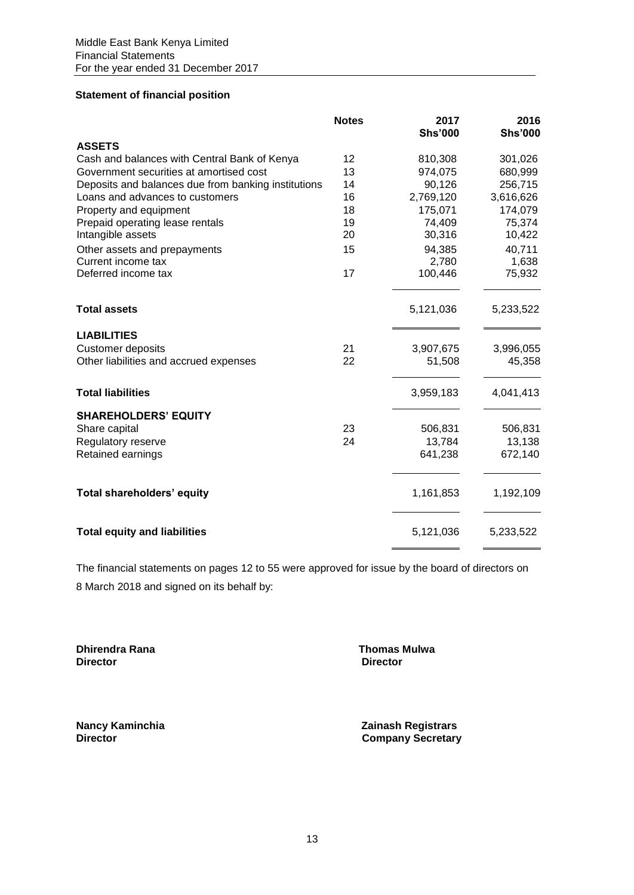# **Statement of financial position**

|                                                     | <b>Notes</b> | 2017<br><b>Shs'000</b> | 2016<br><b>Shs'000</b> |
|-----------------------------------------------------|--------------|------------------------|------------------------|
| <b>ASSETS</b>                                       |              |                        |                        |
| Cash and balances with Central Bank of Kenya        | 12           | 810,308                | 301,026                |
| Government securities at amortised cost             | 13           | 974,075                | 680,999                |
| Deposits and balances due from banking institutions | 14           | 90,126                 | 256,715                |
| Loans and advances to customers                     | 16           | 2,769,120              | 3,616,626              |
| Property and equipment                              | 18           | 175,071                | 174,079                |
| Prepaid operating lease rentals                     | 19           | 74,409                 | 75,374                 |
| Intangible assets                                   | 20           | 30,316                 | 10,422                 |
| Other assets and prepayments                        | 15           | 94,385                 | 40,711                 |
| Current income tax                                  |              | 2,780                  | 1,638                  |
| Deferred income tax                                 | 17           | 100,446                | 75,932                 |
| <b>Total assets</b>                                 |              | 5,121,036              | 5,233,522              |
| <b>LIABILITIES</b>                                  |              |                        |                        |
| <b>Customer deposits</b>                            | 21           | 3,907,675              | 3,996,055              |
| Other liabilities and accrued expenses              | 22           | 51,508                 | 45,358                 |
| <b>Total liabilities</b>                            |              | 3,959,183              | 4,041,413              |
| <b>SHAREHOLDERS' EQUITY</b>                         |              |                        |                        |
| Share capital                                       | 23           | 506,831                | 506,831                |
| Regulatory reserve                                  | 24           | 13,784                 | 13,138                 |
| Retained earnings                                   |              | 641,238                | 672,140                |
| Total shareholders' equity                          |              | 1,161,853              | 1,192,109              |
| <b>Total equity and liabilities</b>                 |              | 5,121,036              | 5,233,522              |

The financial statements on pages 12 to 55 were approved for issue by the board of directors on 8 March 2018 and signed on its behalf by:

**Dhirendra Rana Thomas Mulwa**<br> **Director Director Director Director**

**Nancy Kaminchia Nancy Kaminchia Nancy Kaminchia Zainash Registrars Director Company Secretary**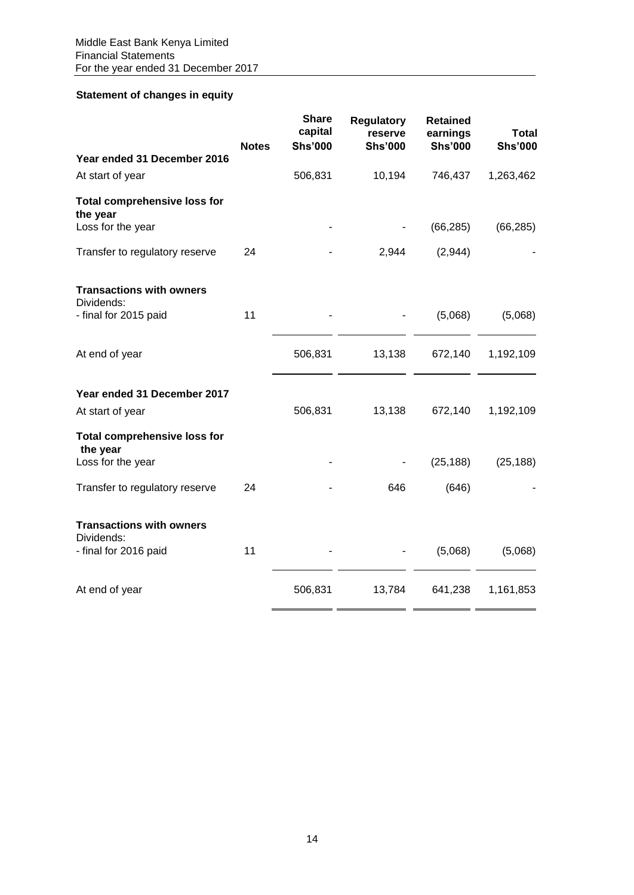# **Statement of changes in equity**

|                                                 | <b>Notes</b> | <b>Share</b><br>capital<br><b>Shs'000</b> | <b>Regulatory</b><br>reserve<br><b>Shs'000</b> | <b>Retained</b><br>earnings<br><b>Shs'000</b> | Total<br><b>Shs'000</b> |
|-------------------------------------------------|--------------|-------------------------------------------|------------------------------------------------|-----------------------------------------------|-------------------------|
| Year ended 31 December 2016                     |              |                                           |                                                |                                               |                         |
| At start of year                                |              | 506,831                                   | 10,194                                         | 746,437                                       | 1,263,462               |
| <b>Total comprehensive loss for</b><br>the year |              |                                           |                                                |                                               |                         |
| Loss for the year                               |              |                                           |                                                | (66, 285)                                     | (66, 285)               |
| Transfer to regulatory reserve                  | 24           |                                           | 2,944                                          | (2,944)                                       |                         |
| <b>Transactions with owners</b><br>Dividends:   |              |                                           |                                                |                                               |                         |
| - final for 2015 paid                           | 11           |                                           |                                                | (5,068)                                       | (5,068)                 |
| At end of year                                  |              | 506,831                                   | 13,138                                         | 672,140                                       | 1,192,109               |
|                                                 |              |                                           |                                                |                                               |                         |
| Year ended 31 December 2017                     |              |                                           |                                                |                                               |                         |
| At start of year                                |              | 506,831                                   | 13,138                                         | 672,140                                       | 1,192,109               |
| <b>Total comprehensive loss for</b><br>the year |              |                                           |                                                |                                               |                         |
| Loss for the year                               |              |                                           |                                                | (25, 188)                                     | (25, 188)               |
| Transfer to regulatory reserve                  | 24           |                                           | 646                                            | (646)                                         |                         |
| <b>Transactions with owners</b><br>Dividends:   |              |                                           |                                                |                                               |                         |
| - final for 2016 paid                           | 11           |                                           |                                                | (5,068)                                       | (5,068)                 |
| At end of year                                  |              | 506,831                                   | 13,784                                         | 641,238                                       | 1,161,853               |
|                                                 |              |                                           |                                                |                                               |                         |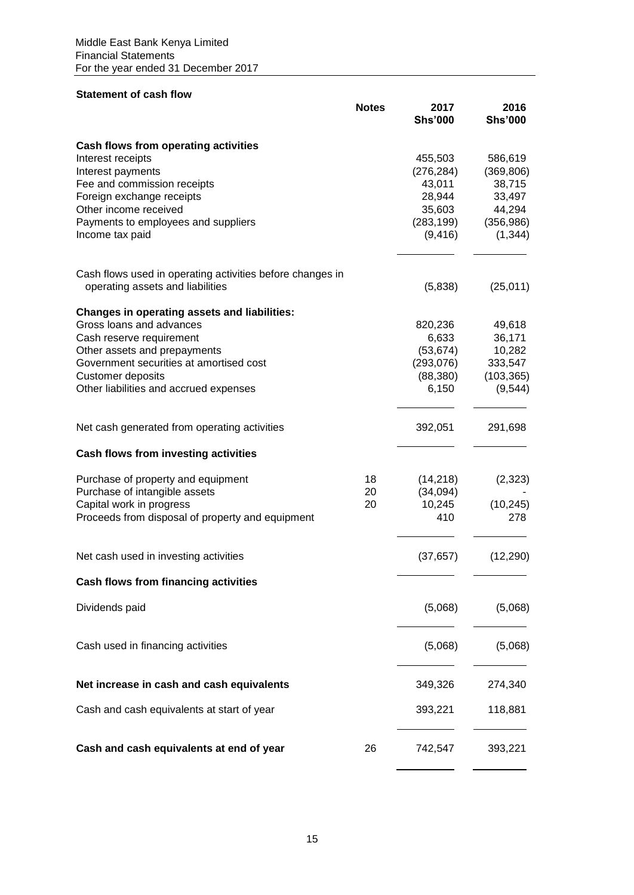# **Statement of cash flow**

|                                                                                               | <b>Notes</b> | 2017<br><b>Shs'000</b> | 2016<br><b>Shs'000</b> |
|-----------------------------------------------------------------------------------------------|--------------|------------------------|------------------------|
| Cash flows from operating activities                                                          |              |                        |                        |
| Interest receipts                                                                             |              | 455,503                | 586,619                |
| Interest payments                                                                             |              | (276, 284)             | (369, 806)             |
| Fee and commission receipts                                                                   |              | 43,011                 | 38,715                 |
| Foreign exchange receipts                                                                     |              | 28,944                 | 33,497                 |
| Other income received                                                                         |              | 35,603                 | 44,294                 |
| Payments to employees and suppliers                                                           |              | (283, 199)             | (356, 986)             |
| Income tax paid                                                                               |              | (9, 416)               | (1, 344)               |
| Cash flows used in operating activities before changes in<br>operating assets and liabilities |              | (5,838)                | (25, 011)              |
|                                                                                               |              |                        |                        |
| <b>Changes in operating assets and liabilities:</b><br>Gross loans and advances               |              |                        |                        |
|                                                                                               |              | 820,236                | 49,618                 |
| Cash reserve requirement                                                                      |              | 6,633                  | 36,171                 |
| Other assets and prepayments<br>Government securities at amortised cost                       |              | (53, 674)              | 10,282                 |
| <b>Customer deposits</b>                                                                      |              | (293, 076)             | 333,547                |
| Other liabilities and accrued expenses                                                        |              | (88, 380)<br>6,150     | (103, 365)<br>(9, 544) |
|                                                                                               |              |                        |                        |
| Net cash generated from operating activities                                                  |              | 392,051                | 291,698                |
| Cash flows from investing activities                                                          |              |                        |                        |
| Purchase of property and equipment                                                            | 18           | (14, 218)              | (2,323)                |
| Purchase of intangible assets                                                                 | 20           | (34,094)               |                        |
| Capital work in progress                                                                      | 20           | 10,245                 | (10, 245)              |
| Proceeds from disposal of property and equipment                                              |              | 410                    | 278                    |
| Net cash used in investing activities                                                         |              | (37, 657)              | (12, 290)              |
| <b>Cash flows from financing activities</b>                                                   |              |                        |                        |
| Dividends paid                                                                                |              | (5,068)                | (5,068)                |
| Cash used in financing activities                                                             |              | (5,068)                | (5,068)                |
| Net increase in cash and cash equivalents                                                     |              | 349,326                | 274,340                |
|                                                                                               |              |                        |                        |
| Cash and cash equivalents at start of year                                                    |              | 393,221                | 118,881                |
| Cash and cash equivalents at end of year                                                      | 26           | 742,547                | 393,221                |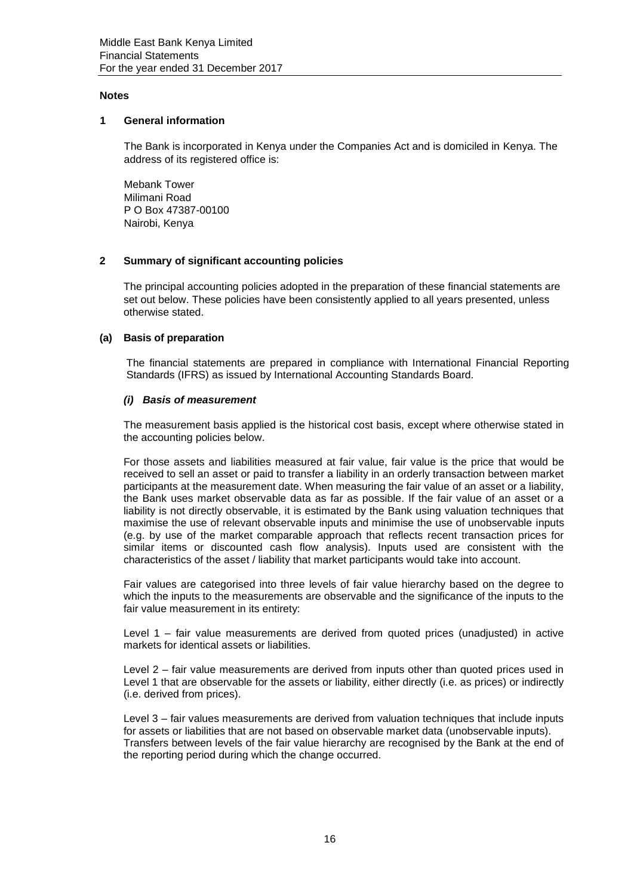#### **Notes**

## **1 General information**

The Bank is incorporated in Kenya under the Companies Act and is domiciled in Kenya. The address of its registered office is:

Mebank Tower Milimani Road P O Box 47387-00100 Nairobi, Kenya

## **2 Summary of significant accounting policies**

The principal accounting policies adopted in the preparation of these financial statements are set out below. These policies have been consistently applied to all years presented, unless otherwise stated.

## **(a) Basis of preparation**

The financial statements are prepared in compliance with International Financial Reporting Standards (IFRS) as issued by International Accounting Standards Board.

# *(i) Basis of measurement*

The measurement basis applied is the historical cost basis, except where otherwise stated in the accounting policies below.

For those assets and liabilities measured at fair value, fair value is the price that would be received to sell an asset or paid to transfer a liability in an orderly transaction between market participants at the measurement date. When measuring the fair value of an asset or a liability, the Bank uses market observable data as far as possible. If the fair value of an asset or a liability is not directly observable, it is estimated by the Bank using valuation techniques that maximise the use of relevant observable inputs and minimise the use of unobservable inputs (e.g. by use of the market comparable approach that reflects recent transaction prices for similar items or discounted cash flow analysis). Inputs used are consistent with the characteristics of the asset / liability that market participants would take into account.

Fair values are categorised into three levels of fair value hierarchy based on the degree to which the inputs to the measurements are observable and the significance of the inputs to the fair value measurement in its entirety:

Level 1 – fair value measurements are derived from quoted prices (unadjusted) in active markets for identical assets or liabilities.

Level 2 – fair value measurements are derived from inputs other than quoted prices used in Level 1 that are observable for the assets or liability, either directly (i.e. as prices) or indirectly (i.e. derived from prices).

Level 3 – fair values measurements are derived from valuation techniques that include inputs for assets or liabilities that are not based on observable market data (unobservable inputs). Transfers between levels of the fair value hierarchy are recognised by the Bank at the end of the reporting period during which the change occurred.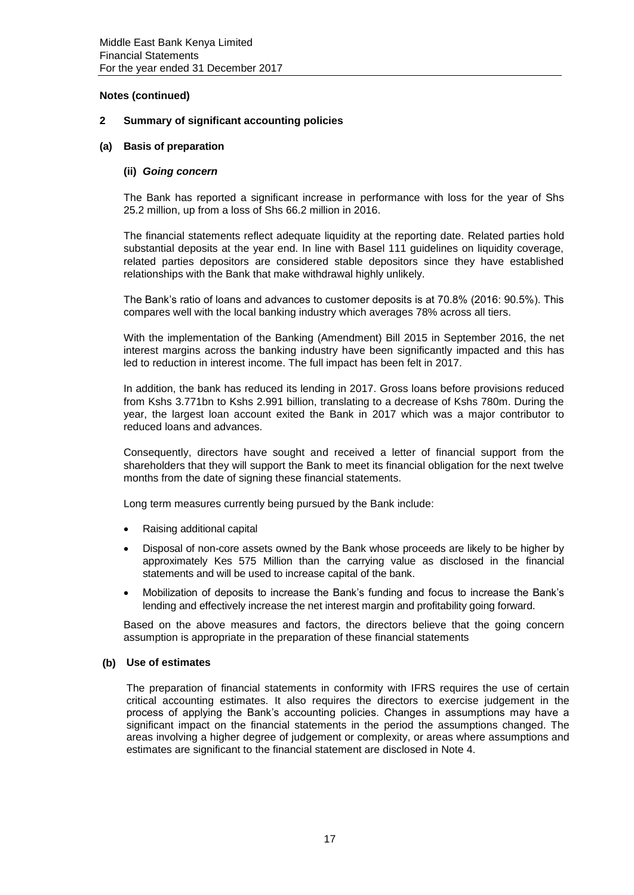#### **2 Summary of significant accounting policies**

#### **(a) Basis of preparation**

#### **(ii)** *Going concern*

The Bank has reported a significant increase in performance with loss for the year of Shs 25.2 million, up from a loss of Shs 66.2 million in 2016.

The financial statements reflect adequate liquidity at the reporting date. Related parties hold substantial deposits at the year end. In line with Basel 111 guidelines on liquidity coverage, related parties depositors are considered stable depositors since they have established relationships with the Bank that make withdrawal highly unlikely.

The Bank's ratio of loans and advances to customer deposits is at 70.8% (2016: 90.5%). This compares well with the local banking industry which averages 78% across all tiers.

With the implementation of the Banking (Amendment) Bill 2015 in September 2016, the net interest margins across the banking industry have been significantly impacted and this has led to reduction in interest income. The full impact has been felt in 2017.

In addition, the bank has reduced its lending in 2017. Gross loans before provisions reduced from Kshs 3.771bn to Kshs 2.991 billion, translating to a decrease of Kshs 780m. During the year, the largest loan account exited the Bank in 2017 which was a major contributor to reduced loans and advances.

Consequently, directors have sought and received a letter of financial support from the shareholders that they will support the Bank to meet its financial obligation for the next twelve months from the date of signing these financial statements.

Long term measures currently being pursued by the Bank include:

- Raising additional capital
- Disposal of non-core assets owned by the Bank whose proceeds are likely to be higher by approximately Kes 575 Million than the carrying value as disclosed in the financial statements and will be used to increase capital of the bank.
- Mobilization of deposits to increase the Bank's funding and focus to increase the Bank's lending and effectively increase the net interest margin and profitability going forward.

Based on the above measures and factors, the directors believe that the going concern assumption is appropriate in the preparation of these financial statements

#### **(b) Use of estimates**

The preparation of financial statements in conformity with IFRS requires the use of certain critical accounting estimates. It also requires the directors to exercise judgement in the process of applying the Bank's accounting policies. Changes in assumptions may have a significant impact on the financial statements in the period the assumptions changed. The areas involving a higher degree of judgement or complexity, or areas where assumptions and estimates are significant to the financial statement are disclosed in Note 4.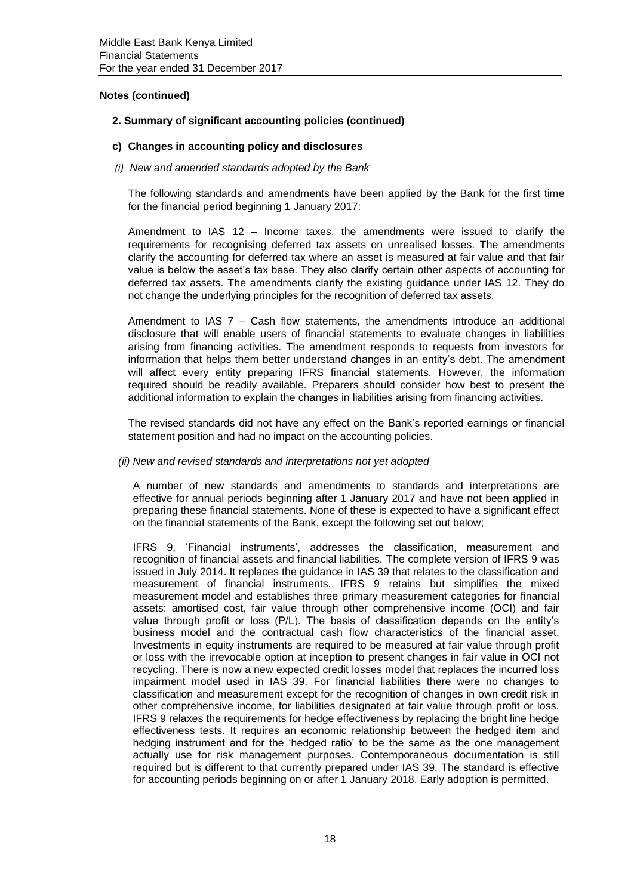#### **2. Summary of significant accounting policies (continued)**

#### **c) Changes in accounting policy and disclosures**

#### *(i) New and amended standards adopted by the Bank*

The following standards and amendments have been applied by the Bank for the first time for the financial period beginning 1 January 2017:

Amendment to IAS 12 – Income taxes, the amendments were issued to clarify the requirements for recognising deferred tax assets on unrealised losses. The amendments clarify the accounting for deferred tax where an asset is measured at fair value and that fair value is below the asset's tax base. They also clarify certain other aspects of accounting for deferred tax assets. The amendments clarify the existing guidance under IAS 12. They do not change the underlying principles for the recognition of deferred tax assets.

Amendment to IAS 7 – Cash flow statements, the amendments introduce an additional disclosure that will enable users of financial statements to evaluate changes in liabilities arising from financing activities. The amendment responds to requests from investors for information that helps them better understand changes in an entity's debt. The amendment will affect every entity preparing IFRS financial statements. However, the information required should be readily available. Preparers should consider how best to present the additional information to explain the changes in liabilities arising from financing activities.

The revised standards did not have any effect on the Bank's reported earnings or financial statement position and had no impact on the accounting policies.

#### *(ii) New and revised standards and interpretations not yet adopted*

A number of new standards and amendments to standards and interpretations are effective for annual periods beginning after 1 January 2017 and have not been applied in preparing these financial statements. None of these is expected to have a significant effect on the financial statements of the Bank, except the following set out below;

IFRS 9, 'Financial instruments', addresses the classification, measurement and recognition of financial assets and financial liabilities. The complete version of IFRS 9 was issued in July 2014. It replaces the guidance in IAS 39 that relates to the classification and measurement of financial instruments. IFRS 9 retains but simplifies the mixed measurement model and establishes three primary measurement categories for financial assets: amortised cost, fair value through other comprehensive income (OCI) and fair value through profit or loss (P/L). The basis of classification depends on the entity's business model and the contractual cash flow characteristics of the financial asset. Investments in equity instruments are required to be measured at fair value through profit or loss with the irrevocable option at inception to present changes in fair value in OCI not recycling. There is now a new expected credit losses model that replaces the incurred loss impairment model used in IAS 39. For financial liabilities there were no changes to classification and measurement except for the recognition of changes in own credit risk in other comprehensive income, for liabilities designated at fair value through profit or loss. IFRS 9 relaxes the requirements for hedge effectiveness by replacing the bright line hedge effectiveness tests. It requires an economic relationship between the hedged item and hedging instrument and for the 'hedged ratio' to be the same as the one management actually use for risk management purposes. Contemporaneous documentation is still required but is different to that currently prepared under IAS 39. The standard is effective for accounting periods beginning on or after 1 January 2018. Early adoption is permitted.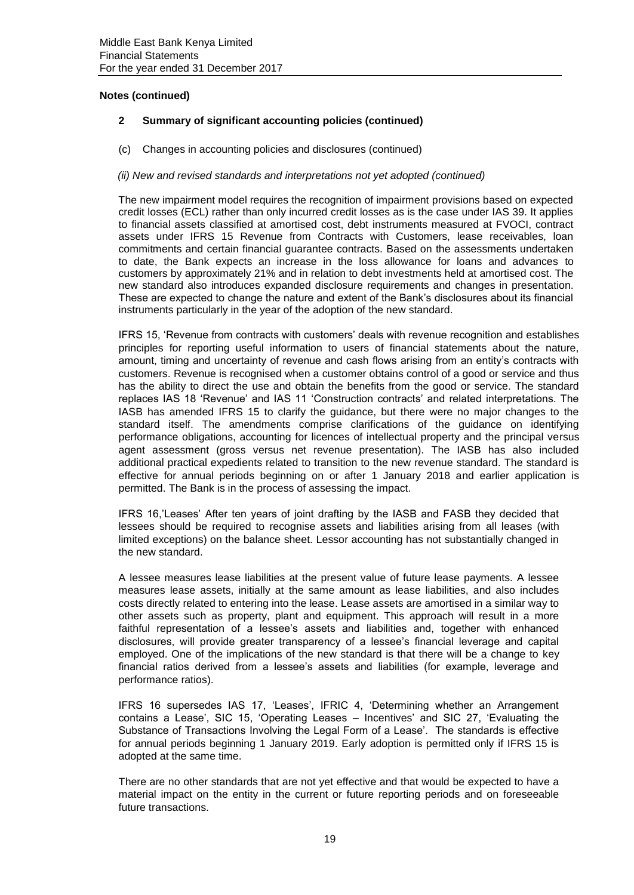## **2 Summary of significant accounting policies (continued)**

(c) Changes in accounting policies and disclosures (continued)

#### *(ii) New and revised standards and interpretations not yet adopted (continued)*

The new impairment model requires the recognition of impairment provisions based on expected credit losses (ECL) rather than only incurred credit losses as is the case under IAS 39. It applies to financial assets classified at amortised cost, debt instruments measured at FVOCI, contract assets under IFRS 15 Revenue from Contracts with Customers, lease receivables, loan commitments and certain financial guarantee contracts. Based on the assessments undertaken to date, the Bank expects an increase in the loss allowance for loans and advances to customers by approximately 21% and in relation to debt investments held at amortised cost. The new standard also introduces expanded disclosure requirements and changes in presentation. These are expected to change the nature and extent of the Bank's disclosures about its financial instruments particularly in the year of the adoption of the new standard.

IFRS 15, 'Revenue from contracts with customers' deals with revenue recognition and establishes principles for reporting useful information to users of financial statements about the nature, amount, timing and uncertainty of revenue and cash flows arising from an entity's contracts with customers. Revenue is recognised when a customer obtains control of a good or service and thus has the ability to direct the use and obtain the benefits from the good or service. The standard replaces IAS 18 'Revenue' and IAS 11 'Construction contracts' and related interpretations. The IASB has amended IFRS 15 to clarify the guidance, but there were no major changes to the standard itself. The amendments comprise clarifications of the guidance on identifying performance obligations, accounting for licences of intellectual property and the principal versus agent assessment (gross versus net revenue presentation). The IASB has also included additional practical expedients related to transition to the new revenue standard. The standard is effective for annual periods beginning on or after 1 January 2018 and earlier application is permitted. The Bank is in the process of assessing the impact.

IFRS 16,'Leases' After ten years of joint drafting by the IASB and FASB they decided that lessees should be required to recognise assets and liabilities arising from all leases (with limited exceptions) on the balance sheet. Lessor accounting has not substantially changed in the new standard.

A lessee measures lease liabilities at the present value of future lease payments. A lessee measures lease assets, initially at the same amount as lease liabilities, and also includes costs directly related to entering into the lease. Lease assets are amortised in a similar way to other assets such as property, plant and equipment. This approach will result in a more faithful representation of a lessee's assets and liabilities and, together with enhanced disclosures, will provide greater transparency of a lessee's financial leverage and capital employed. One of the implications of the new standard is that there will be a change to key financial ratios derived from a lessee's assets and liabilities (for example, leverage and performance ratios).

IFRS 16 supersedes IAS 17, 'Leases', IFRIC 4, 'Determining whether an Arrangement contains a Lease', SIC 15, 'Operating Leases – Incentives' and SIC 27, 'Evaluating the Substance of Transactions Involving the Legal Form of a Lease'. The standards is effective for annual periods beginning 1 January 2019. Early adoption is permitted only if IFRS 15 is adopted at the same time.

There are no other standards that are not yet effective and that would be expected to have a material impact on the entity in the current or future reporting periods and on foreseeable future transactions.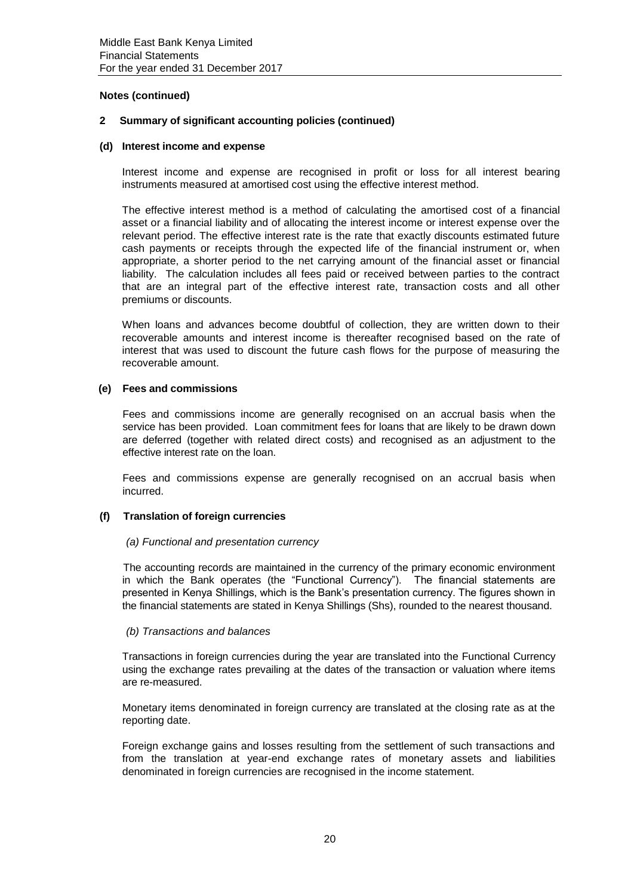#### **2 Summary of significant accounting policies (continued)**

#### **(d) Interest income and expense**

Interest income and expense are recognised in profit or loss for all interest bearing instruments measured at amortised cost using the effective interest method.

The effective interest method is a method of calculating the amortised cost of a financial asset or a financial liability and of allocating the interest income or interest expense over the relevant period. The effective interest rate is the rate that exactly discounts estimated future cash payments or receipts through the expected life of the financial instrument or, when appropriate, a shorter period to the net carrying amount of the financial asset or financial liability. The calculation includes all fees paid or received between parties to the contract that are an integral part of the effective interest rate, transaction costs and all other premiums or discounts.

When loans and advances become doubtful of collection, they are written down to their recoverable amounts and interest income is thereafter recognised based on the rate of interest that was used to discount the future cash flows for the purpose of measuring the recoverable amount.

## **(e) Fees and commissions**

Fees and commissions income are generally recognised on an accrual basis when the service has been provided. Loan commitment fees for loans that are likely to be drawn down are deferred (together with related direct costs) and recognised as an adjustment to the effective interest rate on the loan.

Fees and commissions expense are generally recognised on an accrual basis when incurred.

# **(f) Translation of foreign currencies**

#### *(a) Functional and presentation currency*

The accounting records are maintained in the currency of the primary economic environment in which the Bank operates (the "Functional Currency"). The financial statements are presented in Kenya Shillings, which is the Bank's presentation currency. The figures shown in the financial statements are stated in Kenya Shillings (Shs), rounded to the nearest thousand.

#### *(b) Transactions and balances*

Transactions in foreign currencies during the year are translated into the Functional Currency using the exchange rates prevailing at the dates of the transaction or valuation where items are re-measured.

Monetary items denominated in foreign currency are translated at the closing rate as at the reporting date.

Foreign exchange gains and losses resulting from the settlement of such transactions and from the translation at year-end exchange rates of monetary assets and liabilities denominated in foreign currencies are recognised in the income statement.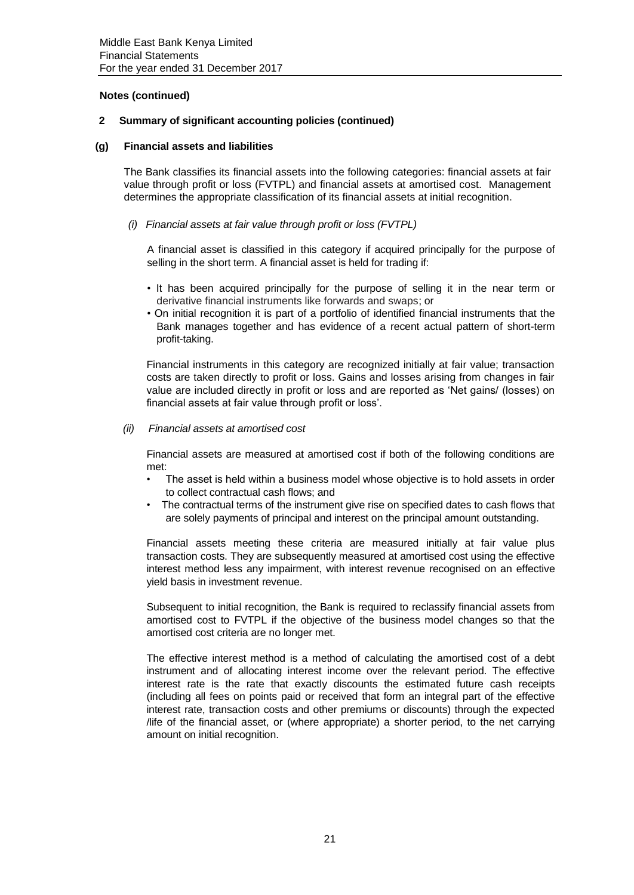#### **2 Summary of significant accounting policies (continued)**

#### **(g) Financial assets and liabilities**

The Bank classifies its financial assets into the following categories: financial assets at fair value through profit or loss (FVTPL) and financial assets at amortised cost. Management determines the appropriate classification of its financial assets at initial recognition.

## *(i) Financial assets at fair value through profit or loss (FVTPL)*

A financial asset is classified in this category if acquired principally for the purpose of selling in the short term. A financial asset is held for trading if:

- It has been acquired principally for the purpose of selling it in the near term or derivative financial instruments like forwards and swaps; or
- On initial recognition it is part of a portfolio of identified financial instruments that the Bank manages together and has evidence of a recent actual pattern of short-term profit-taking.

Financial instruments in this category are recognized initially at fair value; transaction costs are taken directly to profit or loss. Gains and losses arising from changes in fair value are included directly in profit or loss and are reported as 'Net gains/ (losses) on financial assets at fair value through profit or loss'.

#### *(ii) Financial assets at amortised cost*

Financial assets are measured at amortised cost if both of the following conditions are met:

- The asset is held within a business model whose objective is to hold assets in order to collect contractual cash flows; and
- The contractual terms of the instrument give rise on specified dates to cash flows that are solely payments of principal and interest on the principal amount outstanding.

Financial assets meeting these criteria are measured initially at fair value plus transaction costs. They are subsequently measured at amortised cost using the effective interest method less any impairment, with interest revenue recognised on an effective yield basis in investment revenue.

Subsequent to initial recognition, the Bank is required to reclassify financial assets from amortised cost to FVTPL if the objective of the business model changes so that the amortised cost criteria are no longer met.

The effective interest method is a method of calculating the amortised cost of a debt instrument and of allocating interest income over the relevant period. The effective interest rate is the rate that exactly discounts the estimated future cash receipts (including all fees on points paid or received that form an integral part of the effective interest rate, transaction costs and other premiums or discounts) through the expected /life of the financial asset, or (where appropriate) a shorter period, to the net carrying amount on initial recognition.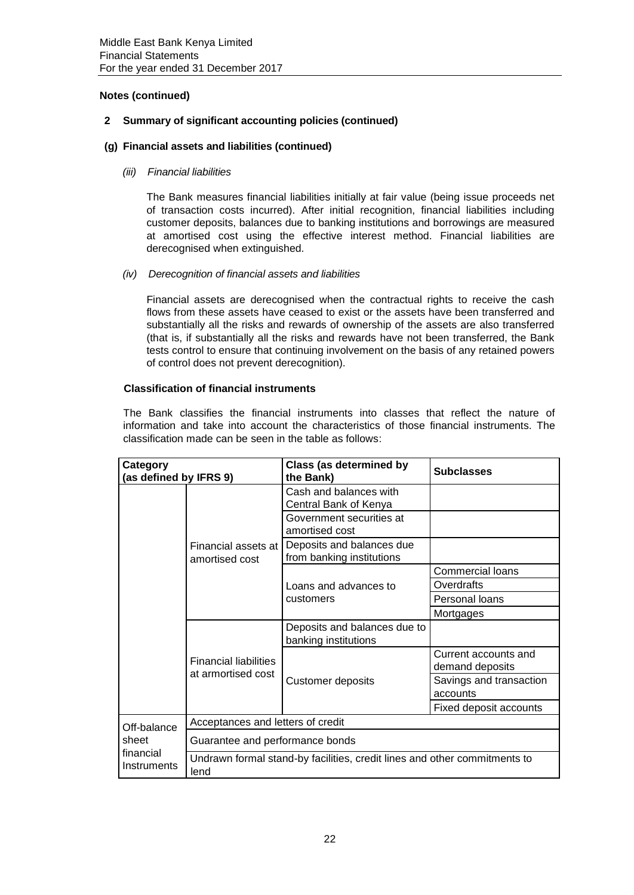# **2 Summary of significant accounting policies (continued)**

## **(g) Financial assets and liabilities (continued)**

## *(iii) Financial liabilities*

The Bank measures financial liabilities initially at fair value (being issue proceeds net of transaction costs incurred). After initial recognition, financial liabilities including customer deposits, balances due to banking institutions and borrowings are measured at amortised cost using the effective interest method. Financial liabilities are derecognised when extinguished.

## *(iv) Derecognition of financial assets and liabilities*

Financial assets are derecognised when the contractual rights to receive the cash flows from these assets have ceased to exist or the assets have been transferred and substantially all the risks and rewards of ownership of the assets are also transferred (that is, if substantially all the risks and rewards have not been transferred, the Bank tests control to ensure that continuing involvement on the basis of any retained powers of control does not prevent derecognition).

## **Classification of financial instruments**

The Bank classifies the financial instruments into classes that reflect the nature of information and take into account the characteristics of those financial instruments. The classification made can be seen in the table as follows:

| Category<br>(as defined by IFRS 9)                                                                            |                                                    | <b>Class (as determined by</b><br>the Bank)            | <b>Subclasses</b>                       |  |  |
|---------------------------------------------------------------------------------------------------------------|----------------------------------------------------|--------------------------------------------------------|-----------------------------------------|--|--|
|                                                                                                               |                                                    | Cash and balances with<br>Central Bank of Kenya        |                                         |  |  |
|                                                                                                               |                                                    | Government securities at<br>amortised cost             |                                         |  |  |
|                                                                                                               | Financial assets at I<br>amortised cost            | Deposits and balances due<br>from banking institutions |                                         |  |  |
|                                                                                                               |                                                    |                                                        | Commercial loans                        |  |  |
|                                                                                                               |                                                    | Loans and advances to<br>customers                     | Overdrafts                              |  |  |
|                                                                                                               |                                                    |                                                        | Personal loans                          |  |  |
|                                                                                                               |                                                    |                                                        | Mortgages                               |  |  |
|                                                                                                               |                                                    | Deposits and balances due to<br>banking institutions   |                                         |  |  |
|                                                                                                               | <b>Financial liabilities</b><br>at armortised cost |                                                        | Current accounts and<br>demand deposits |  |  |
|                                                                                                               |                                                    | Customer deposits                                      | Savings and transaction<br>accounts     |  |  |
|                                                                                                               |                                                    |                                                        | Fixed deposit accounts                  |  |  |
| Off-balance                                                                                                   | Acceptances and letters of credit                  |                                                        |                                         |  |  |
| sheet                                                                                                         | Guarantee and performance bonds                    |                                                        |                                         |  |  |
| financial<br>Undrawn formal stand-by facilities, credit lines and other commitments to<br>Instruments<br>lend |                                                    |                                                        |                                         |  |  |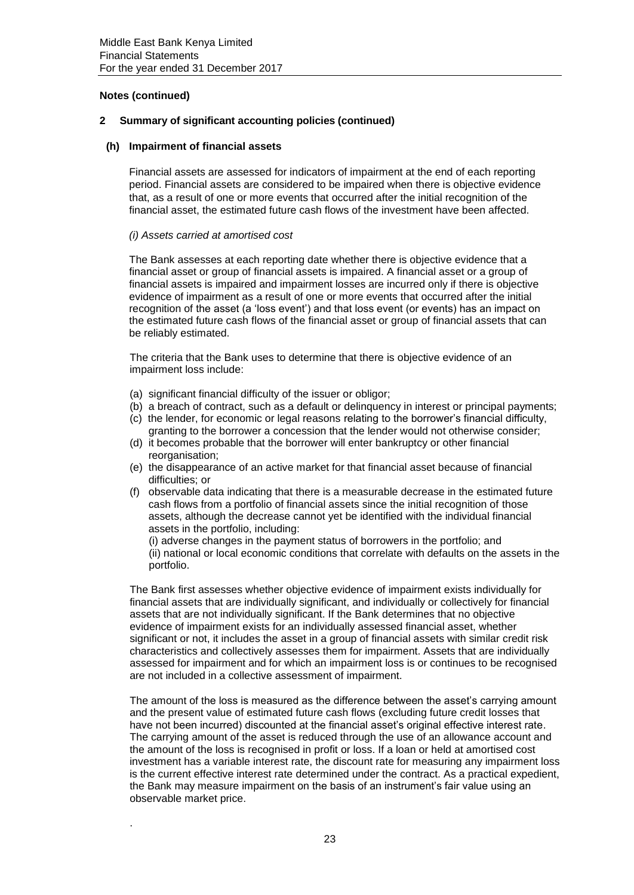.

#### **2 Summary of significant accounting policies (continued)**

#### **(h) Impairment of financial assets**

Financial assets are assessed for indicators of impairment at the end of each reporting period. Financial assets are considered to be impaired when there is objective evidence that, as a result of one or more events that occurred after the initial recognition of the financial asset, the estimated future cash flows of the investment have been affected.

#### *(i) Assets carried at amortised cost*

The Bank assesses at each reporting date whether there is objective evidence that a financial asset or group of financial assets is impaired. A financial asset or a group of financial assets is impaired and impairment losses are incurred only if there is objective evidence of impairment as a result of one or more events that occurred after the initial recognition of the asset (a 'loss event') and that loss event (or events) has an impact on the estimated future cash flows of the financial asset or group of financial assets that can be reliably estimated.

The criteria that the Bank uses to determine that there is objective evidence of an impairment loss include:

- (a) significant financial difficulty of the issuer or obligor;
- (b) a breach of contract, such as a default or delinquency in interest or principal payments;
- (c) the lender, for economic or legal reasons relating to the borrower's financial difficulty, granting to the borrower a concession that the lender would not otherwise consider;
- (d) it becomes probable that the borrower will enter bankruptcy or other financial reorganisation;
- (e) the disappearance of an active market for that financial asset because of financial difficulties; or
- (f) observable data indicating that there is a measurable decrease in the estimated future cash flows from a portfolio of financial assets since the initial recognition of those assets, although the decrease cannot yet be identified with the individual financial assets in the portfolio, including:

(i) adverse changes in the payment status of borrowers in the portfolio; and (ii) national or local economic conditions that correlate with defaults on the assets in the portfolio.

The Bank first assesses whether objective evidence of impairment exists individually for financial assets that are individually significant, and individually or collectively for financial assets that are not individually significant. If the Bank determines that no objective evidence of impairment exists for an individually assessed financial asset, whether significant or not, it includes the asset in a group of financial assets with similar credit risk characteristics and collectively assesses them for impairment. Assets that are individually assessed for impairment and for which an impairment loss is or continues to be recognised are not included in a collective assessment of impairment.

The amount of the loss is measured as the difference between the asset's carrying amount and the present value of estimated future cash flows (excluding future credit losses that have not been incurred) discounted at the financial asset's original effective interest rate. The carrying amount of the asset is reduced through the use of an allowance account and the amount of the loss is recognised in profit or loss. If a loan or held at amortised cost investment has a variable interest rate, the discount rate for measuring any impairment loss is the current effective interest rate determined under the contract. As a practical expedient, the Bank may measure impairment on the basis of an instrument's fair value using an observable market price.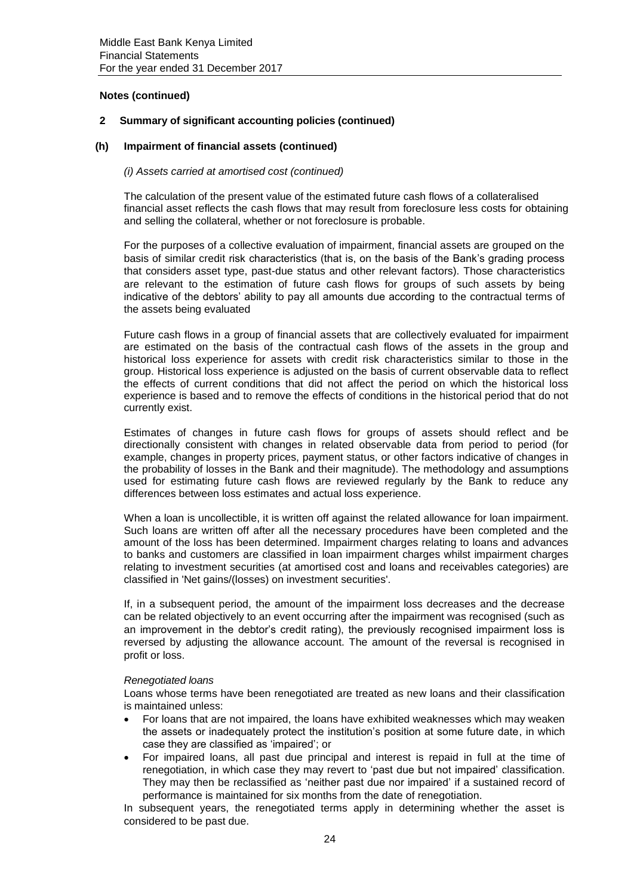## **2 Summary of significant accounting policies (continued)**

#### **(h) Impairment of financial assets (continued)**

## *(i) Assets carried at amortised cost (continued)*

The calculation of the present value of the estimated future cash flows of a collateralised financial asset reflects the cash flows that may result from foreclosure less costs for obtaining and selling the collateral, whether or not foreclosure is probable.

For the purposes of a collective evaluation of impairment, financial assets are grouped on the basis of similar credit risk characteristics (that is, on the basis of the Bank's grading process that considers asset type, past-due status and other relevant factors). Those characteristics are relevant to the estimation of future cash flows for groups of such assets by being indicative of the debtors' ability to pay all amounts due according to the contractual terms of the assets being evaluated

Future cash flows in a group of financial assets that are collectively evaluated for impairment are estimated on the basis of the contractual cash flows of the assets in the group and historical loss experience for assets with credit risk characteristics similar to those in the group. Historical loss experience is adjusted on the basis of current observable data to reflect the effects of current conditions that did not affect the period on which the historical loss experience is based and to remove the effects of conditions in the historical period that do not currently exist.

Estimates of changes in future cash flows for groups of assets should reflect and be directionally consistent with changes in related observable data from period to period (for example, changes in property prices, payment status, or other factors indicative of changes in the probability of losses in the Bank and their magnitude). The methodology and assumptions used for estimating future cash flows are reviewed regularly by the Bank to reduce any differences between loss estimates and actual loss experience.

When a loan is uncollectible, it is written off against the related allowance for loan impairment. Such loans are written off after all the necessary procedures have been completed and the amount of the loss has been determined. Impairment charges relating to loans and advances to banks and customers are classified in loan impairment charges whilst impairment charges relating to investment securities (at amortised cost and loans and receivables categories) are classified in 'Net gains/(losses) on investment securities'.

If, in a subsequent period, the amount of the impairment loss decreases and the decrease can be related objectively to an event occurring after the impairment was recognised (such as an improvement in the debtor's credit rating), the previously recognised impairment loss is reversed by adjusting the allowance account. The amount of the reversal is recognised in profit or loss.

#### *Renegotiated loans*

Loans whose terms have been renegotiated are treated as new loans and their classification is maintained unless:

- For loans that are not impaired, the loans have exhibited weaknesses which may weaken the assets or inadequately protect the institution's position at some future date, in which case they are classified as 'impaired'; or
- For impaired loans, all past due principal and interest is repaid in full at the time of renegotiation, in which case they may revert to 'past due but not impaired' classification. They may then be reclassified as 'neither past due nor impaired' if a sustained record of performance is maintained for six months from the date of renegotiation.

In subsequent years, the renegotiated terms apply in determining whether the asset is considered to be past due.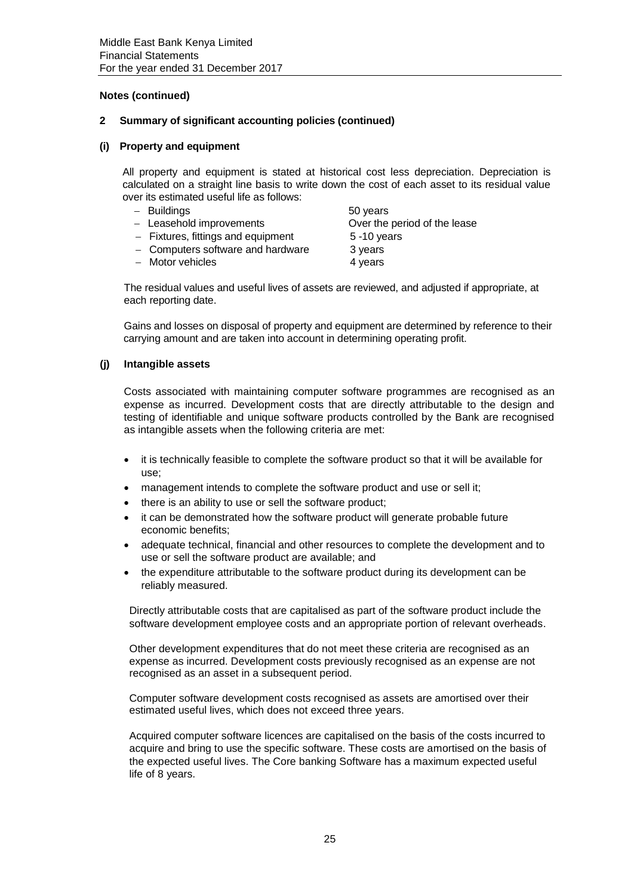#### **2 Summary of significant accounting policies (continued)**

#### **(i) Property and equipment**

All property and equipment is stated at historical cost less depreciation. Depreciation is calculated on a straight line basis to write down the cost of each asset to its residual value over its estimated useful life as follows:

- Buildings 30 years Leasehold improvements Over the period of the lease - Fixtures, fittings and equipment 5 -10 years
- Computers software and hardware 3 years
- Motor vehicles 4 years

The residual values and useful lives of assets are reviewed, and adjusted if appropriate, at each reporting date.

Gains and losses on disposal of property and equipment are determined by reference to their carrying amount and are taken into account in determining operating profit.

#### **(j) Intangible assets**

Costs associated with maintaining computer software programmes are recognised as an expense as incurred. Development costs that are directly attributable to the design and testing of identifiable and unique software products controlled by the Bank are recognised as intangible assets when the following criteria are met:

- it is technically feasible to complete the software product so that it will be available for use;
- management intends to complete the software product and use or sell it;
- there is an ability to use or sell the software product;
- it can be demonstrated how the software product will generate probable future economic benefits;
- adequate technical, financial and other resources to complete the development and to use or sell the software product are available; and
- the expenditure attributable to the software product during its development can be reliably measured.

Directly attributable costs that are capitalised as part of the software product include the software development employee costs and an appropriate portion of relevant overheads.

Other development expenditures that do not meet these criteria are recognised as an expense as incurred. Development costs previously recognised as an expense are not recognised as an asset in a subsequent period.

Computer software development costs recognised as assets are amortised over their estimated useful lives, which does not exceed three years.

Acquired computer software licences are capitalised on the basis of the costs incurred to acquire and bring to use the specific software. These costs are amortised on the basis of the expected useful lives. The Core banking Software has a maximum expected useful life of 8 years.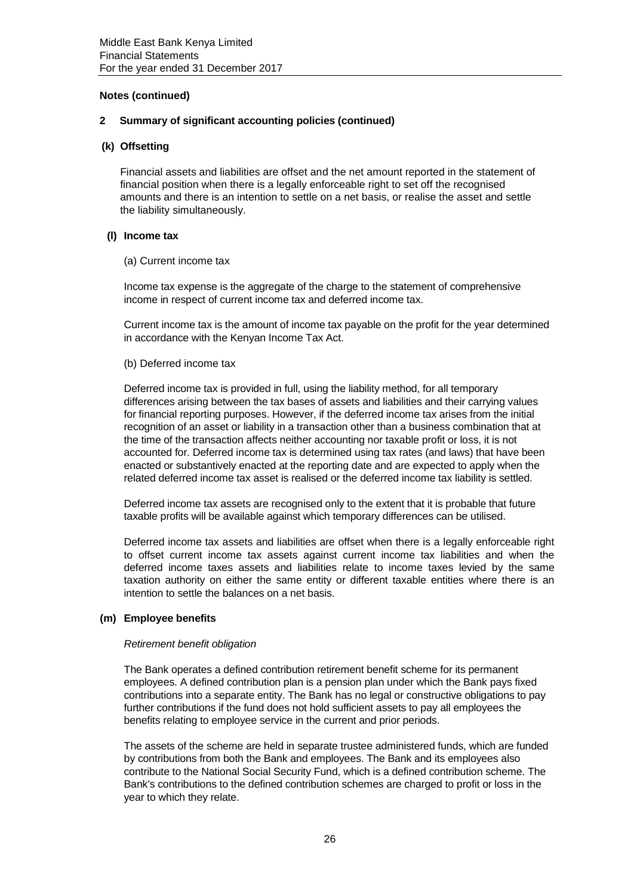## **2 Summary of significant accounting policies (continued)**

#### **(k) Offsetting**

Financial assets and liabilities are offset and the net amount reported in the statement of financial position when there is a legally enforceable right to set off the recognised amounts and there is an intention to settle on a net basis, or realise the asset and settle the liability simultaneously.

#### **(l) Income tax**

#### (a) Current income tax

Income tax expense is the aggregate of the charge to the statement of comprehensive income in respect of current income tax and deferred income tax.

Current income tax is the amount of income tax payable on the profit for the year determined in accordance with the Kenyan Income Tax Act.

(b) Deferred income tax

Deferred income tax is provided in full, using the liability method, for all temporary differences arising between the tax bases of assets and liabilities and their carrying values for financial reporting purposes. However, if the deferred income tax arises from the initial recognition of an asset or liability in a transaction other than a business combination that at the time of the transaction affects neither accounting nor taxable profit or loss, it is not accounted for. Deferred income tax is determined using tax rates (and laws) that have been enacted or substantively enacted at the reporting date and are expected to apply when the related deferred income tax asset is realised or the deferred income tax liability is settled.

Deferred income tax assets are recognised only to the extent that it is probable that future taxable profits will be available against which temporary differences can be utilised.

Deferred income tax assets and liabilities are offset when there is a legally enforceable right to offset current income tax assets against current income tax liabilities and when the deferred income taxes assets and liabilities relate to income taxes levied by the same taxation authority on either the same entity or different taxable entities where there is an intention to settle the balances on a net basis.

#### **(m) Employee benefits**

#### *Retirement benefit obligation*

The Bank operates a defined contribution retirement benefit scheme for its permanent employees. A defined contribution plan is a pension plan under which the Bank pays fixed contributions into a separate entity. The Bank has no legal or constructive obligations to pay further contributions if the fund does not hold sufficient assets to pay all employees the benefits relating to employee service in the current and prior periods.

The assets of the scheme are held in separate trustee administered funds, which are funded by contributions from both the Bank and employees. The Bank and its employees also contribute to the National Social Security Fund, which is a defined contribution scheme. The Bank's contributions to the defined contribution schemes are charged to profit or loss in the year to which they relate.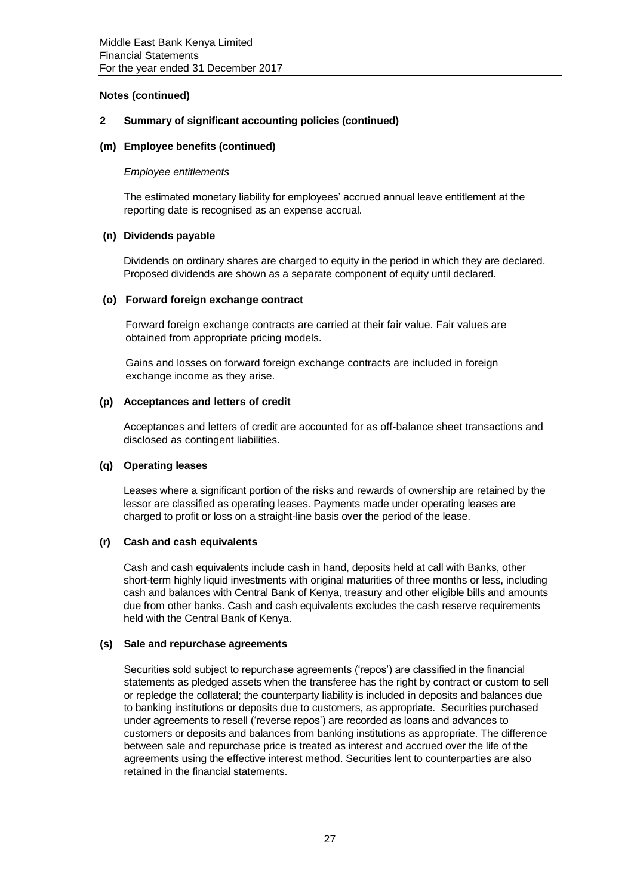## **2 Summary of significant accounting policies (continued)**

#### **(m) Employee benefits (continued)**

#### *Employee entitlements*

The estimated monetary liability for employees' accrued annual leave entitlement at the reporting date is recognised as an expense accrual.

## **(n) Dividends payable**

Dividends on ordinary shares are charged to equity in the period in which they are declared. Proposed dividends are shown as a separate component of equity until declared.

## **(o) Forward foreign exchange contract**

Forward foreign exchange contracts are carried at their fair value. Fair values are obtained from appropriate pricing models.

Gains and losses on forward foreign exchange contracts are included in foreign exchange income as they arise.

#### **(p) Acceptances and letters of credit**

Acceptances and letters of credit are accounted for as off-balance sheet transactions and disclosed as contingent liabilities.

#### **(q) Operating leases**

Leases where a significant portion of the risks and rewards of ownership are retained by the lessor are classified as operating leases. Payments made under operating leases are charged to profit or loss on a straight-line basis over the period of the lease.

#### **(r) Cash and cash equivalents**

Cash and cash equivalents include cash in hand, deposits held at call with Banks, other short-term highly liquid investments with original maturities of three months or less, including cash and balances with Central Bank of Kenya, treasury and other eligible bills and amounts due from other banks. Cash and cash equivalents excludes the cash reserve requirements held with the Central Bank of Kenya.

#### **(s) Sale and repurchase agreements**

Securities sold subject to repurchase agreements ('repos') are classified in the financial statements as pledged assets when the transferee has the right by contract or custom to sell or repledge the collateral; the counterparty liability is included in deposits and balances due to banking institutions or deposits due to customers, as appropriate. Securities purchased under agreements to resell ('reverse repos') are recorded as loans and advances to customers or deposits and balances from banking institutions as appropriate. The difference between sale and repurchase price is treated as interest and accrued over the life of the agreements using the effective interest method. Securities lent to counterparties are also retained in the financial statements.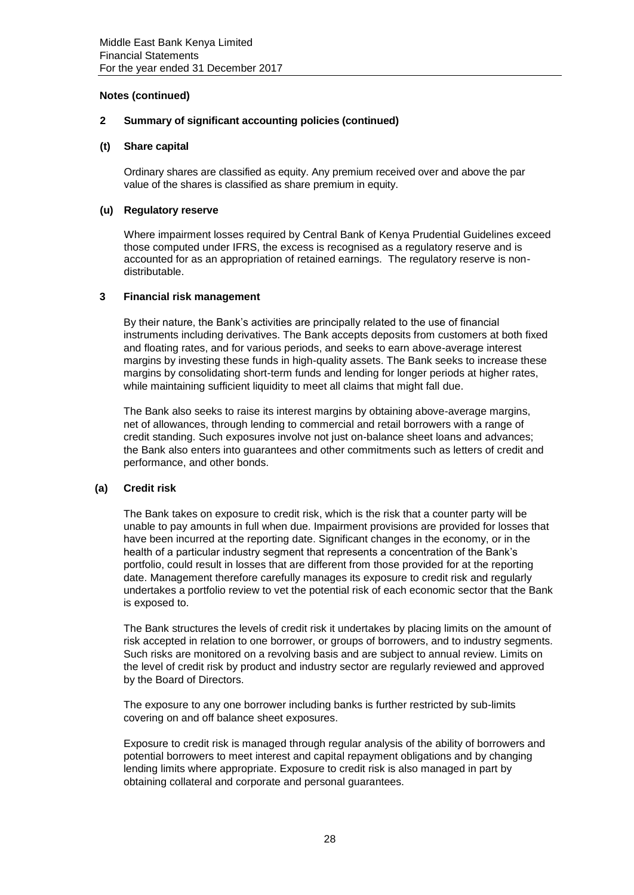#### **2 Summary of significant accounting policies (continued)**

#### **(t) Share capital**

Ordinary shares are classified as equity. Any premium received over and above the par value of the shares is classified as share premium in equity.

#### **(u) Regulatory reserve**

Where impairment losses required by Central Bank of Kenya Prudential Guidelines exceed those computed under IFRS, the excess is recognised as a regulatory reserve and is accounted for as an appropriation of retained earnings. The regulatory reserve is nondistributable.

## **3 Financial risk management**

By their nature, the Bank's activities are principally related to the use of financial instruments including derivatives. The Bank accepts deposits from customers at both fixed and floating rates, and for various periods, and seeks to earn above-average interest margins by investing these funds in high-quality assets. The Bank seeks to increase these margins by consolidating short-term funds and lending for longer periods at higher rates, while maintaining sufficient liquidity to meet all claims that might fall due.

The Bank also seeks to raise its interest margins by obtaining above-average margins, net of allowances, through lending to commercial and retail borrowers with a range of credit standing. Such exposures involve not just on-balance sheet loans and advances; the Bank also enters into guarantees and other commitments such as letters of credit and performance, and other bonds.

#### **(a) Credit risk**

The Bank takes on exposure to credit risk, which is the risk that a counter party will be unable to pay amounts in full when due. Impairment provisions are provided for losses that have been incurred at the reporting date. Significant changes in the economy, or in the health of a particular industry segment that represents a concentration of the Bank's portfolio, could result in losses that are different from those provided for at the reporting date. Management therefore carefully manages its exposure to credit risk and regularly undertakes a portfolio review to vet the potential risk of each economic sector that the Bank is exposed to.

The Bank structures the levels of credit risk it undertakes by placing limits on the amount of risk accepted in relation to one borrower, or groups of borrowers, and to industry segments. Such risks are monitored on a revolving basis and are subject to annual review. Limits on the level of credit risk by product and industry sector are regularly reviewed and approved by the Board of Directors.

The exposure to any one borrower including banks is further restricted by sub-limits covering on and off balance sheet exposures.

Exposure to credit risk is managed through regular analysis of the ability of borrowers and potential borrowers to meet interest and capital repayment obligations and by changing lending limits where appropriate. Exposure to credit risk is also managed in part by obtaining collateral and corporate and personal guarantees.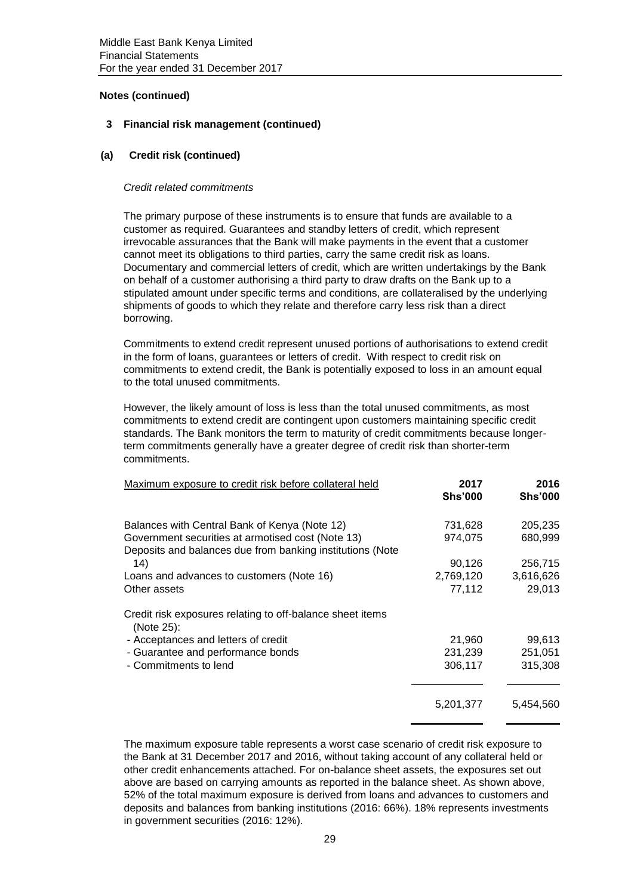## **3 Financial risk management (continued)**

## **(a) Credit risk (continued)**

#### *Credit related commitments*

The primary purpose of these instruments is to ensure that funds are available to a customer as required. Guarantees and standby letters of credit, which represent irrevocable assurances that the Bank will make payments in the event that a customer cannot meet its obligations to third parties, carry the same credit risk as loans. Documentary and commercial letters of credit, which are written undertakings by the Bank on behalf of a customer authorising a third party to draw drafts on the Bank up to a stipulated amount under specific terms and conditions, are collateralised by the underlying shipments of goods to which they relate and therefore carry less risk than a direct borrowing.

Commitments to extend credit represent unused portions of authorisations to extend credit in the form of loans, guarantees or letters of credit. With respect to credit risk on commitments to extend credit, the Bank is potentially exposed to loss in an amount equal to the total unused commitments.

However, the likely amount of loss is less than the total unused commitments, as most commitments to extend credit are contingent upon customers maintaining specific credit standards. The Bank monitors the term to maturity of credit commitments because longerterm commitments generally have a greater degree of credit risk than shorter-term commitments.

| Maximum exposure to credit risk before collateral held                                                         | 2017           | 2016           |
|----------------------------------------------------------------------------------------------------------------|----------------|----------------|
|                                                                                                                | <b>Shs'000</b> | <b>Shs'000</b> |
| Balances with Central Bank of Kenya (Note 12)                                                                  | 731,628        | 205,235        |
| Government securities at armotised cost (Note 13)<br>Deposits and balances due from banking institutions (Note | 974,075        | 680,999        |
| 14)                                                                                                            | 90,126         | 256,715        |
| Loans and advances to customers (Note 16)                                                                      | 2,769,120      | 3,616,626      |
| Other assets                                                                                                   | 77,112         | 29,013         |
| Credit risk exposures relating to off-balance sheet items<br>(Note 25):                                        |                |                |
| - Acceptances and letters of credit                                                                            | 21,960         | 99,613         |
| - Guarantee and performance bonds                                                                              | 231,239        | 251,051        |
| - Commitments to lend                                                                                          | 306,117        | 315,308        |
|                                                                                                                |                |                |
|                                                                                                                | 5,201,377      | 5,454,560      |

The maximum exposure table represents a worst case scenario of credit risk exposure to the Bank at 31 December 2017 and 2016, without taking account of any collateral held or other credit enhancements attached. For on-balance sheet assets, the exposures set out above are based on carrying amounts as reported in the balance sheet. As shown above, 52% of the total maximum exposure is derived from loans and advances to customers and deposits and balances from banking institutions (2016: 66%). 18% represents investments in government securities (2016: 12%).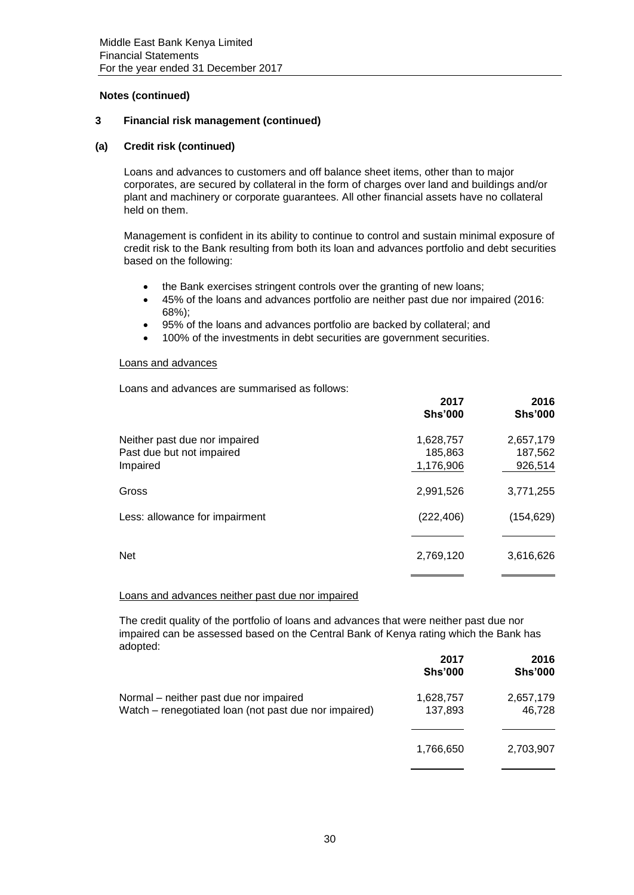## **3 Financial risk management (continued)**

#### **(a) Credit risk (continued)**

Loans and advances to customers and off balance sheet items, other than to major corporates, are secured by collateral in the form of charges over land and buildings and/or plant and machinery or corporate guarantees. All other financial assets have no collateral held on them.

Management is confident in its ability to continue to control and sustain minimal exposure of credit risk to the Bank resulting from both its loan and advances portfolio and debt securities based on the following:

- the Bank exercises stringent controls over the granting of new loans;
- 45% of the loans and advances portfolio are neither past due nor impaired (2016: 68%);
- 95% of the loans and advances portfolio are backed by collateral; and
- 100% of the investments in debt securities are government securities.

#### Loans and advances

Loans and advances are summarised as follows:

|                                                                        | 2017<br><b>Shs'000</b>            | 2016<br><b>Shs'000</b>          |
|------------------------------------------------------------------------|-----------------------------------|---------------------------------|
| Neither past due nor impaired<br>Past due but not impaired<br>Impaired | 1,628,757<br>185,863<br>1,176,906 | 2,657,179<br>187,562<br>926,514 |
| Gross                                                                  | 2,991,526                         | 3,771,255                       |
| Less: allowance for impairment                                         | (222, 406)                        | (154, 629)                      |
| <b>Net</b>                                                             | 2,769,120                         | 3,616,626                       |

#### Loans and advances neither past due nor impaired

The credit quality of the portfolio of loans and advances that were neither past due nor impaired can be assessed based on the Central Bank of Kenya rating which the Bank has adopted:

|                                                                                                 | 2017<br><b>Shs'000</b> | 2016<br><b>Shs'000</b> |
|-------------------------------------------------------------------------------------------------|------------------------|------------------------|
| Normal - neither past due nor impaired<br>Watch – renegotiated loan (not past due nor impaired) | 1,628,757<br>137,893   | 2,657,179<br>46,728    |
|                                                                                                 | 1,766,650              | 2,703,907              |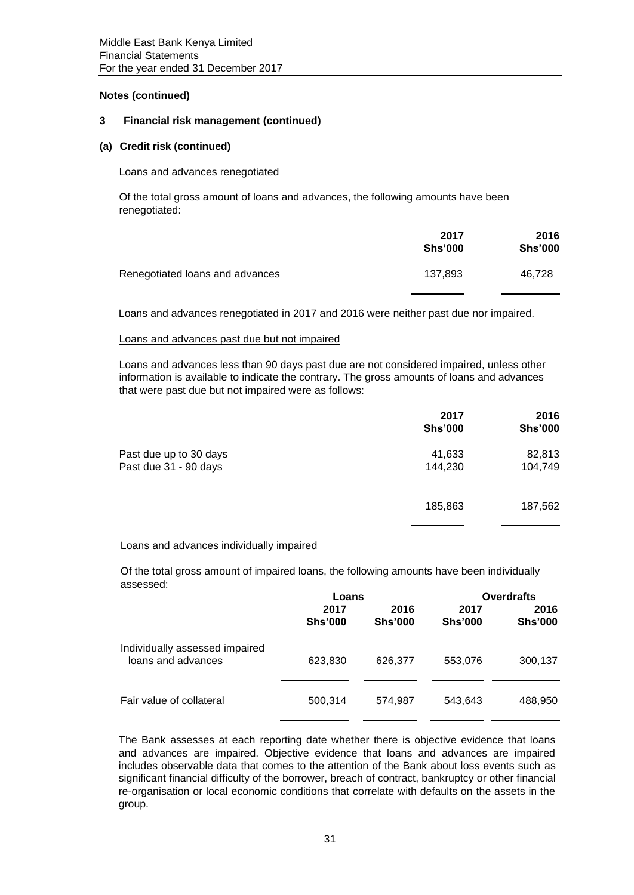## **3 Financial risk management (continued)**

#### **(a) Credit risk (continued)**

## Loans and advances renegotiated

Of the total gross amount of loans and advances, the following amounts have been renegotiated:

|                                 | 2017<br><b>Shs'000</b> | 2016<br><b>Shs'000</b> |
|---------------------------------|------------------------|------------------------|
| Renegotiated loans and advances | 137.893                | 46.728                 |
|                                 |                        |                        |

Loans and advances renegotiated in 2017 and 2016 were neither past due nor impaired.

#### Loans and advances past due but not impaired

Loans and advances less than 90 days past due are not considered impaired, unless other information is available to indicate the contrary. The gross amounts of loans and advances that were past due but not impaired were as follows:

|                                                 | 2017<br><b>Shs'000</b> | 2016<br><b>Shs'000</b> |
|-------------------------------------------------|------------------------|------------------------|
| Past due up to 30 days<br>Past due 31 - 90 days | 41,633<br>144,230      | 82,813<br>104,749      |
|                                                 |                        |                        |
|                                                 | 185,863                | 187,562                |
|                                                 |                        |                        |

#### Loans and advances individually impaired

Of the total gross amount of impaired loans, the following amounts have been individually assessed:

|                                                      | Loans                  |                        | <b>Overdrafts</b>      |                        |  |
|------------------------------------------------------|------------------------|------------------------|------------------------|------------------------|--|
|                                                      | 2017<br><b>Shs'000</b> | 2016<br><b>Shs'000</b> | 2017<br><b>Shs'000</b> | 2016<br><b>Shs'000</b> |  |
| Individually assessed impaired<br>loans and advances | 623,830                | 626,377                | 553,076                | 300,137                |  |
| Fair value of collateral                             | 500,314                | 574,987                | 543,643                | 488,950                |  |

The Bank assesses at each reporting date whether there is objective evidence that loans and advances are impaired. Objective evidence that loans and advances are impaired includes observable data that comes to the attention of the Bank about loss events such as significant financial difficulty of the borrower, breach of contract, bankruptcy or other financial re-organisation or local economic conditions that correlate with defaults on the assets in the group.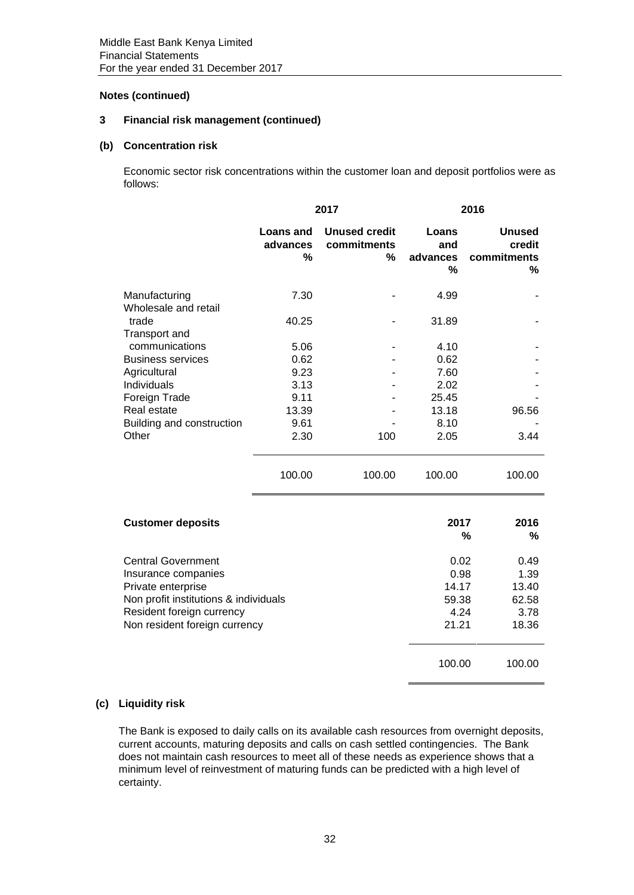### **3 Financial risk management (continued)**

## **(b) Concentration risk**

Economic sector risk concentrations within the customer loan and deposit portfolios were as follows:

|                                                |                                   | 2017                                     |                               | 2016                                        |  |  |  |
|------------------------------------------------|-----------------------------------|------------------------------------------|-------------------------------|---------------------------------------------|--|--|--|
|                                                | <b>Loans and</b><br>advances<br>% | <b>Unused credit</b><br>commitments<br>% | Loans<br>and<br>advances<br>% | <b>Unused</b><br>credit<br>commitments<br>% |  |  |  |
| Manufacturing                                  | 7.30                              |                                          | 4.99                          |                                             |  |  |  |
| Wholesale and retail<br>trade<br>Transport and | 40.25                             |                                          | 31.89                         |                                             |  |  |  |
| communications                                 | 5.06                              |                                          | 4.10                          |                                             |  |  |  |
| <b>Business services</b>                       | 0.62                              |                                          | 0.62                          |                                             |  |  |  |
| Agricultural                                   | 9.23                              |                                          | 7.60                          |                                             |  |  |  |
| Individuals                                    | 3.13                              |                                          | 2.02                          |                                             |  |  |  |
| Foreign Trade                                  | 9.11                              |                                          | 25.45                         |                                             |  |  |  |
| Real estate                                    | 13.39                             |                                          | 13.18                         | 96.56                                       |  |  |  |
| Building and construction                      | 9.61                              |                                          | 8.10                          |                                             |  |  |  |
| Other                                          | 2.30                              | 100                                      | 2.05                          | 3.44                                        |  |  |  |
|                                                | 100.00                            | 100.00                                   | 100.00                        | 100.00                                      |  |  |  |
| <b>Customer deposits</b>                       |                                   |                                          | 2017                          | 2016<br>%<br>%                              |  |  |  |
| <b>Central Government</b>                      |                                   |                                          | 0.02                          | 0.49                                        |  |  |  |
| Insurance companies                            |                                   |                                          | 0.98                          | 1.39                                        |  |  |  |
| Private enterprise                             |                                   |                                          | 14.17                         | 13.40                                       |  |  |  |
| Non profit institutions & individuals          |                                   |                                          | 59.38                         | 62.58                                       |  |  |  |
| Resident foreign currency                      |                                   |                                          | 4.24                          | 3.78                                        |  |  |  |
| Non resident foreign currency                  |                                   |                                          | 21.21                         | 18.36                                       |  |  |  |
|                                                |                                   |                                          | 100.00                        | 100.00                                      |  |  |  |

# **(c) Liquidity risk**

The Bank is exposed to daily calls on its available cash resources from overnight deposits, current accounts, maturing deposits and calls on cash settled contingencies. The Bank does not maintain cash resources to meet all of these needs as experience shows that a minimum level of reinvestment of maturing funds can be predicted with a high level of certainty.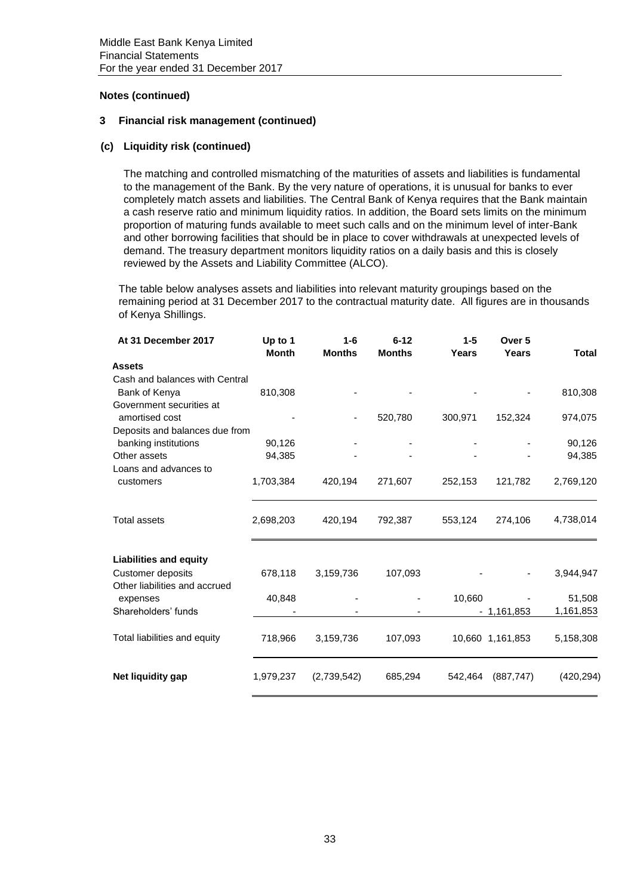# **3 Financial risk management (continued)**

## **(c) Liquidity risk (continued)**

The matching and controlled mismatching of the maturities of assets and liabilities is fundamental to the management of the Bank. By the very nature of operations, it is unusual for banks to ever completely match assets and liabilities. The Central Bank of Kenya requires that the Bank maintain a cash reserve ratio and minimum liquidity ratios. In addition, the Board sets limits on the minimum proportion of maturing funds available to meet such calls and on the minimum level of inter-Bank and other borrowing facilities that should be in place to cover withdrawals at unexpected levels of demand. The treasury department monitors liquidity ratios on a daily basis and this is closely reviewed by the Assets and Liability Committee (ALCO).

The table below analyses assets and liabilities into relevant maturity groupings based on the remaining period at 31 December 2017 to the contractual maturity date. All figures are in thousands of Kenya Shillings.

| At 31 December 2017                                       | Up to 1      | $1 - 6$       | $6 - 12$      | $1 - 5$ | Over 5           |              |
|-----------------------------------------------------------|--------------|---------------|---------------|---------|------------------|--------------|
|                                                           | <b>Month</b> | <b>Months</b> | <b>Months</b> | Years   | Years            | <b>Total</b> |
| <b>Assets</b>                                             |              |               |               |         |                  |              |
| Cash and balances with Central                            |              |               |               |         |                  |              |
| Bank of Kenya                                             | 810,308      |               |               |         |                  | 810,308      |
| Government securities at<br>amortised cost                |              |               | 520,780       | 300,971 | 152,324          | 974,075      |
| Deposits and balances due from                            |              |               |               |         |                  |              |
| banking institutions                                      | 90,126       |               |               |         |                  | 90,126       |
| Other assets                                              | 94,385       |               |               |         |                  | 94,385       |
| Loans and advances to                                     |              |               |               |         |                  |              |
| customers                                                 | 1,703,384    | 420,194       | 271,607       | 252,153 | 121,782          | 2,769,120    |
|                                                           |              |               |               |         |                  |              |
| Total assets                                              | 2,698,203    | 420,194       | 792,387       | 553,124 | 274,106          | 4,738,014    |
|                                                           |              |               |               |         |                  |              |
| <b>Liabilities and equity</b>                             |              |               |               |         |                  |              |
| <b>Customer deposits</b><br>Other liabilities and accrued | 678,118      | 3,159,736     | 107,093       |         |                  | 3,944,947    |
| expenses                                                  | 40,848       |               |               | 10,660  |                  | 51,508       |
| Shareholders' funds                                       |              |               |               |         | $-1,161,853$     | 1,161,853    |
| Total liabilities and equity                              | 718,966      | 3,159,736     | 107,093       |         | 10,660 1,161,853 | 5,158,308    |
|                                                           |              |               |               |         |                  |              |
| Net liquidity gap                                         | 1,979,237    | (2,739,542)   | 685,294       | 542,464 | (887, 747)       | (420, 294)   |
|                                                           |              |               |               |         |                  |              |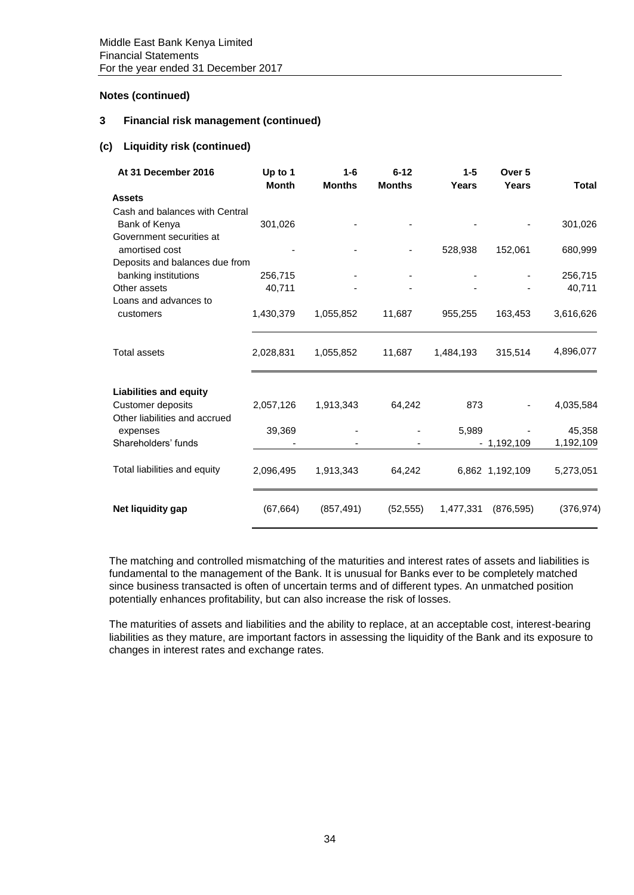## **3 Financial risk management (continued)**

## **(c) Liquidity risk (continued)**

| At 31 December 2016                                | Up to 1<br><b>Month</b> | $1 - 6$<br><b>Months</b> | $6 - 12$<br><b>Months</b> | $1 - 5$<br>Years | Over <sub>5</sub><br>Years | <b>Total</b> |
|----------------------------------------------------|-------------------------|--------------------------|---------------------------|------------------|----------------------------|--------------|
| <b>Assets</b>                                      |                         |                          |                           |                  |                            |              |
| Cash and balances with Central                     |                         |                          |                           |                  |                            |              |
| Bank of Kenya                                      | 301,026                 |                          |                           |                  |                            | 301,026      |
| Government securities at                           |                         |                          |                           |                  |                            |              |
| amortised cost                                     |                         |                          |                           | 528,938          | 152,061                    | 680,999      |
| Deposits and balances due from                     |                         |                          |                           |                  |                            |              |
| banking institutions                               | 256,715                 |                          |                           |                  |                            | 256,715      |
| Other assets                                       | 40,711                  |                          |                           |                  |                            | 40,711       |
| Loans and advances to                              |                         |                          |                           |                  |                            |              |
| customers                                          | 1,430,379               | 1,055,852                | 11,687                    | 955,255          | 163,453                    | 3,616,626    |
|                                                    |                         |                          |                           |                  |                            |              |
| <b>Total assets</b>                                | 2,028,831               | 1,055,852                | 11,687                    | 1,484,193        | 315,514                    | 4,896,077    |
|                                                    |                         |                          |                           |                  |                            |              |
| <b>Liabilities and equity</b>                      |                         |                          |                           |                  |                            |              |
| Customer deposits<br>Other liabilities and accrued | 2,057,126               | 1,913,343                | 64,242                    | 873              |                            | 4,035,584    |
| expenses                                           | 39,369                  |                          |                           | 5,989            |                            | 45,358       |
| Shareholders' funds                                |                         |                          |                           |                  | $-1,192,109$               | 1,192,109    |
|                                                    |                         |                          |                           |                  |                            |              |
| Total liabilities and equity                       | 2,096,495               | 1,913,343                | 64,242                    |                  | 6,862 1,192,109            | 5,273,051    |
|                                                    |                         |                          |                           |                  |                            |              |
| Net liquidity gap                                  | (67, 664)               | (857, 491)               | (52, 555)                 | 1,477,331        | (876, 595)                 | (376, 974)   |

The matching and controlled mismatching of the maturities and interest rates of assets and liabilities is fundamental to the management of the Bank. It is unusual for Banks ever to be completely matched since business transacted is often of uncertain terms and of different types. An unmatched position potentially enhances profitability, but can also increase the risk of losses.

The maturities of assets and liabilities and the ability to replace, at an acceptable cost, interest-bearing liabilities as they mature, are important factors in assessing the liquidity of the Bank and its exposure to changes in interest rates and exchange rates.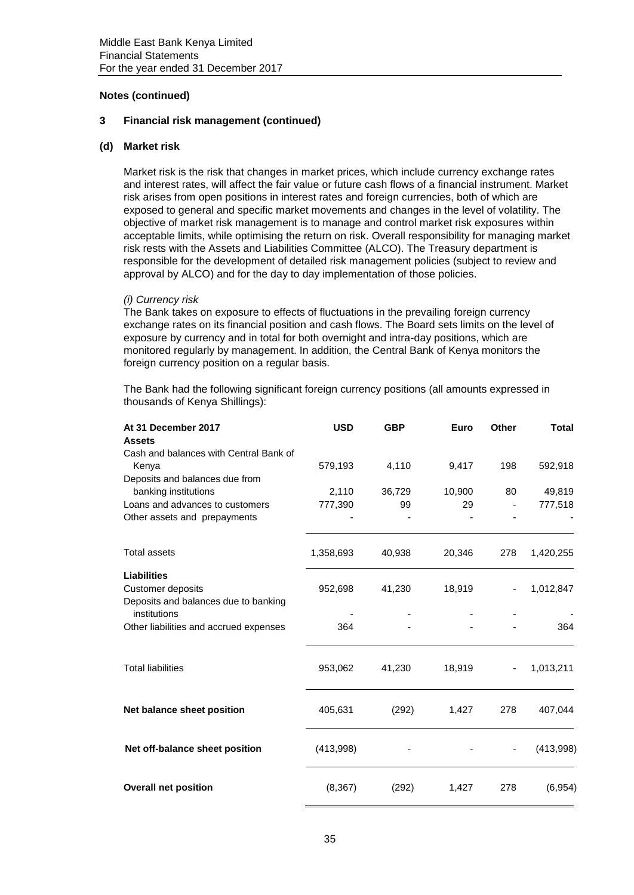## **3 Financial risk management (continued)**

#### **(d) Market risk**

Market risk is the risk that changes in market prices, which include currency exchange rates and interest rates, will affect the fair value or future cash flows of a financial instrument. Market risk arises from open positions in interest rates and foreign currencies, both of which are exposed to general and specific market movements and changes in the level of volatility. The objective of market risk management is to manage and control market risk exposures within acceptable limits, while optimising the return on risk. Overall responsibility for managing market risk rests with the Assets and Liabilities Committee (ALCO). The Treasury department is responsible for the development of detailed risk management policies (subject to review and approval by ALCO) and for the day to day implementation of those policies.

## *(i) Currency risk*

The Bank takes on exposure to effects of fluctuations in the prevailing foreign currency exchange rates on its financial position and cash flows. The Board sets limits on the level of exposure by currency and in total for both overnight and intra-day positions, which are monitored regularly by management. In addition, the Central Bank of Kenya monitors the foreign currency position on a regular basis.

The Bank had the following significant foreign currency positions (all amounts expressed in thousands of Kenya Shillings):

| At 31 December 2017                    | <b>USD</b> | <b>GBP</b> | Euro   | <b>Other</b>             | <b>Total</b> |
|----------------------------------------|------------|------------|--------|--------------------------|--------------|
| <b>Assets</b>                          |            |            |        |                          |              |
| Cash and balances with Central Bank of |            |            |        |                          |              |
| Kenya                                  | 579,193    | 4,110      | 9,417  | 198                      | 592,918      |
| Deposits and balances due from         |            |            |        |                          |              |
| banking institutions                   | 2,110      | 36,729     | 10,900 | 80                       | 49,819       |
| Loans and advances to customers        | 777,390    | 99         | 29     | $\overline{\phantom{a}}$ | 777,518      |
| Other assets and prepayments           |            |            |        |                          |              |
| <b>Total assets</b>                    | 1,358,693  | 40,938     | 20,346 | 278                      | 1,420,255    |
|                                        |            |            |        |                          |              |
| <b>Liabilities</b>                     |            |            |        |                          |              |
| Customer deposits                      | 952,698    | 41,230     | 18,919 |                          | 1,012,847    |
| Deposits and balances due to banking   |            |            |        |                          |              |
| institutions                           |            |            |        |                          |              |
| Other liabilities and accrued expenses | 364        |            |        |                          | 364          |
|                                        |            |            |        |                          |              |
| <b>Total liabilities</b>               | 953,062    | 41,230     | 18,919 | $\overline{\phantom{a}}$ | 1,013,211    |
|                                        |            |            |        |                          |              |
| Net balance sheet position             | 405,631    | (292)      | 1,427  | 278                      | 407,044      |
|                                        |            |            |        |                          |              |
| Net off-balance sheet position         | (413,998)  |            |        |                          | (413,998)    |
| <b>Overall net position</b>            | (8, 367)   | (292)      | 1,427  | 278                      | (6,954)      |
|                                        |            |            |        |                          |              |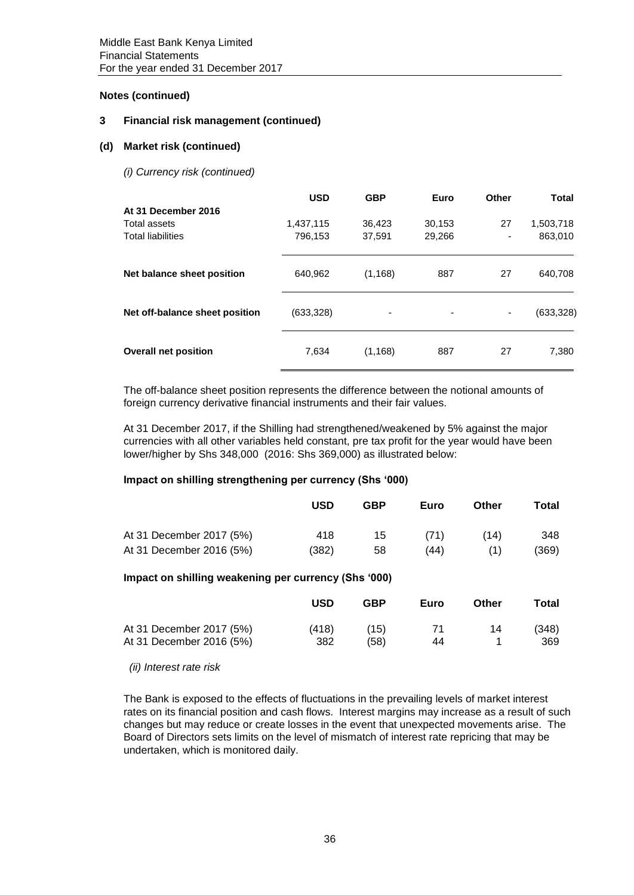## **3 Financial risk management (continued)**

#### **(d) Market risk (continued)**

## *(i) Currency risk (continued)*

|                                | <b>USD</b> | <b>GBP</b> | Euro   | Other | Total      |
|--------------------------------|------------|------------|--------|-------|------------|
| At 31 December 2016            |            |            |        |       |            |
| Total assets                   | 1,437,115  | 36,423     | 30,153 | 27    | 1,503,718  |
| <b>Total liabilities</b>       | 796,153    | 37,591     | 29,266 |       | 863,010    |
| Net balance sheet position     | 640,962    | (1, 168)   | 887    | 27    | 640,708    |
| Net off-balance sheet position | (633, 328) |            | ۰      |       | (633, 328) |
| <b>Overall net position</b>    | 7,634      | (1, 168)   | 887    | 27    | 7,380      |

The off-balance sheet position represents the difference between the notional amounts of foreign currency derivative financial instruments and their fair values.

At 31 December 2017, if the Shilling had strengthened/weakened by 5% against the major currencies with all other variables held constant, pre tax profit for the year would have been lower/higher by Shs 348,000 (2016: Shs 369,000) as illustrated below:

#### **Impact on shilling strengthening per currency (Shs '000)**

|                          | USD   | GBP | Euro | Other | Total  |
|--------------------------|-------|-----|------|-------|--------|
| At 31 December 2017 (5%) | 418   | 15  | (71) | (14)  | 348    |
| At 31 December 2016 (5%) | (382) | 58  | (44) | (1)   | (369). |

#### **Impact on shilling weakening per currency (Shs '000)**

|                          | USD   | GBP  | Euro | Other | Total |
|--------------------------|-------|------|------|-------|-------|
| At 31 December 2017 (5%) | (418) | (15) | 71   | 14    | (348) |
| At 31 December 2016 (5%) | 382   | (58) | 44   |       | 369   |

*(ii) Interest rate risk*

The Bank is exposed to the effects of fluctuations in the prevailing levels of market interest rates on its financial position and cash flows. Interest margins may increase as a result of such changes but may reduce or create losses in the event that unexpected movements arise. The Board of Directors sets limits on the level of mismatch of interest rate repricing that may be undertaken, which is monitored daily.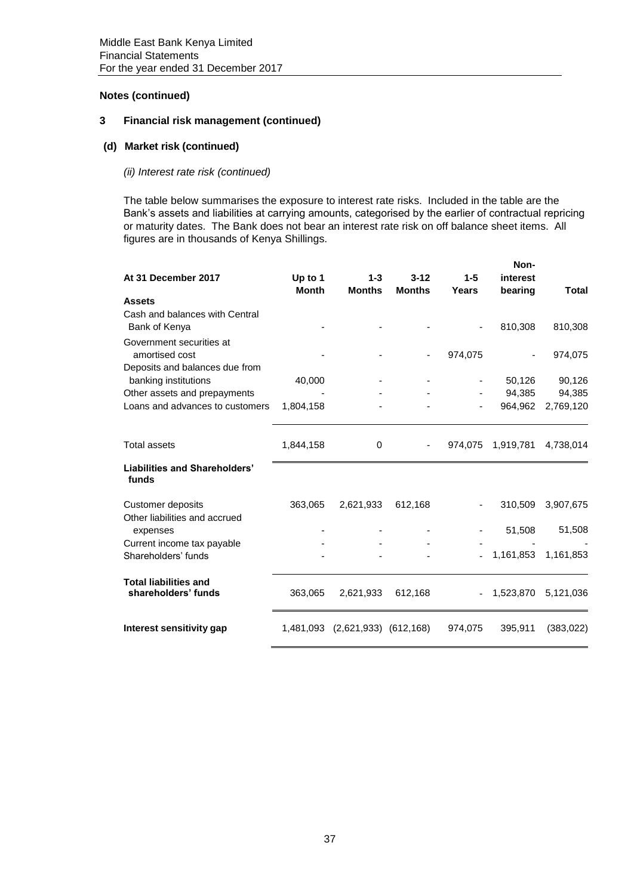## **3 Financial risk management (continued)**

## **(d) Market risk (continued)**

## *(ii) Interest rate risk (continued)*

The table below summarises the exposure to interest rate risks. Included in the table are the Bank's assets and liabilities at carrying amounts, categorised by the earlier of contractual repricing or maturity dates. The Bank does not bear an interest rate risk on off balance sheet items. All figures are in thousands of Kenya Shillings.

| At 31 December 2017                                       | Up to 1<br><b>Month</b> | $1 - 3$<br><b>Months</b>  | $3 - 12$<br><b>Months</b> | $1 - 5$<br>Years         | Non-<br>interest<br>bearing | Total      |
|-----------------------------------------------------------|-------------------------|---------------------------|---------------------------|--------------------------|-----------------------------|------------|
| <b>Assets</b>                                             |                         |                           |                           |                          |                             |            |
| Cash and balances with Central<br>Bank of Kenya           |                         |                           |                           |                          | 810,308                     | 810,308    |
| Government securities at<br>amortised cost                |                         |                           |                           | 974,075                  |                             | 974,075    |
| Deposits and balances due from<br>banking institutions    | 40,000                  |                           |                           |                          | 50,126                      | 90,126     |
| Other assets and prepayments                              |                         |                           |                           | $\overline{\phantom{a}}$ | 94,385                      | 94,385     |
| Loans and advances to customers                           | 1,804,158               |                           |                           |                          | 964.962                     | 2,769,120  |
| Total assets                                              | 1,844,158               | 0                         |                           | 974.075                  | 1,919,781                   | 4,738,014  |
| Liabilities and Shareholders'<br>funds                    |                         |                           |                           |                          |                             |            |
| <b>Customer deposits</b><br>Other liabilities and accrued | 363,065                 | 2,621,933                 | 612,168                   |                          | 310,509                     | 3,907,675  |
| expenses                                                  |                         |                           |                           |                          | 51,508                      | 51,508     |
| Current income tax payable                                |                         |                           |                           |                          |                             |            |
| Shareholders' funds                                       |                         |                           |                           |                          | 1,161,853                   | 1,161,853  |
| <b>Total liabilities and</b><br>shareholders' funds       | 363,065                 | 2,621,933                 | 612,168                   | $\overline{\phantom{a}}$ | 1,523,870                   | 5,121,036  |
| Interest sensitivity gap                                  | 1,481,093               | $(2,621,933)$ $(612,168)$ |                           | 974,075                  | 395,911                     | (383, 022) |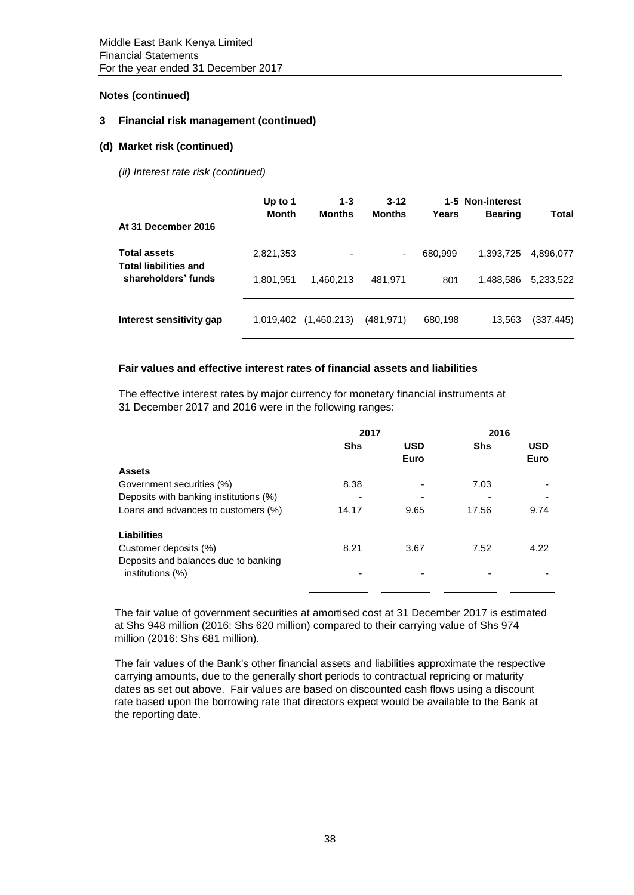## **3 Financial risk management (continued)**

#### **(d) Market risk (continued)**

*(ii) Interest rate risk (continued)*

| At 31 December 2016                                 | Up to $1$<br>Month | $1 - 3$<br><b>Months</b> | $3 - 12$<br><b>Months</b> | Years   | 1-5 Non-interest<br><b>Bearing</b> | <b>Total</b> |
|-----------------------------------------------------|--------------------|--------------------------|---------------------------|---------|------------------------------------|--------------|
| <b>Total assets</b><br><b>Total liabilities and</b> | 2,821,353          | ٠                        | ۰                         | 680.999 | 1,393,725                          | 4,896,077    |
| shareholders' funds                                 | 1.801.951          | 1.460.213                | 481,971                   | 801     | 1,488,586                          | 5,233,522    |
| Interest sensitivity gap                            | 1,019,402          | (1,460,213)              | (481, 971)                | 680,198 | 13,563                             | (337,445)    |

#### **Fair values and effective interest rates of financial assets and liabilities**

The effective interest rates by major currency for monetary financial instruments at 31 December 2017 and 2016 were in the following ranges:

|                                                          | 2017       |            | 2016       |            |
|----------------------------------------------------------|------------|------------|------------|------------|
|                                                          | <b>Shs</b> | <b>USD</b> | <b>Shs</b> | <b>USD</b> |
|                                                          |            | Euro       |            | Euro       |
| <b>Assets</b>                                            |            |            |            |            |
| Government securities (%)                                | 8.38       |            | 7.03       |            |
| Deposits with banking institutions (%)                   |            |            |            |            |
| Loans and advances to customers (%)                      | 14.17      | 9.65       | 17.56      | 9.74       |
| Liabilities                                              |            |            |            |            |
| Customer deposits (%)                                    | 8.21       | 3.67       | 7.52       | 4.22       |
| Deposits and balances due to banking<br>institutions (%) | -          |            |            |            |
|                                                          |            |            |            |            |

The fair value of government securities at amortised cost at 31 December 2017 is estimated at Shs 948 million (2016: Shs 620 million) compared to their carrying value of Shs 974 million (2016: Shs 681 million).

The fair values of the Bank's other financial assets and liabilities approximate the respective carrying amounts, due to the generally short periods to contractual repricing or maturity dates as set out above. Fair values are based on discounted cash flows using a discount rate based upon the borrowing rate that directors expect would be available to the Bank at the reporting date.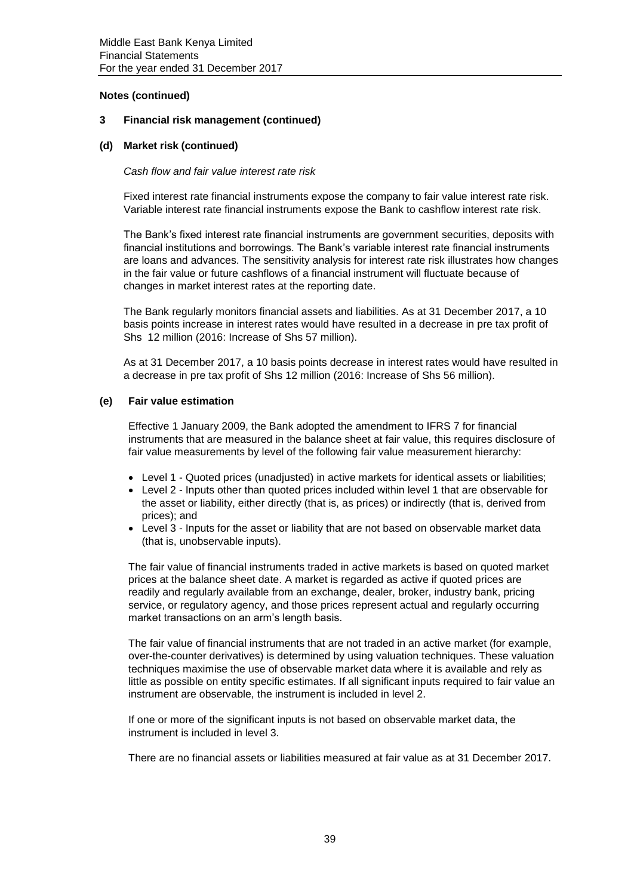## **3 Financial risk management (continued)**

#### **(d) Market risk (continued)**

#### *Cash flow and fair value interest rate risk*

Fixed interest rate financial instruments expose the company to fair value interest rate risk. Variable interest rate financial instruments expose the Bank to cashflow interest rate risk.

The Bank's fixed interest rate financial instruments are government securities, deposits with financial institutions and borrowings. The Bank's variable interest rate financial instruments are loans and advances. The sensitivity analysis for interest rate risk illustrates how changes in the fair value or future cashflows of a financial instrument will fluctuate because of changes in market interest rates at the reporting date.

The Bank regularly monitors financial assets and liabilities. As at 31 December 2017, a 10 basis points increase in interest rates would have resulted in a decrease in pre tax profit of Shs 12 million (2016: Increase of Shs 57 million).

As at 31 December 2017, a 10 basis points decrease in interest rates would have resulted in a decrease in pre tax profit of Shs 12 million (2016: Increase of Shs 56 million).

### **(e) Fair value estimation**

Effective 1 January 2009, the Bank adopted the amendment to IFRS 7 for financial instruments that are measured in the balance sheet at fair value, this requires disclosure of fair value measurements by level of the following fair value measurement hierarchy:

- Level 1 Quoted prices (unadjusted) in active markets for identical assets or liabilities;
- Level 2 Inputs other than quoted prices included within level 1 that are observable for the asset or liability, either directly (that is, as prices) or indirectly (that is, derived from prices); and
- Level 3 Inputs for the asset or liability that are not based on observable market data (that is, unobservable inputs).

The fair value of financial instruments traded in active markets is based on quoted market prices at the balance sheet date. A market is regarded as active if quoted prices are readily and regularly available from an exchange, dealer, broker, industry bank, pricing service, or regulatory agency, and those prices represent actual and regularly occurring market transactions on an arm's length basis.

The fair value of financial instruments that are not traded in an active market (for example, over-the-counter derivatives) is determined by using valuation techniques. These valuation techniques maximise the use of observable market data where it is available and rely as little as possible on entity specific estimates. If all significant inputs required to fair value an instrument are observable, the instrument is included in level 2.

If one or more of the significant inputs is not based on observable market data, the instrument is included in level 3.

There are no financial assets or liabilities measured at fair value as at 31 December 2017.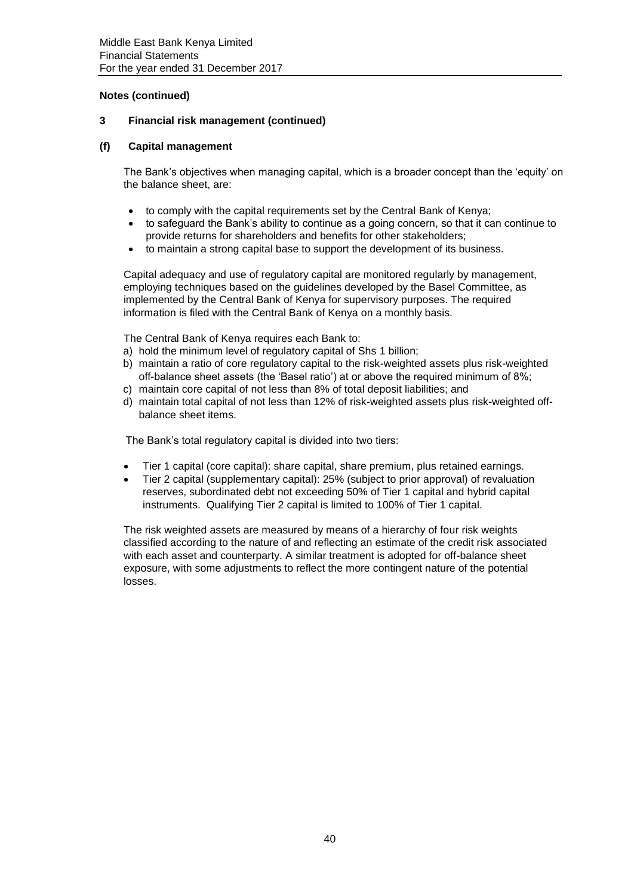# **3 Financial risk management (continued)**

# **(f) Capital management**

The Bank's objectives when managing capital, which is a broader concept than the 'equity' on the balance sheet, are:

- to comply with the capital requirements set by the Central Bank of Kenya;
- to safeguard the Bank's ability to continue as a going concern, so that it can continue to provide returns for shareholders and benefits for other stakeholders;
- to maintain a strong capital base to support the development of its business.

Capital adequacy and use of regulatory capital are monitored regularly by management, employing techniques based on the guidelines developed by the Basel Committee, as implemented by the Central Bank of Kenya for supervisory purposes. The required information is filed with the Central Bank of Kenya on a monthly basis.

The Central Bank of Kenya requires each Bank to:

- a) hold the minimum level of regulatory capital of Shs 1 billion;
- (b) maintain a ratio of core regulatory capital to the risk-weighted assets plus risk-weighted off-balance sheet assets (the 'Basel ratio') at or above the required minimum of 8%;
- (c) maintain core capital of not less than 8% of total deposit liabilities; and
- (d) maintain total capital of not less than 12% of risk-weighted assets plus risk-weighted offbalance sheet items.

The Bank's total regulatory capital is divided into two tiers:

- Tier 1 capital (core capital): share capital, share premium, plus retained earnings.
- Tier 2 capital (supplementary capital): 25% (subject to prior approval) of revaluation reserves, subordinated debt not exceeding 50% of Tier 1 capital and hybrid capital instruments. Qualifying Tier 2 capital is limited to 100% of Tier 1 capital.

The risk weighted assets are measured by means of a hierarchy of four risk weights classified according to the nature of and reflecting an estimate of the credit risk associated with each asset and counterparty. A similar treatment is adopted for off-balance sheet exposure, with some adjustments to reflect the more contingent nature of the potential losses.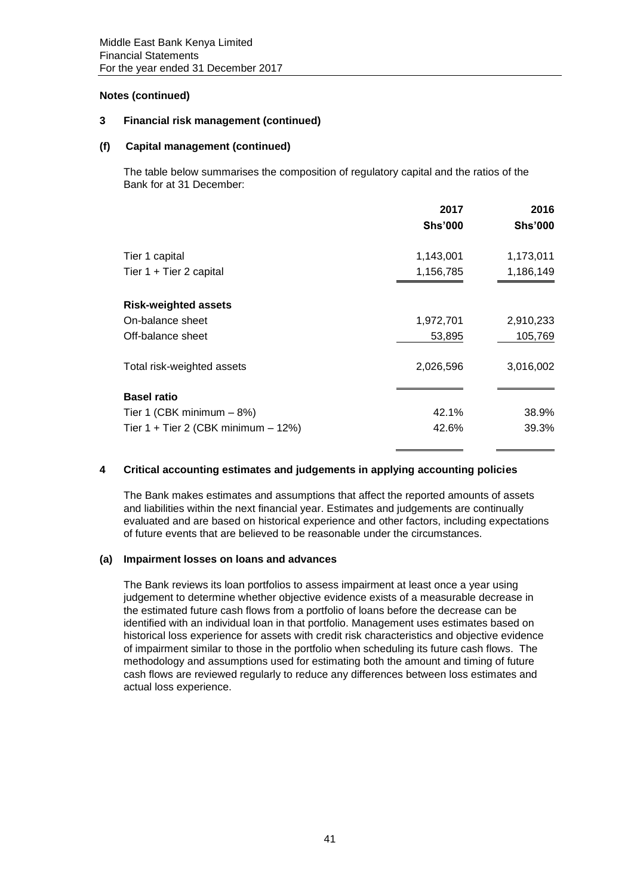# **3 Financial risk management (continued)**

# **(f) Capital management (continued)**

The table below summarises the composition of regulatory capital and the ratios of the Bank for at 31 December:

|                                          | 2017<br><b>Shs'000</b> | 2016<br><b>Shs'000</b> |
|------------------------------------------|------------------------|------------------------|
|                                          |                        |                        |
| Tier 1 capital                           | 1,143,001              | 1,173,011              |
| Tier 1 + Tier 2 capital                  | 1,156,785              | 1,186,149              |
|                                          |                        |                        |
| <b>Risk-weighted assets</b>              |                        |                        |
| On-balance sheet                         | 1,972,701              | 2,910,233              |
| Off-balance sheet                        | 53,895                 | 105,769                |
| Total risk-weighted assets               | 2,026,596              | 3,016,002              |
| <b>Basel ratio</b>                       |                        |                        |
| Tier 1 (CBK minimum $-8\%$ )             | 42.1%                  | 38.9%                  |
| Tier $1 +$ Tier 2 (CBK minimum $-12\%$ ) | 42.6%                  | 39.3%                  |

# **4 Critical accounting estimates and judgements in applying accounting policies**

The Bank makes estimates and assumptions that affect the reported amounts of assets and liabilities within the next financial year. Estimates and judgements are continually evaluated and are based on historical experience and other factors, including expectations of future events that are believed to be reasonable under the circumstances.

# **(a) Impairment losses on loans and advances**

The Bank reviews its loan portfolios to assess impairment at least once a year using judgement to determine whether objective evidence exists of a measurable decrease in the estimated future cash flows from a portfolio of loans before the decrease can be identified with an individual loan in that portfolio. Management uses estimates based on historical loss experience for assets with credit risk characteristics and objective evidence of impairment similar to those in the portfolio when scheduling its future cash flows. The methodology and assumptions used for estimating both the amount and timing of future cash flows are reviewed regularly to reduce any differences between loss estimates and actual loss experience.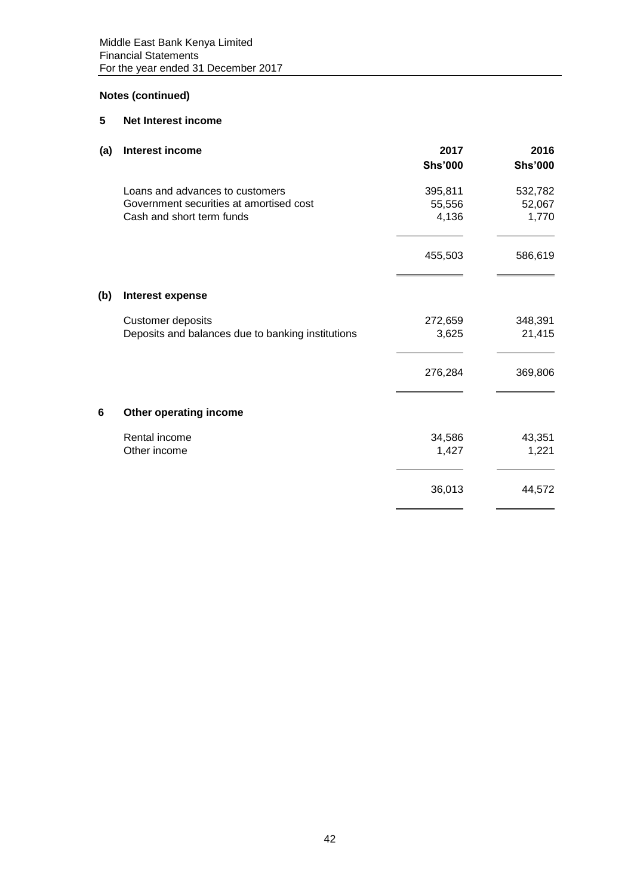# **5 Net Interest income**

| (a) | Interest income                                                                                         | 2017<br><b>Shs'000</b>     | 2016<br><b>Shs'000</b>     |
|-----|---------------------------------------------------------------------------------------------------------|----------------------------|----------------------------|
|     | Loans and advances to customers<br>Government securities at amortised cost<br>Cash and short term funds | 395,811<br>55,556<br>4,136 | 532,782<br>52,067<br>1,770 |
|     |                                                                                                         | 455,503                    | 586,619                    |
| (b) | Interest expense                                                                                        |                            |                            |
|     | Customer deposits<br>Deposits and balances due to banking institutions                                  | 272,659<br>3,625           | 348,391<br>21,415          |
|     |                                                                                                         | 276,284                    | 369,806                    |
| 6   | Other operating income                                                                                  |                            |                            |
|     | Rental income<br>Other income                                                                           | 34,586<br>1,427            | 43,351<br>1,221            |
|     |                                                                                                         | 36,013                     | 44,572                     |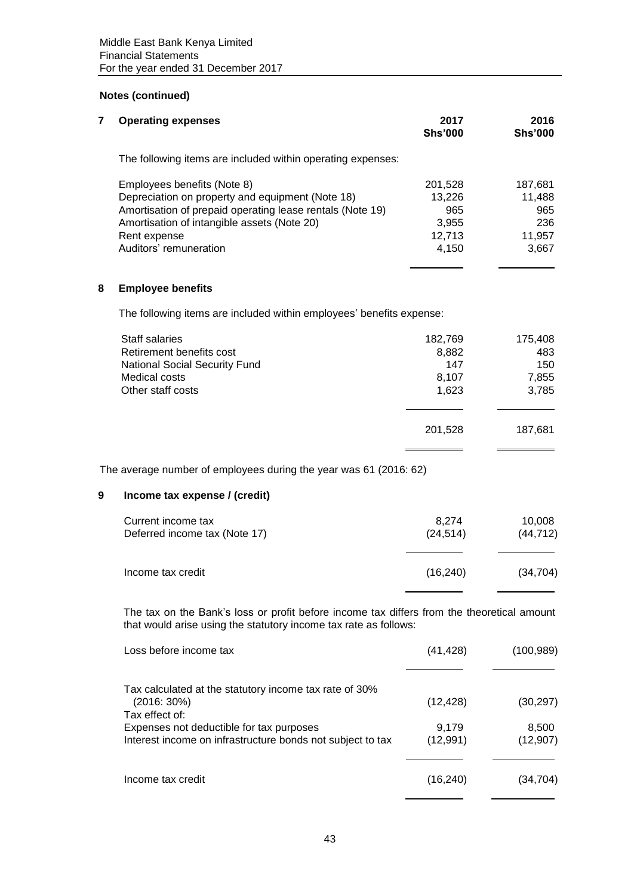| 7 | <b>Operating expenses</b>                                                                                                                                                                                                             | 2017<br><b>Shs'000</b>                               | 2016<br><b>Shs'000</b>                             |
|---|---------------------------------------------------------------------------------------------------------------------------------------------------------------------------------------------------------------------------------------|------------------------------------------------------|----------------------------------------------------|
|   | The following items are included within operating expenses:                                                                                                                                                                           |                                                      |                                                    |
|   | Employees benefits (Note 8)<br>Depreciation on property and equipment (Note 18)<br>Amortisation of prepaid operating lease rentals (Note 19)<br>Amortisation of intangible assets (Note 20)<br>Rent expense<br>Auditors' remuneration | 201,528<br>13,226<br>965<br>3,955<br>12,713<br>4,150 | 187,681<br>11,488<br>965<br>236<br>11,957<br>3,667 |
| 8 | <b>Employee benefits</b>                                                                                                                                                                                                              |                                                      |                                                    |
|   | The following items are included within employees' benefits expense:                                                                                                                                                                  |                                                      |                                                    |
|   | <b>Staff salaries</b><br>Retirement benefits cost<br>National Social Security Fund<br>Medical costs<br>Other staff costs                                                                                                              | 182,769<br>8,882<br>147<br>8,107<br>1,623            | 175,408<br>483<br>150<br>7,855<br>3,785            |
|   |                                                                                                                                                                                                                                       | 201,528                                              | 187,681                                            |
|   | The average number of employees during the year was 61 (2016: 62)                                                                                                                                                                     |                                                      |                                                    |
| 9 | Income tax expense / (credit)                                                                                                                                                                                                         |                                                      |                                                    |
|   | Current income tax<br>Deferred income tax (Note 17)                                                                                                                                                                                   | 8,274<br>(24, 514)                                   | 10,008<br>(44, 712)                                |
|   | Income tax credit                                                                                                                                                                                                                     | (16, 240)                                            | (34, 704)                                          |
|   | The tax on the Bank's loss or profit before income tax differs from the theoretical amount<br>that would arise using the statutory income tax rate as follows:                                                                        |                                                      |                                                    |
|   | Loss before income tax                                                                                                                                                                                                                | (41, 428)                                            | (100, 989)                                         |
|   | Tax calculated at the statutory income tax rate of 30%<br>(2016:30%)<br>Tax effect of:                                                                                                                                                | (12, 428)                                            | (30, 297)                                          |
|   | Expenses not deductible for tax purposes<br>Interest income on infrastructure bonds not subject to tax                                                                                                                                | 9,179<br>(12, 991)                                   | 8,500<br>(12, 907)                                 |

Income tax credit (16,240) (34,704)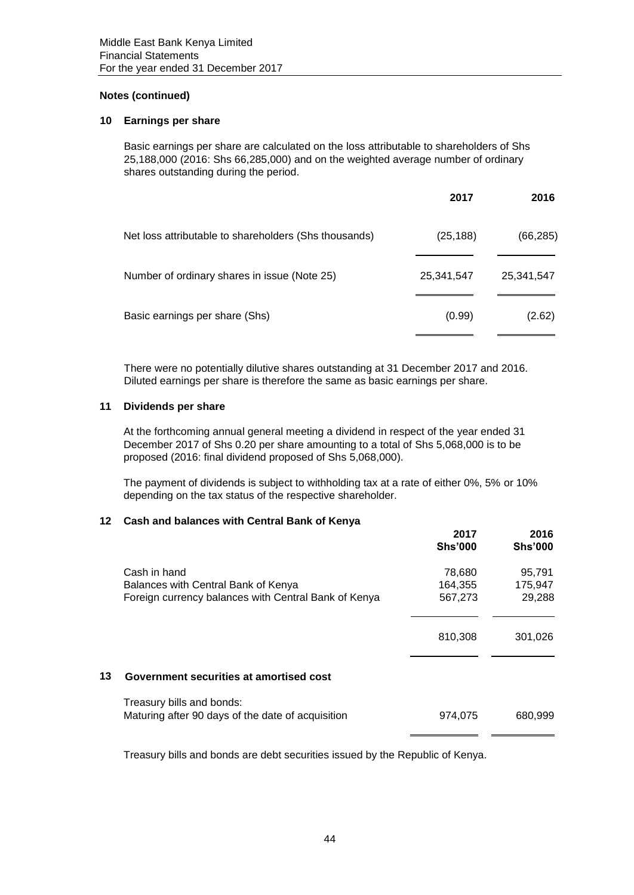# **10 Earnings per share**

Basic earnings per share are calculated on the loss attributable to shareholders of Shs 25,188,000 (2016: Shs 66,285,000) and on the weighted average number of ordinary shares outstanding during the period.

|                                                       | 2017       | 2016       |
|-------------------------------------------------------|------------|------------|
| Net loss attributable to shareholders (Shs thousands) | (25, 188)  | (66, 285)  |
| Number of ordinary shares in issue (Note 25)          | 25,341,547 | 25,341,547 |
| Basic earnings per share (Shs)                        | (0.99)     | (2.62)     |

There were no potentially dilutive shares outstanding at 31 December 2017 and 2016. Diluted earnings per share is therefore the same as basic earnings per share.

# **11 Dividends per share**

At the forthcoming annual general meeting a dividend in respect of the year ended 31 December 2017 of Shs 0.20 per share amounting to a total of Shs 5,068,000 is to be proposed (2016: final dividend proposed of Shs 5,068,000).

The payment of dividends is subject to withholding tax at a rate of either 0%, 5% or 10% depending on the tax status of the respective shareholder.

# **12 Cash and balances with Central Bank of Kenya**

|    |                                                                                             | 2017<br><b>Shs'000</b> | 2016<br><b>Shs'000</b> |
|----|---------------------------------------------------------------------------------------------|------------------------|------------------------|
|    | Cash in hand                                                                                | 78,680                 | 95,791                 |
|    | Balances with Central Bank of Kenya<br>Foreign currency balances with Central Bank of Kenya | 164,355<br>567,273     | 175,947<br>29,288      |
|    |                                                                                             | 810,308                | 301,026                |
| 13 | Government securities at amortised cost                                                     |                        |                        |
|    | Treasury bills and bonds:<br>Maturing after 90 days of the date of acquisition              | 974,075                | 680,999                |

Treasury bills and bonds are debt securities issued by the Republic of Kenya.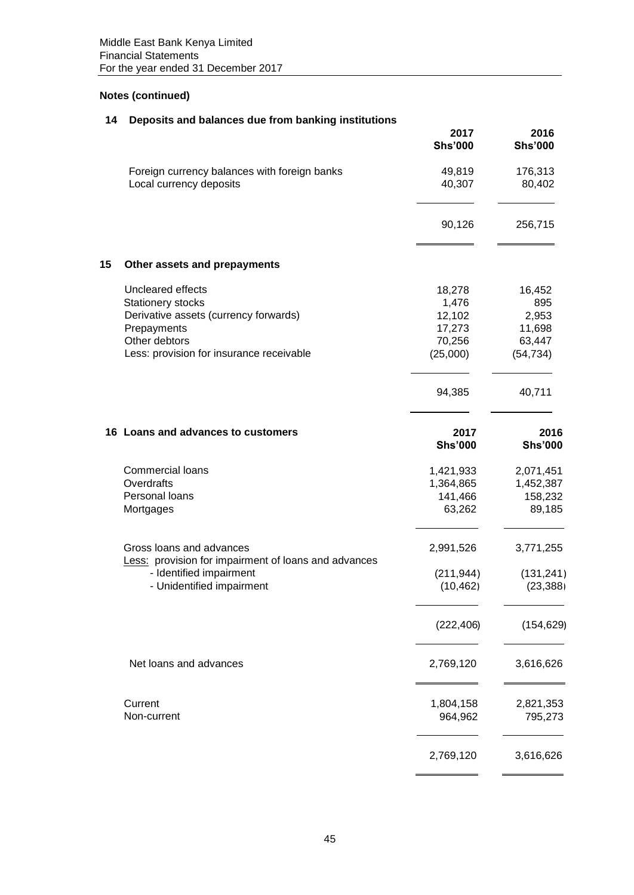| Deposits and balances due from banking institutions |                                                                                                                                                                                                                           | 2016                                                                                        |
|-----------------------------------------------------|---------------------------------------------------------------------------------------------------------------------------------------------------------------------------------------------------------------------------|---------------------------------------------------------------------------------------------|
|                                                     | <b>Shs'000</b>                                                                                                                                                                                                            | <b>Shs'000</b>                                                                              |
| Foreign currency balances with foreign banks        | 49,819                                                                                                                                                                                                                    | 176,313                                                                                     |
|                                                     |                                                                                                                                                                                                                           | 80,402                                                                                      |
|                                                     | 90,126                                                                                                                                                                                                                    | 256,715                                                                                     |
| Other assets and prepayments                        |                                                                                                                                                                                                                           |                                                                                             |
| Uncleared effects                                   | 18,278                                                                                                                                                                                                                    | 16,452                                                                                      |
| Stationery stocks                                   | 1,476                                                                                                                                                                                                                     | 895                                                                                         |
| Derivative assets (currency forwards)               | 12,102                                                                                                                                                                                                                    | 2,953                                                                                       |
| Prepayments                                         | 17,273                                                                                                                                                                                                                    | 11,698                                                                                      |
|                                                     | 70,256                                                                                                                                                                                                                    | 63,447                                                                                      |
| Less: provision for insurance receivable            | (25,000)                                                                                                                                                                                                                  | (54, 734)                                                                                   |
|                                                     | 94,385                                                                                                                                                                                                                    | 40,711                                                                                      |
|                                                     | 2017<br><b>Shs'000</b>                                                                                                                                                                                                    | 2016<br><b>Shs'000</b>                                                                      |
|                                                     |                                                                                                                                                                                                                           | 2,071,451                                                                                   |
| Overdrafts                                          |                                                                                                                                                                                                                           | 1,452,387                                                                                   |
| Personal loans                                      |                                                                                                                                                                                                                           | 158,232                                                                                     |
| Mortgages                                           | 63,262                                                                                                                                                                                                                    | 89,185                                                                                      |
| Gross loans and advances                            | 2,991,526                                                                                                                                                                                                                 | 3,771,255                                                                                   |
|                                                     |                                                                                                                                                                                                                           |                                                                                             |
|                                                     |                                                                                                                                                                                                                           | (131, 241)                                                                                  |
|                                                     |                                                                                                                                                                                                                           | (23, 388)                                                                                   |
|                                                     | (222, 406)                                                                                                                                                                                                                | (154, 629)                                                                                  |
| Net loans and advances                              | 2,769,120                                                                                                                                                                                                                 | 3,616,626                                                                                   |
| Current                                             |                                                                                                                                                                                                                           | 2,821,353                                                                                   |
| Non-current                                         | 964,962                                                                                                                                                                                                                   | 795,273                                                                                     |
|                                                     | 2,769,120                                                                                                                                                                                                                 | 3,616,626                                                                                   |
|                                                     | Local currency deposits<br>Other debtors<br>16 Loans and advances to customers<br><b>Commercial loans</b><br>Less: provision for impairment of loans and advances<br>- Identified impairment<br>- Unidentified impairment | 2017<br>40,307<br>1,421,933<br>1,364,865<br>141,466<br>(211, 944)<br>(10, 462)<br>1,804,158 |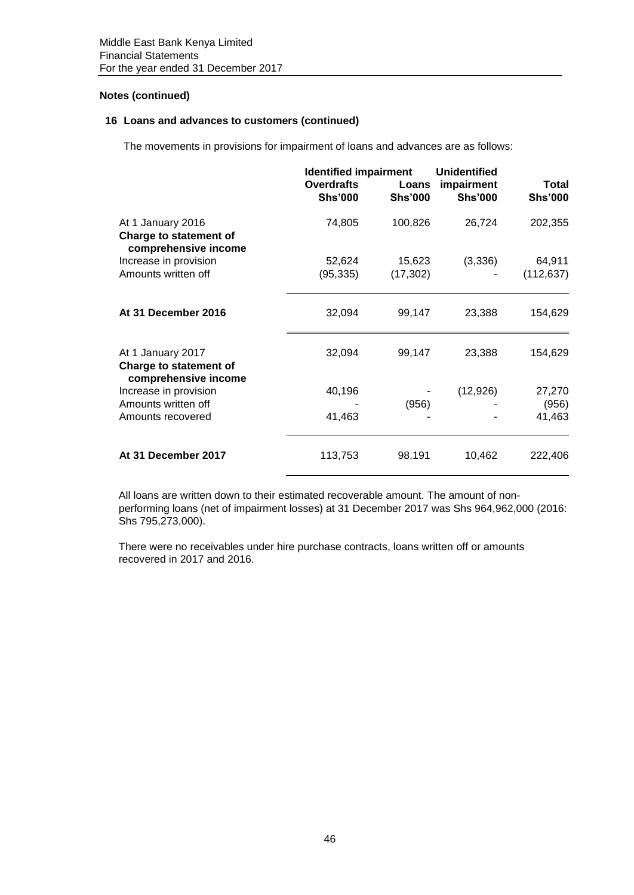#### **16 Loans and advances to customers (continued)**

The movements in provisions for impairment of loans and advances are as follows:

|                                                                     | <b>Identified impairment</b><br><b>Overdrafts</b><br><b>Shs'000</b> | Loans<br><b>Shs'000</b> | <b>Unidentified</b><br>impairment<br><b>Shs'000</b> | <b>Total</b><br><b>Shs'000</b> |
|---------------------------------------------------------------------|---------------------------------------------------------------------|-------------------------|-----------------------------------------------------|--------------------------------|
| At 1 January 2016<br>Charge to statement of<br>comprehensive income | 74,805                                                              | 100,826                 | 26,724                                              | 202,355                        |
| Increase in provision                                               | 52,624                                                              | 15,623                  | (3,336)                                             | 64,911                         |
| Amounts written off                                                 | (95, 335)                                                           | (17, 302)               |                                                     | (112, 637)                     |
| At 31 December 2016                                                 | 32,094                                                              | 99,147                  | 23,388                                              | 154,629                        |
| At 1 January 2017<br>Charge to statement of<br>comprehensive income | 32,094                                                              | 99,147                  | 23,388                                              | 154,629                        |
| Increase in provision                                               | 40,196                                                              |                         | (12, 926)                                           | 27,270                         |
| Amounts written off                                                 |                                                                     | (956)                   |                                                     | (956)                          |
| Amounts recovered                                                   | 41,463                                                              |                         |                                                     | 41,463                         |
| At 31 December 2017                                                 | 113,753                                                             | 98,191                  | 10,462                                              | 222,406                        |

All loans are written down to their estimated recoverable amount. The amount of nonperforming loans (net of impairment losses) at 31 December 2017 was Shs 964,962,000 (2016: Shs 795,273,000).

There were no receivables under hire purchase contracts, loans written off or amounts recovered in 2017 and 2016.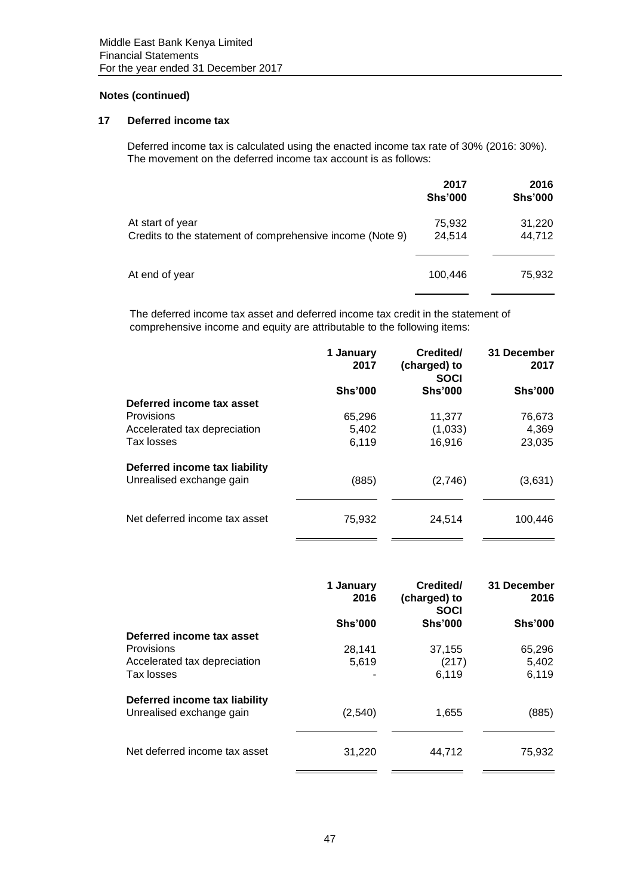## **17 Deferred income tax**

Deferred income tax is calculated using the enacted income tax rate of 30% (2016: 30%). The movement on the deferred income tax account is as follows:

|                                                                               | 2017<br><b>Shs'000</b> | 2016<br><b>Shs'000</b> |
|-------------------------------------------------------------------------------|------------------------|------------------------|
| At start of year<br>Credits to the statement of comprehensive income (Note 9) | 75,932<br>24,514       | 31,220<br>44,712       |
| At end of year                                                                | 100,446                | 75,932                 |

The deferred income tax asset and deferred income tax credit in the statement of comprehensive income and equity are attributable to the following items:

|                                                           | 1 January<br>2017 | Credited/<br>(charged) to<br><b>SOCI</b> | 31 December<br>2017 |
|-----------------------------------------------------------|-------------------|------------------------------------------|---------------------|
|                                                           | <b>Shs'000</b>    | <b>Shs'000</b>                           | <b>Shs'000</b>      |
| Deferred income tax asset                                 |                   |                                          |                     |
| <b>Provisions</b>                                         | 65,296            | 11,377                                   | 76,673              |
| Accelerated tax depreciation                              | 5,402             | (1,033)                                  | 4,369               |
| Tax losses                                                | 6,119             | 16,916                                   | 23,035              |
| Deferred income tax liability<br>Unrealised exchange gain | (885)             | (2,746)                                  | (3,631)             |
| Net deferred income tax asset                             | 75,932            | 24,514                                   | 100,446             |
|                                                           |                   |                                          |                     |

|                                                           | 1 January<br>2016 | Credited/<br>(charged) to<br><b>SOCI</b> | 31 December<br>2016 |
|-----------------------------------------------------------|-------------------|------------------------------------------|---------------------|
|                                                           | <b>Shs'000</b>    | <b>Shs'000</b>                           | <b>Shs'000</b>      |
| Deferred income tax asset                                 |                   |                                          |                     |
| Provisions                                                | 28,141            | 37,155                                   | 65,296              |
| Accelerated tax depreciation                              | 5,619             | (217)                                    | 5,402               |
| Tax losses                                                |                   | 6,119                                    | 6,119               |
| Deferred income tax liability<br>Unrealised exchange gain | (2,540)           | 1,655                                    | (885)               |
|                                                           |                   |                                          |                     |
| Net deferred income tax asset                             | 31,220            | 44,712                                   | 75,932              |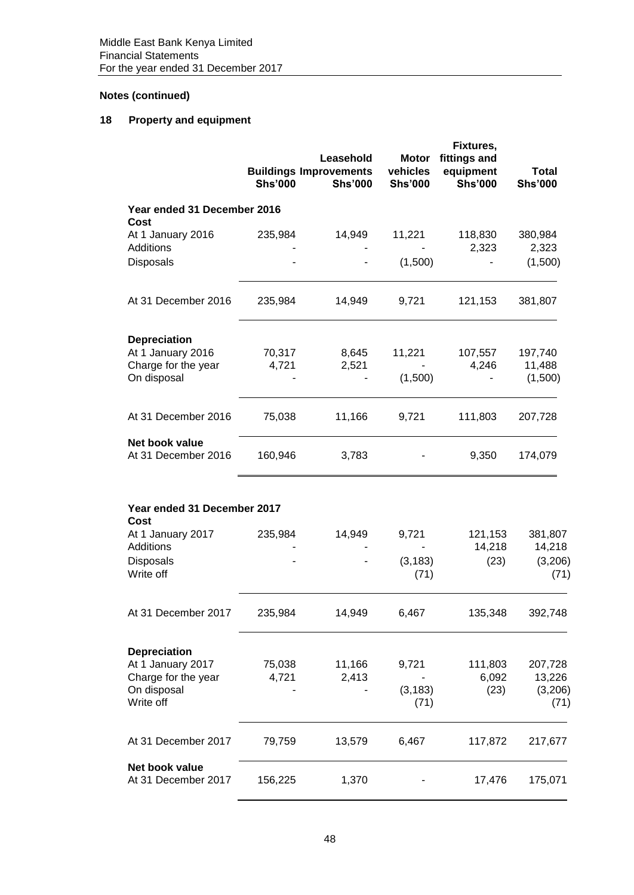# **18 Property and equipment**

|                                                                                             | <b>Shs'000</b>  | Leasehold<br><b>Buildings Improvements</b><br><b>Shs'000</b> | <b>Motor</b><br>vehicles<br><b>Shs'000</b> | Fixtures,<br>fittings and<br>equipment<br><b>Shs'000</b> | <b>Total</b><br><b>Shs'000</b>       |
|---------------------------------------------------------------------------------------------|-----------------|--------------------------------------------------------------|--------------------------------------------|----------------------------------------------------------|--------------------------------------|
| Year ended 31 December 2016                                                                 |                 |                                                              |                                            |                                                          |                                      |
| Cost<br>At 1 January 2016<br>Additions                                                      | 235,984         | 14,949                                                       | 11,221                                     | 118,830<br>2,323                                         | 380,984<br>2,323                     |
| <b>Disposals</b>                                                                            |                 |                                                              | (1,500)                                    |                                                          | (1,500)                              |
| At 31 December 2016                                                                         | 235,984         | 14,949                                                       | 9,721                                      | 121,153                                                  | 381,807                              |
| <b>Depreciation</b><br>At 1 January 2016<br>Charge for the year<br>On disposal              | 70,317<br>4,721 | 8,645<br>2,521                                               | 11,221<br>(1,500)                          | 107,557<br>4,246                                         | 197,740<br>11,488<br>(1,500)         |
| At 31 December 2016                                                                         | 75,038          | 11,166                                                       | 9,721                                      | 111,803                                                  | 207,728                              |
| Net book value<br>At 31 December 2016                                                       | 160,946         | 3,783                                                        |                                            | 9,350                                                    | 174,079                              |
| Year ended 31 December 2017                                                                 |                 |                                                              |                                            |                                                          |                                      |
| Cost<br>At 1 January 2017<br>Additions                                                      | 235,984         | 14,949                                                       | 9,721                                      | 121,153<br>14,218                                        | 381,807<br>14,218                    |
| Disposals<br>Write off                                                                      |                 |                                                              | (3, 183)<br>(71)                           | (23)                                                     | (3,206)<br>(71)                      |
| At 31 December 2017                                                                         | 235,984         | 14,949                                                       | 6,467                                      | 135,348                                                  | 392,748                              |
| <b>Depreciation</b><br>At 1 January 2017<br>Charge for the year<br>On disposal<br>Write off | 75,038<br>4,721 | 11,166<br>2,413                                              | 9,721<br>(3, 183)<br>(71)                  | 111,803<br>6,092<br>(23)                                 | 207,728<br>13,226<br>(3,206)<br>(71) |
| At 31 December 2017                                                                         | 79,759          | 13,579                                                       | 6,467                                      | 117,872                                                  | 217,677                              |
| Net book value<br>At 31 December 2017                                                       | 156,225         | 1,370                                                        |                                            | 17,476                                                   | 175,071                              |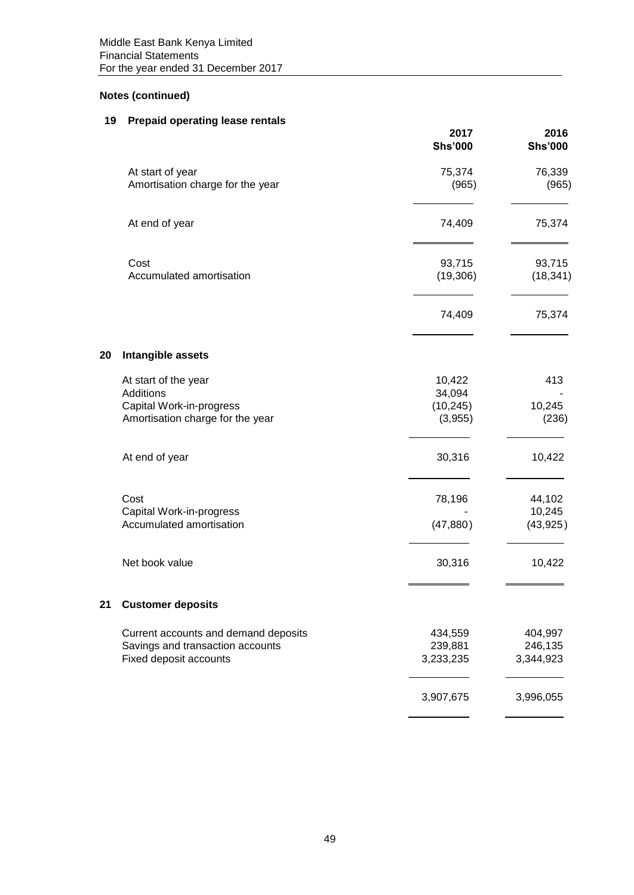# **19 Prepaid operating lease rentals**

|                                                      | 2017<br><b>Shs'000</b> | 2016<br><b>Shs'000</b> |
|------------------------------------------------------|------------------------|------------------------|
| At start of year<br>Amortisation charge for the year | 75,374<br>(965)        | 76,339<br>(965)        |
| At end of year                                       | 74,409                 | 75,374                 |
| Cost<br>Accumulated amortisation                     | 93,715<br>(19, 306)    | 93,715<br>(18, 341)    |
|                                                      | 74,409                 | 75,374                 |
| Intangible assets<br>20                              |                        |                        |
| At start of the year                                 | 10,422                 | 413                    |
| <b>Additions</b><br>Capital Work-in-progress         | 34,094<br>(10, 245)    | 10,245                 |
| Amortisation charge for the year                     | (3,955)                | (236)                  |
| At end of year                                       | 30,316                 | 10,422                 |
| Cost                                                 | 78,196                 | 44,102                 |
| Capital Work-in-progress<br>Accumulated amortisation | (47, 880)              | 10,245<br>(43, 925)    |
| Net book value                                       | 30,316                 | 10,422                 |
| 21<br><b>Customer deposits</b>                       |                        |                        |
| Current accounts and demand deposits                 | 434,559                | 404,997                |
| Savings and transaction accounts                     | 239,881                | 246,135                |
| Fixed deposit accounts                               | 3,233,235              | 3,344,923              |
|                                                      | 3,907,675              | 3,996,055              |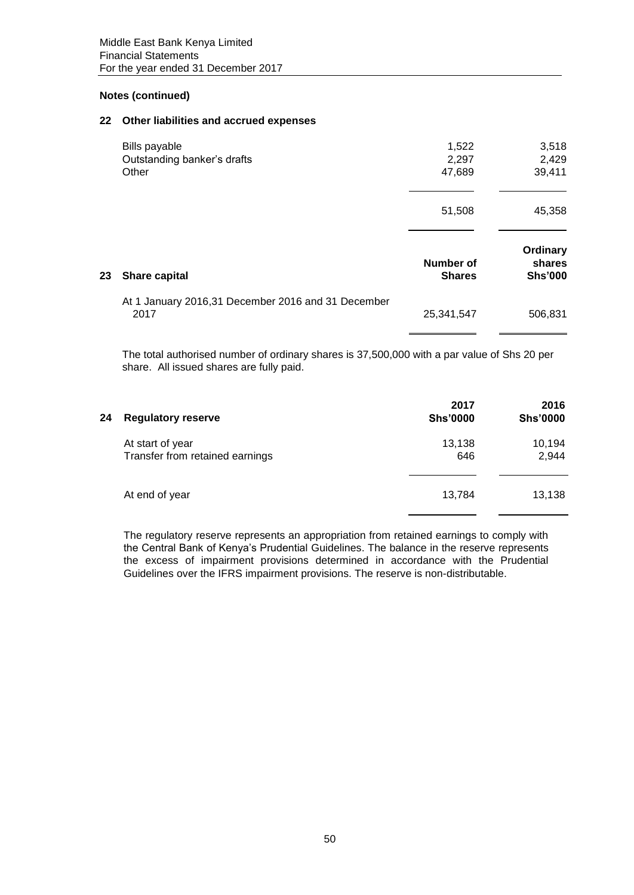## **22 Other liabilities and accrued expenses**

|    | <b>Bills payable</b><br>Outstanding banker's drafts<br>Other | 1,522<br>2,297<br>47,689   | 3,518<br>2,429<br>39,411             |
|----|--------------------------------------------------------------|----------------------------|--------------------------------------|
|    |                                                              | 51,508                     | 45,358                               |
| 23 | <b>Share capital</b>                                         | Number of<br><b>Shares</b> | Ordinary<br>shares<br><b>Shs'000</b> |
|    | At 1 January 2016,31 December 2016 and 31 December<br>2017   | 25,341,547                 | 506,831                              |

The total authorised number of ordinary shares is 37,500,000 with a par value of Shs 20 per share. All issued shares are fully paid.

| 24 | <b>Regulatory reserve</b>                           | 2017<br><b>Shs'0000</b> | 2016<br><b>Shs'0000</b> |
|----|-----------------------------------------------------|-------------------------|-------------------------|
|    | At start of year<br>Transfer from retained earnings | 13,138<br>646           | 10,194<br>2,944         |
|    | At end of year                                      | 13.784                  | 13,138                  |

The regulatory reserve represents an appropriation from retained earnings to comply with the Central Bank of Kenya's Prudential Guidelines. The balance in the reserve represents the excess of impairment provisions determined in accordance with the Prudential Guidelines over the IFRS impairment provisions. The reserve is non-distributable.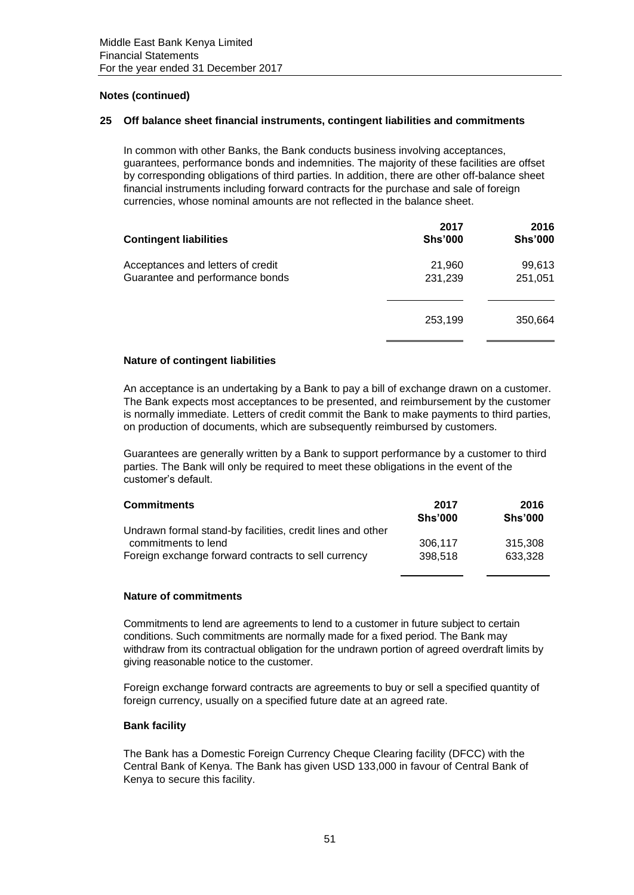## **25 Off balance sheet financial instruments, contingent liabilities and commitments**

In common with other Banks, the Bank conducts business involving acceptances, guarantees, performance bonds and indemnities. The majority of these facilities are offset by corresponding obligations of third parties. In addition, there are other off-balance sheet financial instruments including forward contracts for the purchase and sale of foreign currencies, whose nominal amounts are not reflected in the balance sheet.

| <b>Contingent liabilities</b>                                        | 2017<br><b>Shs'000</b> | 2016<br><b>Shs'000</b> |
|----------------------------------------------------------------------|------------------------|------------------------|
|                                                                      | 21,960                 | 99,613                 |
| Acceptances and letters of credit<br>Guarantee and performance bonds | 231,239                | 251,051                |
|                                                                      |                        |                        |
|                                                                      | 253,199                | 350,664                |

## **Nature of contingent liabilities**

An acceptance is an undertaking by a Bank to pay a bill of exchange drawn on a customer. The Bank expects most acceptances to be presented, and reimbursement by the customer is normally immediate. Letters of credit commit the Bank to make payments to third parties, on production of documents, which are subsequently reimbursed by customers.

Guarantees are generally written by a Bank to support performance by a customer to third parties. The Bank will only be required to meet these obligations in the event of the customer's default.

| <b>Commitments</b>                                         | 2017<br><b>Shs'000</b> | 2016<br><b>Shs'000</b> |
|------------------------------------------------------------|------------------------|------------------------|
| Undrawn formal stand-by facilities, credit lines and other |                        |                        |
| commitments to lend                                        | 306.117                | 315.308                |
| Foreign exchange forward contracts to sell currency        | 398.518                | 633.328                |

# **Nature of commitments**

Commitments to lend are agreements to lend to a customer in future subject to certain conditions. Such commitments are normally made for a fixed period. The Bank may withdraw from its contractual obligation for the undrawn portion of agreed overdraft limits by giving reasonable notice to the customer.

Foreign exchange forward contracts are agreements to buy or sell a specified quantity of foreign currency, usually on a specified future date at an agreed rate.

#### **Bank facility**

The Bank has a Domestic Foreign Currency Cheque Clearing facility (DFCC) with the Central Bank of Kenya. The Bank has given USD 133,000 in favour of Central Bank of Kenya to secure this facility.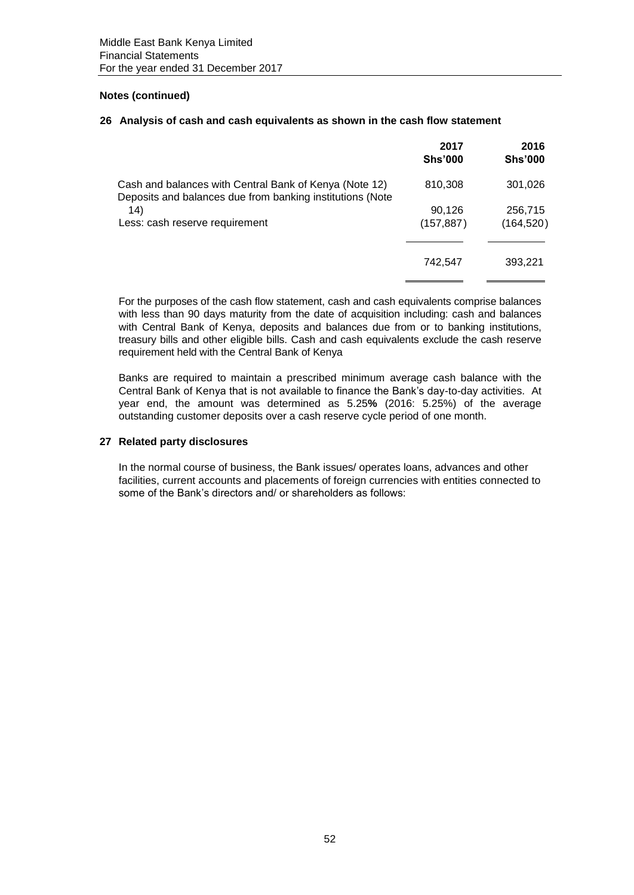|  |  | 26 Analysis of cash and cash equivalents as shown in the cash flow statement |
|--|--|------------------------------------------------------------------------------|
|  |  |                                                                              |

|                                                                                                                     | 2017<br><b>Shs'000</b> | 2016<br><b>Shs'000</b> |
|---------------------------------------------------------------------------------------------------------------------|------------------------|------------------------|
| Cash and balances with Central Bank of Kenya (Note 12)<br>Deposits and balances due from banking institutions (Note | 810,308                | 301,026                |
| (14)                                                                                                                | 90,126                 | 256,715                |
| Less: cash reserve requirement                                                                                      | (157, 887)             | (164, 520)             |
|                                                                                                                     | 742,547                | 393,221                |

For the purposes of the cash flow statement, cash and cash equivalents comprise balances with less than 90 days maturity from the date of acquisition including: cash and balances with Central Bank of Kenya, deposits and balances due from or to banking institutions, treasury bills and other eligible bills. Cash and cash equivalents exclude the cash reserve requirement held with the Central Bank of Kenya

Banks are required to maintain a prescribed minimum average cash balance with the Central Bank of Kenya that is not available to finance the Bank's day-to-day activities. At year end, the amount was determined as 5.25**%** (2016: 5.25%) of the average outstanding customer deposits over a cash reserve cycle period of one month.

#### **27 Related party disclosures**

In the normal course of business, the Bank issues/ operates loans, advances and other facilities, current accounts and placements of foreign currencies with entities connected to some of the Bank's directors and/ or shareholders as follows: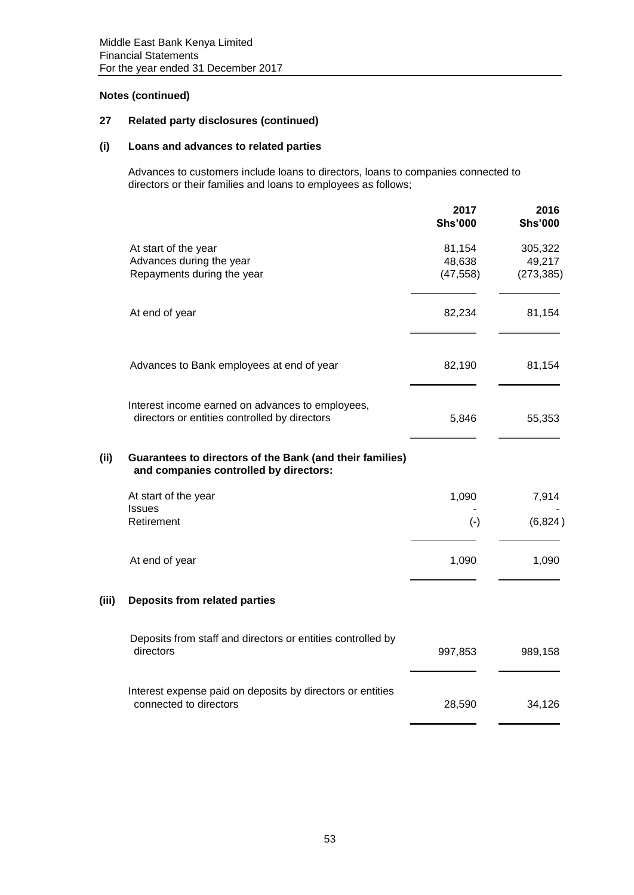# **27 Related party disclosures (continued)**

# **(i) Loans and advances to related parties**

Advances to customers include loans to directors, loans to companies connected to directors or their families and loans to employees as follows;

|                                                                                                            | 2017<br><b>Shs'000</b>        | 2016<br><b>Shs'000</b>          |
|------------------------------------------------------------------------------------------------------------|-------------------------------|---------------------------------|
| At start of the year<br>Advances during the year<br>Repayments during the year                             | 81,154<br>48,638<br>(47, 558) | 305,322<br>49,217<br>(273, 385) |
| At end of year                                                                                             | 82,234                        | 81,154                          |
| Advances to Bank employees at end of year                                                                  | 82,190                        | 81,154                          |
| Interest income earned on advances to employees,<br>directors or entities controlled by directors          | 5,846                         | 55,353                          |
| (ii)<br>Guarantees to directors of the Bank (and their families)<br>and companies controlled by directors: |                               |                                 |
| At start of the year                                                                                       | 1,090                         | 7,914                           |
| <b>Issues</b><br>Retirement                                                                                | $(-)$                         | (6, 824)                        |
| At end of year                                                                                             | 1,090                         | 1,090                           |
| (iii)<br><b>Deposits from related parties</b>                                                              |                               |                                 |
| Deposits from staff and directors or entities controlled by<br>directors                                   | 997,853                       | 989,158                         |
| Interest expense paid on deposits by directors or entities<br>connected to directors                       | 28,590                        | 34,126                          |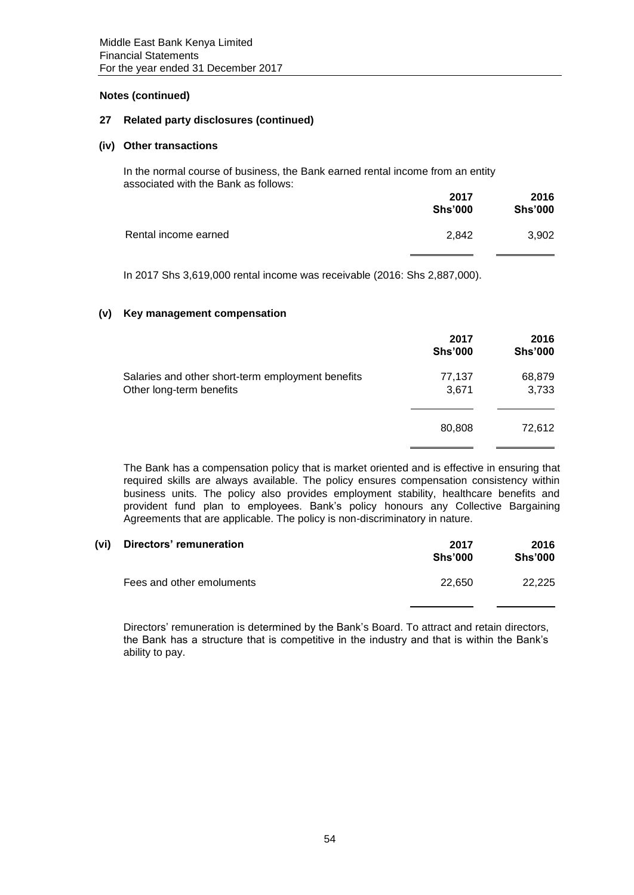# **27 Related party disclosures (continued)**

## **(iv) Other transactions**

In the normal course of business, the Bank earned rental income from an entity associated with the Bank as follows:

|                      | 2017<br><b>Shs'000</b> | 2016<br><b>Shs'000</b> |
|----------------------|------------------------|------------------------|
| Rental income earned | 2.842                  | 3,902                  |

In 2017 Shs 3,619,000 rental income was receivable (2016: Shs 2,887,000).

# **(v) Key management compensation**

|                                                                               | 2017<br><b>Shs'000</b> | 2016<br><b>Shs'000</b> |
|-------------------------------------------------------------------------------|------------------------|------------------------|
| Salaries and other short-term employment benefits<br>Other long-term benefits | 77,137<br>3,671        | 68,879<br>3,733        |
|                                                                               | 80,808                 | 72,612                 |

The Bank has a compensation policy that is market oriented and is effective in ensuring that required skills are always available. The policy ensures compensation consistency within business units. The policy also provides employment stability, healthcare benefits and provident fund plan to employees. Bank's policy honours any Collective Bargaining Agreements that are applicable. The policy is non-discriminatory in nature.

| (vi) | Directors' remuneration   | 2017<br><b>Shs'000</b> | 2016<br>Shs'000 |
|------|---------------------------|------------------------|-----------------|
|      | Fees and other emoluments | 22.650                 | 22.225          |

Directors' remuneration is determined by the Bank's Board. To attract and retain directors, the Bank has a structure that is competitive in the industry and that is within the Bank's ability to pay.